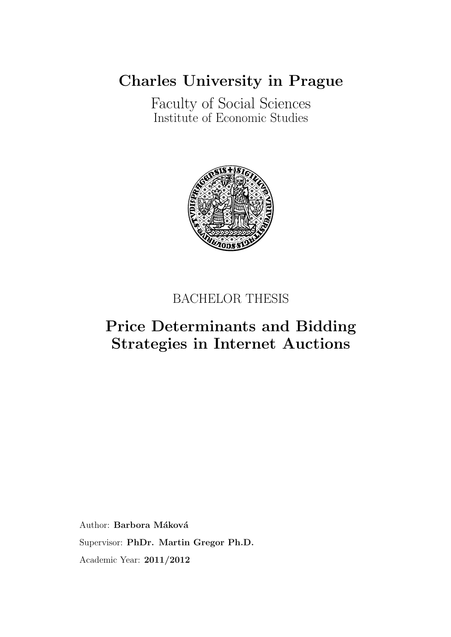[Charles University in Prague](http://www.cuni.cz/UKENG-1.html)

[Faculty of Social Sciences](http://fsveng.fsv.cuni.cz/FSVENG-1.html) [Institute of Economic Studies](http://ies.fsv.cuni.cz/index.php?module=board&action=board&lng=en_GB)



### BACHELOR THESIS

### Price Determinants and Bidding Strategies in Internet Auctions

Author: Barbora Máková Supervisor: [PhDr. Martin Gregor Ph.D.](mailto:gregor@fsv.cuni.cz ) Academic Year: 2011/2012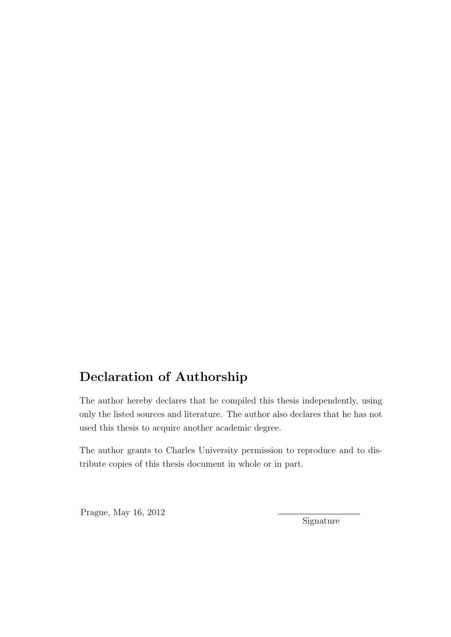### Declaration of Authorship

The author hereby declares that he compiled this thesis independently, using only the listed sources and literature. The author also declares that he has not used this thesis to acquire another academic degree.

The author grants to Charles University permission to reproduce and to distribute copies of this thesis document in whole or in part.

Prague, May 16, 2012

Signature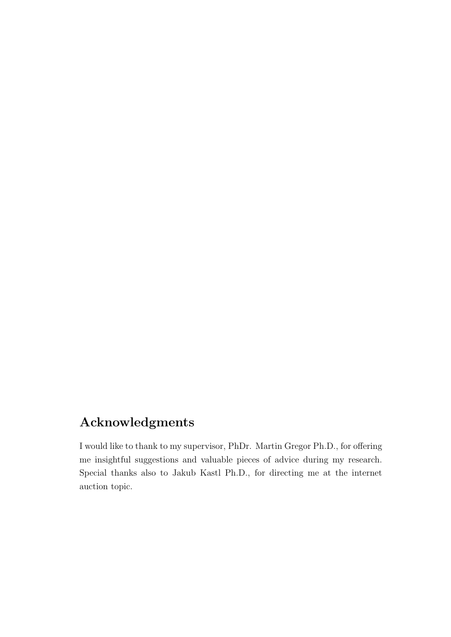### Acknowledgments

I would like to thank to my supervisor, PhDr. Martin Gregor Ph.D., for offering me insightful suggestions and valuable pieces of advice during my research. Special thanks also to Jakub Kastl Ph.D., for directing me at the internet auction topic.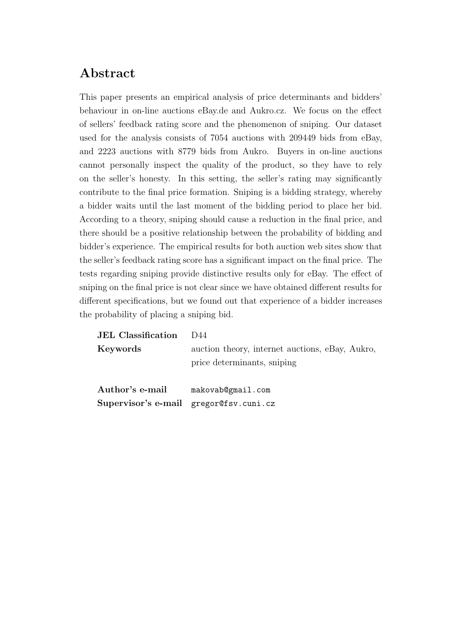#### Abstract

This paper presents an empirical analysis of price determinants and bidders' behaviour in on-line auctions eBay.de and Aukro.cz. We focus on the effect of sellers' feedback rating score and the phenomenon of sniping. Our dataset used for the analysis consists of 7054 auctions with 209449 bids from eBay, and 2223 auctions with 8779 bids from Aukro. Buyers in on-line auctions cannot personally inspect the quality of the product, so they have to rely on the seller's honesty. In this setting, the seller's rating may significantly contribute to the final price formation. Sniping is a bidding strategy, whereby a bidder waits until the last moment of the bidding period to place her bid. According to a theory, sniping should cause a reduction in the final price, and there should be a positive relationship between the probability of bidding and bidder's experience. The empirical results for both auction web sites show that the seller's feedback rating score has a significant impact on the final price. The tests regarding sniping provide distinctive results only for eBay. The effect of sniping on the final price is not clear since we have obtained different results for different specifications, but we found out that experience of a bidder increases the probability of placing a sniping bid.

| <b>JEL</b> Classification                                 | 1)44                                                                           |
|-----------------------------------------------------------|--------------------------------------------------------------------------------|
| Keywords                                                  | auction theory, internet auctions, eBay, Aukro,<br>price determinants, sniping |
| Author's e-mail<br>Supervisor's e-mail gregor@fsv.cuni.cz | makovab@gmail.com                                                              |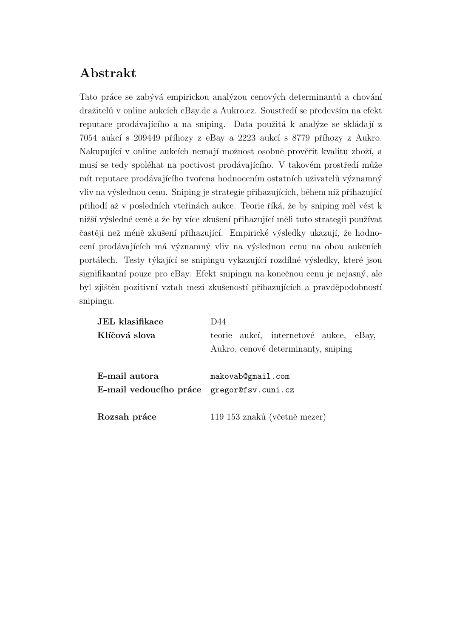#### Abstrakt

Tato práce se zabývá empirickou analýzou cenových determinantů a chování dražitelů v online aukcích eBay.de a Aukro.cz. Soustředí se především na efekt reputace prodávajícího a na sniping. Data použitá k analýze se skládají z  $7054$  aukcí s  $209449$  příhozy z eBay a  $2223$  aukcí s  $8779$  příhozy z Aukro. Nakupující v online aukcích nemají možnost osobně prověřit kvalitu zboží, a musí se tedy spoléhat na poctivost prodávajícího. V takovém prostředí může mít reputace prodávajícího tvořena hodnocením ostatních uživatelů významný vliv na výslednou cenu. Sniping je strategie přihazujících, během níž přihazující přihodí až v posledních vteřinách aukce. Teorie říká, že by sniping měl vést k nižší výsledné ceně a že by více zkušení přihazující měli tuto strategii používat častěji než méně zkušení přihazující. Empirické výsledky ukazují, že hodnocení prodávajících má významný vliv na výslednou cenu na obou aukčních portálech. Testy týkající se snipingu vykazující rozdílné výsledky, které jsou signifikantní pouze pro eBay. Efekt snipingu na konečnou cenu je nejasný, ale byl zjištěn pozitivní vztah mezi zkušeností přihazujících a pravděpodobností snipingu.

| teorie aukcí, internetové aukce, eBay, |  |
|----------------------------------------|--|
| Aukro, cenové determinanty, sniping    |  |
|                                        |  |
|                                        |  |
|                                        |  |
|                                        |  |
| 119 153 znaků (včetně mezer)           |  |
|                                        |  |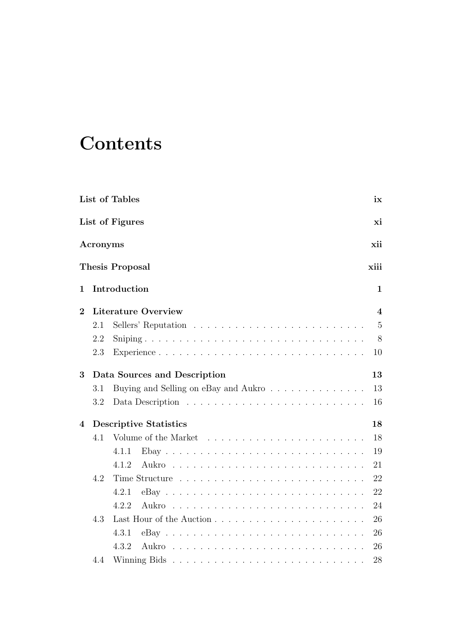# **Contents**

|                         |          | List of Tables<br>ix                                  |
|-------------------------|----------|-------------------------------------------------------|
|                         |          | List of Figures<br>хi                                 |
|                         | Acronyms | xii                                                   |
|                         |          | <b>Thesis Proposal</b><br>xiii                        |
| 1                       |          | Introduction<br>1                                     |
| $\overline{2}$          |          | <b>Literature Overview</b><br>$\overline{\mathbf{4}}$ |
|                         | 2.1      | $\overline{5}$                                        |
|                         | 2.2      | 8                                                     |
|                         | 2.3      | Experience<br>10                                      |
| 3                       |          | 13<br>Data Sources and Description                    |
|                         | 3.1      | 13<br>Buying and Selling on eBay and Aukro            |
|                         | 3.2      | 16                                                    |
| $\overline{\mathbf{4}}$ |          | 18<br><b>Descriptive Statistics</b>                   |
|                         | 4.1      | 18                                                    |
|                         |          | 19<br>4.1.1                                           |
|                         |          | 21<br>4.1.2                                           |
|                         | 4.2      | 22                                                    |
|                         |          | 22<br>4.2.1                                           |
|                         |          | 4.2.2<br>24                                           |
|                         | 4.3      | 26                                                    |
|                         |          | 26<br>4.3.1                                           |
|                         |          | 4.3.2<br>26                                           |
|                         | 4.4      | 28                                                    |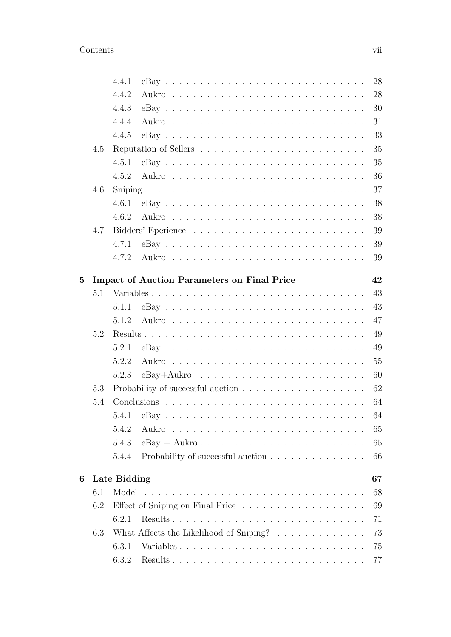|   |     | 4.4.1                                                                           |  |  |  | 28 |
|---|-----|---------------------------------------------------------------------------------|--|--|--|----|
|   |     | 4.4.2                                                                           |  |  |  | 28 |
|   |     | 4.4.3                                                                           |  |  |  | 30 |
|   |     | 4.4.4                                                                           |  |  |  | 31 |
|   |     | 4.4.5                                                                           |  |  |  | 33 |
|   | 4.5 |                                                                                 |  |  |  | 35 |
|   |     | 4.5.1                                                                           |  |  |  | 35 |
|   |     | 4.5.2                                                                           |  |  |  | 36 |
|   | 4.6 |                                                                                 |  |  |  | 37 |
|   |     | 4.6.1                                                                           |  |  |  | 38 |
|   |     | 4.6.2                                                                           |  |  |  | 38 |
|   | 4.7 |                                                                                 |  |  |  | 39 |
|   |     | 4.7.1                                                                           |  |  |  | 39 |
|   |     | 4.7.2                                                                           |  |  |  | 39 |
| 5 |     | <b>Impact of Auction Parameters on Final Price</b>                              |  |  |  | 42 |
|   | 5.1 | Variables                                                                       |  |  |  | 43 |
|   |     | 5.1.1                                                                           |  |  |  | 43 |
|   |     | 5.1.2                                                                           |  |  |  | 47 |
|   | 5.2 |                                                                                 |  |  |  | 49 |
|   |     | 5.2.1                                                                           |  |  |  | 49 |
|   |     | 5.2.2                                                                           |  |  |  | 55 |
|   |     | 5.2.3                                                                           |  |  |  | 60 |
|   | 5.3 |                                                                                 |  |  |  | 62 |
|   | 5.4 |                                                                                 |  |  |  | 64 |
|   |     | 5.4.1                                                                           |  |  |  | 64 |
|   |     | 5.4.2                                                                           |  |  |  | 65 |
|   |     | 5.4.3                                                                           |  |  |  | 65 |
|   |     | Probability of successful auction $\ldots \ldots \ldots \ldots \ldots$<br>5.4.4 |  |  |  | 66 |
|   |     |                                                                                 |  |  |  |    |
| 6 |     | Late Bidding                                                                    |  |  |  | 67 |
|   | 6.1 |                                                                                 |  |  |  | 68 |
|   | 6.2 |                                                                                 |  |  |  | 69 |
|   |     | 6.2.1                                                                           |  |  |  | 71 |
|   | 6.3 | What Affects the Likelihood of Sniping?                                         |  |  |  | 73 |
|   |     | Variables<br>6.3.1                                                              |  |  |  | 75 |
|   |     | 6.3.2                                                                           |  |  |  | 77 |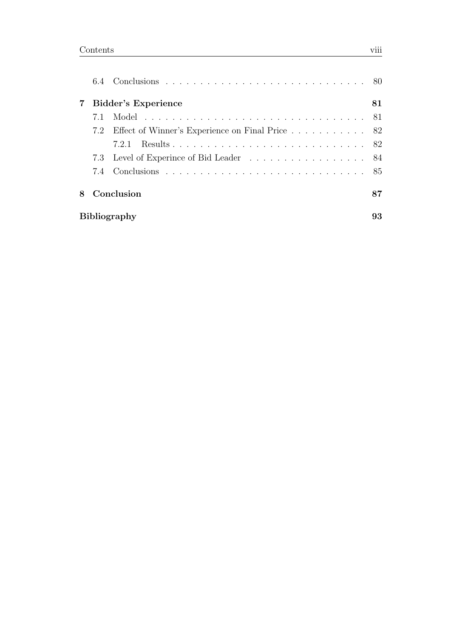|     | 7 Bidder's Experience                               | 81 |
|-----|-----------------------------------------------------|----|
| 7.1 |                                                     |    |
|     | 7.2 Effect of Winner's Experience on Final Price 82 |    |
|     | 7.2.1                                               |    |
|     | 7.3 Level of Experince of Bid Leader 84             |    |
|     |                                                     |    |
|     | 8 Conclusion                                        | 87 |
|     | <b>Bibliography</b>                                 | 93 |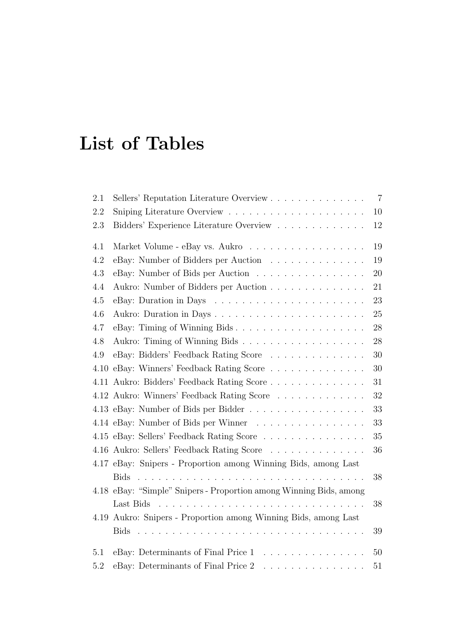# <span id="page-8-0"></span>List of Tables

| 2.1     | Sellers' Reputation Literature Overview                            | $\overline{7}$ |
|---------|--------------------------------------------------------------------|----------------|
| 2.2     |                                                                    | 10             |
| $2.3\,$ | Bidders' Experience Literature Overview                            | 12             |
| 4.1     | Market Volume - eBay vs. Aukro                                     | 19             |
| 4.2     | eBay: Number of Bidders per Auction                                | 19             |
| 4.3     | eBay: Number of Bids per Auction                                   | 20             |
| 4.4     | Aukro: Number of Bidders per Auction                               | 21             |
| 4.5     |                                                                    | 23             |
| 4.6     |                                                                    | 25             |
| 4.7     | eBay: Timing of Winning Bids                                       | 28             |
| 4.8     | Aukro: Timing of Winning Bids                                      | $28\,$         |
| 4.9     | eBay: Bidders' Feedback Rating Score                               | 30             |
| 4.10    | eBay: Winners' Feedback Rating Score                               | $30\,$         |
|         | 4.11 Aukro: Bidders' Feedback Rating Score                         | 31             |
|         | 4.12 Aukro: Winners' Feedback Rating Score                         | $32\,$         |
|         | 4.13 eBay: Number of Bids per Bidder                               | $33\,$         |
|         | 4.14 eBay: Number of Bids per Winner                               | 33             |
|         | 4.15 eBay: Sellers' Feedback Rating Score                          | $35\,$         |
|         | 4.16 Aukro: Sellers' Feedback Rating Score                         | 36             |
|         | 4.17 eBay: Snipers - Proportion among Winning Bids, among Last     |                |
|         |                                                                    | $38\,$         |
|         | 4.18 eBay: "Simple" Snipers - Proportion among Winning Bids, among |                |
|         |                                                                    | 38             |
|         | 4.19 Aukro: Snipers - Proportion among Winning Bids, among Last    |                |
|         |                                                                    | 39             |
| 5.1     | eBay: Determinants of Final Price 1                                | 50             |
| 5.2     | eBay: Determinants of Final Price 2<br>.                           | 51             |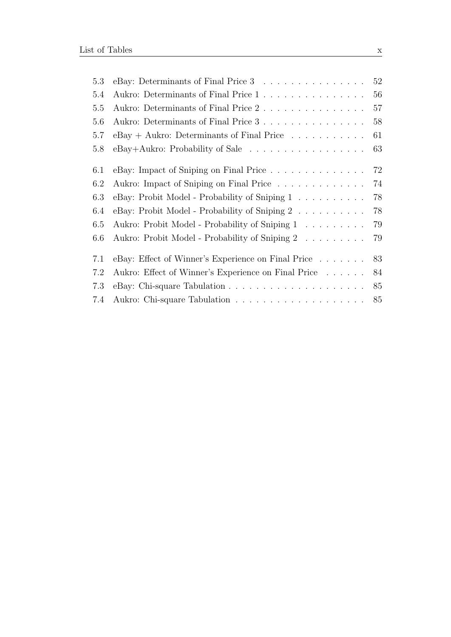| 5.3 | eBay: Determinants of Final Price 3                                 | 52 |
|-----|---------------------------------------------------------------------|----|
| 5.4 | Aukro: Determinants of Final Price $1\,$                            | 56 |
| 5.5 | Aukro: Determinants of Final Price 2                                | 57 |
| 5.6 | Aukro: Determinants of Final Price 3                                | 58 |
| 5.7 | $eBay + Aukro: Determinants of Final Price \dots \dots \dots \dots$ | 61 |
| 5.8 | eBay+Aukro: Probability of Sale                                     | 63 |
| 6.1 | eBay: Impact of Sniping on Final Price                              | 72 |
| 6.2 | Aukro: Impact of Sniping on Final Price                             | 74 |
| 6.3 | eBay: Probit Model - Probability of Sniping 1                       | 78 |
| 6.4 | eBay: Probit Model - Probability of Sniping 2 78                    |    |
| 6.5 | Aukro: Probit Model - Probability of Sniping 1                      | 79 |
| 6.6 | Aukro: Probit Model - Probability of Sniping 2                      | 79 |
| 7.1 | eBay: Effect of Winner's Experience on Final Price 83               |    |
| 7.2 | Aukro: Effect of Winner's Experience on Final Price                 | 84 |
| 7.3 |                                                                     | 85 |
| 7.4 |                                                                     |    |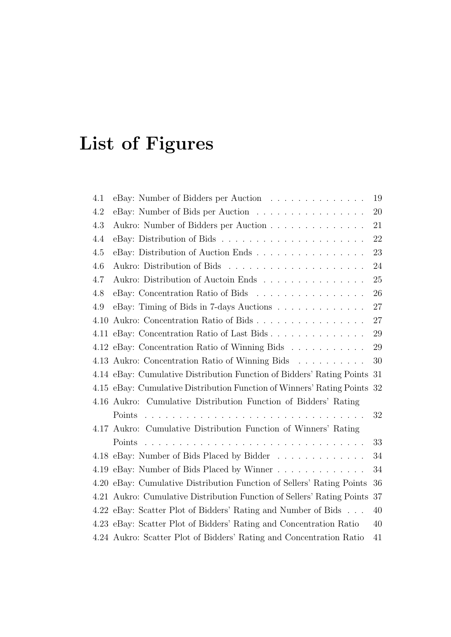# <span id="page-10-0"></span>List of Figures

| 4.1     | eBay: Number of Bidders per Auction                                      | 19 |
|---------|--------------------------------------------------------------------------|----|
| 4.2     | eBay: Number of Bids per Auction                                         | 20 |
| $4.3\,$ | Aukro: Number of Bidders per Auction                                     | 21 |
| 4.4     |                                                                          | 22 |
| 4.5     | eBay: Distribution of Auction Ends                                       | 23 |
| 4.6     |                                                                          | 24 |
| 4.7     | Aukro: Distribution of Auctoin Ends                                      | 25 |
| 4.8     | eBay: Concentration Ratio of Bids                                        | 26 |
| 4.9     | eBay: Timing of Bids in 7-days Auctions                                  | 27 |
| 4.10    | Aukro: Concentration Ratio of Bids                                       | 27 |
|         | 4.11 eBay: Concentration Ratio of Last Bids                              | 29 |
|         | 4.12 eBay: Concentration Ratio of Winning Bids                           | 29 |
|         | 4.13 Aukro: Concentration Ratio of Winning Bids                          | 30 |
|         | 4.14 eBay: Cumulative Distribution Function of Bidders' Rating Points    | 31 |
|         | 4.15 eBay: Cumulative Distribution Function of Winners' Rating Points 32 |    |
|         | 4.16 Aukro: Cumulative Distribution Function of Bidders' Rating          |    |
|         |                                                                          | 32 |
|         | 4.17 Aukro: Cumulative Distribution Function of Winners' Rating          |    |
|         |                                                                          | 33 |
|         | 4.18 eBay: Number of Bids Placed by Bidder                               | 34 |
|         | 4.19 eBay: Number of Bids Placed by Winner                               | 34 |
|         | 4.20 eBay: Cumulative Distribution Function of Sellers' Rating Points    | 36 |
|         | 4.21 Aukro: Cumulative Distribution Function of Sellers' Rating Points   | 37 |
|         | 4.22 eBay: Scatter Plot of Bidders' Rating and Number of Bids            | 40 |
|         | 4.23 eBay: Scatter Plot of Bidders' Rating and Concentration Ratio       | 40 |
|         | 4.24 Aukro: Scatter Plot of Bidders' Rating and Concentration Ratio      | 41 |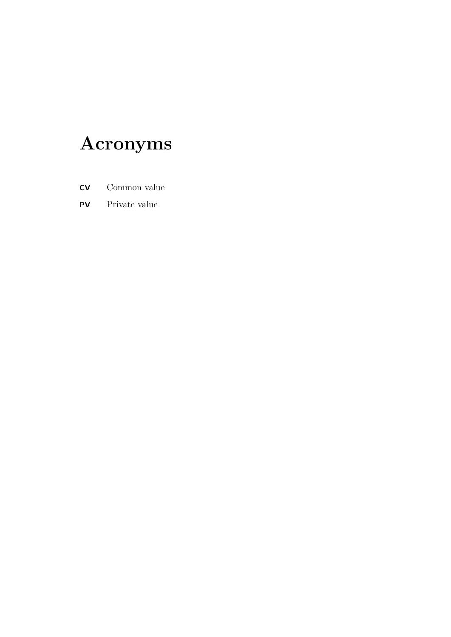# <span id="page-11-0"></span>Acronyms

- CV Common value
- PV Private value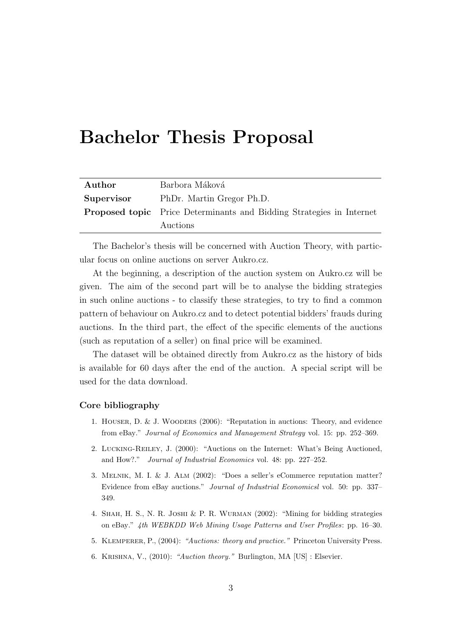### <span id="page-12-0"></span>Bachelor Thesis Proposal

| Author     | Barbora Máková                                                              |
|------------|-----------------------------------------------------------------------------|
| Supervisor | PhDr. Martin Gregor Ph.D.                                                   |
|            | <b>Proposed topic</b> Price Determinants and Bidding Strategies in Internet |
|            | Auctions                                                                    |

The Bachelor's thesis will be concerned with Auction Theory, with particular focus on online auctions on server Aukro.cz.

At the beginning, a description of the auction system on Aukro.cz will be given. The aim of the second part will be to analyse the bidding strategies in such online auctions - to classify these strategies, to try to find a common pattern of behaviour on Aukro.cz and to detect potential bidders' frauds during auctions. In the third part, the effect of the specific elements of the auctions (such as reputation of a seller) on final price will be examined.

The dataset will be obtained directly from Aukro.cz as the history of bids is available for 60 days after the end of the auction. A special script will be used for the data download.

#### Core bibliography

- 1. Houser, D. & J. Wooders (2006): "Reputation in auctions: Theory, and evidence from eBay." Journal of Economics and Management Strategy vol. 15: pp. 252–369.
- 2. Lucking-Reiley, J. (2000): "Auctions on the Internet: What's Being Auctioned, and How?." Journal of Industrial Economics vol. 48: pp. 227–252.
- 3. Melnik, M. I. & J. Alm (2002): "Does a seller's eCommerce reputation matter? Evidence from eBay auctions." Journal of Industrial Economicsl vol. 50: pp. 337– 349.
- 4. Shah, H. S., N. R. Joshi & P. R. Wurman (2002): "Mining for bidding strategies on eBay." 4th WEBKDD Web Mining Usage Patterns and User Profiles: pp. 16–30.
- 5. Klemperer, P., (2004): "Auctions: theory and practice." Princeton University Press.
- 6. Krishna, V., (2010): "Auction theory." Burlington, MA [US] : Elsevier.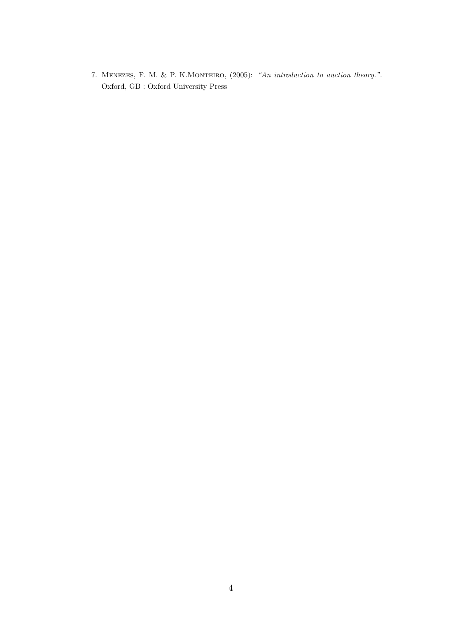7. MENEZES, F. M. & P. K.MONTEIRO, (2005): "An introduction to auction theory.". Oxford, GB : Oxford University Press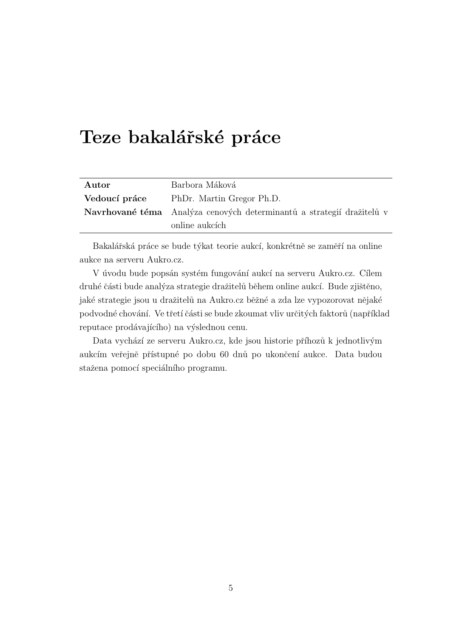## Teze bakalářské práce

| Autor         | Barbora Máková                                                        |
|---------------|-----------------------------------------------------------------------|
| Vedoucí práce | PhDr. Martin Gregor Ph.D.                                             |
|               | Navrhované téma Analýza cenových determinantů a strategií dražitelů v |
|               | online aukcích                                                        |

Bakalářská práce se bude týkat teorie aukcí, konkrétně se zaměří na online aukce na serveru Aukro.cz.

V úvodu bude popsán systém fungování aukcí na serveru Aukro.cz. Cílem druhé části bude analýza strategie dražitelů během online aukcí. Bude zjištěno, jaké strategie jsou u dražitelů na Aukro.cz běžné a zda lze vypozorovat nějaké podvodné chování. Ve třetí části se bude zkoumat vliv určitých faktorů (například reputace prodávajícího) na výslednou cenu.

Data vychází ze serveru Aukro.cz, kde jsou historie příhozů k jednotlivým aukcím veřejně přístupné po dobu 60 dnů po ukončení aukce. Data budou stažena pomocí speciálního programu.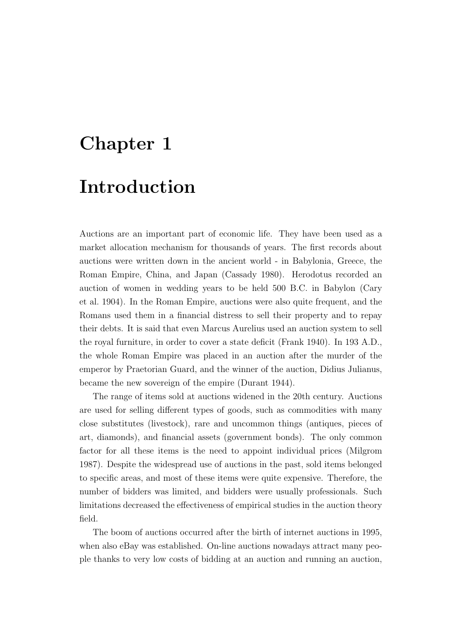## <span id="page-15-0"></span>Chapter 1

### Introduction

Auctions are an important part of economic life. They have been used as a market allocation mechanism for thousands of years. The first records about auctions were written down in the ancient world - in Babylonia, Greece, the Roman Empire, China, and Japan [\(Cassady](#page-104-1) [1980\)](#page-104-1). Herodotus recorded an auction of women in wedding years to be held 500 B.C. in Babylon [\(Cary](#page-104-2) [et al.](#page-104-2) [1904\)](#page-104-2). In the Roman Empire, auctions were also quite frequent, and the Romans used them in a financial distress to sell their property and to repay their debts. It is said that even Marcus Aurelius used an auction system to sell the royal furniture, in order to cover a state deficit [\(Frank](#page-105-0) [1940\)](#page-105-0). In 193 A.D., the whole Roman Empire was placed in an auction after the murder of the emperor by Praetorian Guard, and the winner of the auction, Didius Julianus, became the new sovereign of the empire [\(Durant](#page-105-1) [1944\)](#page-105-1).

The range of items sold at auctions widened in the 20th century. Auctions are used for selling different types of goods, such as commodities with many close substitutes (livestock), rare and uncommon things (antiques, pieces of art, diamonds), and financial assets (government bonds). The only common factor for all these items is the need to appoint individual prices [\(Milgrom](#page-106-0) [1987\)](#page-106-0). Despite the widespread use of auctions in the past, sold items belonged to specific areas, and most of these items were quite expensive. Therefore, the number of bidders was limited, and bidders were usually professionals. Such limitations decreased the effectiveness of empirical studies in the auction theory field.

The boom of auctions occurred after the birth of internet auctions in 1995, when also eBay was established. On-line auctions nowadays attract many people thanks to very low costs of bidding at an auction and running an auction,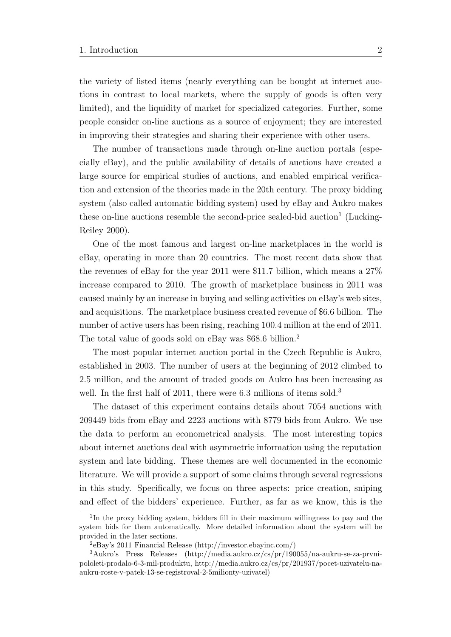the variety of listed items (nearly everything can be bought at internet auctions in contrast to local markets, where the supply of goods is often very limited), and the liquidity of market for specialized categories. Further, some people consider on-line auctions as a source of enjoyment; they are interested in improving their strategies and sharing their experience with other users.

The number of transactions made through on-line auction portals (especially eBay), and the public availability of details of auctions have created a large source for empirical studies of auctions, and enabled empirical verification and extension of the theories made in the 20th century. The proxy bidding system (also called automatic bidding system) used by eBay and Aukro makes these on-line auctions resemble the second-price sealed-bid auction<sup>[1](#page-16-0)</sup> [\(Lucking-](#page-106-1)[Reiley](#page-106-1) [2000\)](#page-106-1).

One of the most famous and largest on-line marketplaces in the world is eBay, operating in more than 20 countries. The most recent data show that the revenues of eBay for the year 2011 were \$11.7 billion, which means a 27% increase compared to 2010. The growth of marketplace business in 2011 was caused mainly by an increase in buying and selling activities on eBay's web sites, and acquisitions. The marketplace business created revenue of \$6.6 billion. The number of active users has been rising, reaching 100.4 million at the end of 2011. The total value of goods sold on eBay was \$68.6 billion.[2](#page-16-1)

The most popular internet auction portal in the Czech Republic is Aukro, established in 2003. The number of users at the beginning of 2012 climbed to 2.5 million, and the amount of traded goods on Aukro has been increasing as well. In the first half of 2011, there were 6.[3](#page-16-2) millions of items sold.<sup>3</sup>

The dataset of this experiment contains details about 7054 auctions with 209449 bids from eBay and 2223 auctions with 8779 bids from Aukro. We use the data to perform an econometrical analysis. The most interesting topics about internet auctions deal with asymmetric information using the reputation system and late bidding. These themes are well documented in the economic literature. We will provide a support of some claims through several regressions in this study. Specifically, we focus on three aspects: price creation, sniping and effect of the bidders' experience. Further, as far as we know, this is the

<span id="page-16-0"></span><sup>&</sup>lt;sup>1</sup>In the proxy bidding system, bidders fill in their maximum willingness to pay and the system bids for them automatically. More detailed information about the system will be provided in the later sections.

<span id="page-16-2"></span><span id="page-16-1"></span><sup>2</sup> eBay's 2011 Financial Release (http://investor.ebayinc.com/)

<sup>3</sup>Aukro's Press Releases (http://media.aukro.cz/cs/pr/190055/na-aukru-se-za-prvnipololeti-prodalo-6-3-mil-produktu, http://media.aukro.cz/cs/pr/201937/pocet-uzivatelu-naaukru-roste-v-patek-13-se-registroval-2-5milionty-uzivatel)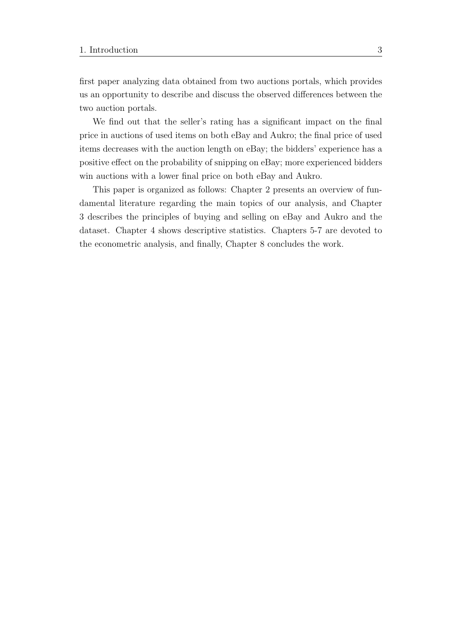first paper analyzing data obtained from two auctions portals, which provides us an opportunity to describe and discuss the observed differences between the two auction portals.

We find out that the seller's rating has a significant impact on the final price in auctions of used items on both eBay and Aukro; the final price of used items decreases with the auction length on eBay; the bidders' experience has a positive effect on the probability of snipping on eBay; more experienced bidders win auctions with a lower final price on both eBay and Aukro.

This paper is organized as follows: Chapter 2 presents an overview of fundamental literature regarding the main topics of our analysis, and Chapter 3 describes the principles of buying and selling on eBay and Aukro and the dataset. Chapter 4 shows descriptive statistics. Chapters 5-7 are devoted to the econometric analysis, and finally, Chapter 8 concludes the work.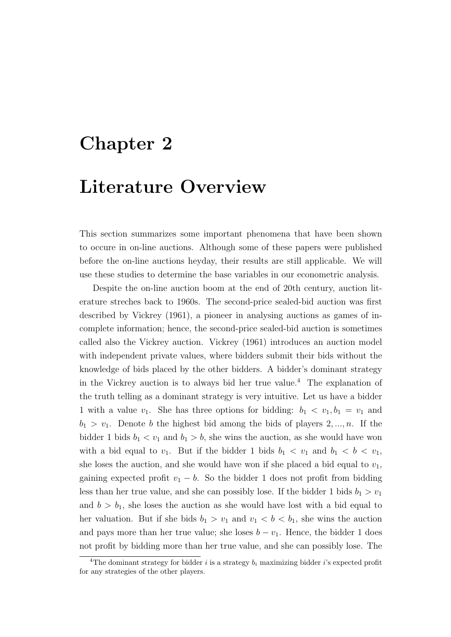## <span id="page-18-0"></span>Chapter 2

### Literature Overview

This section summarizes some important phenomena that have been shown to occure in on-line auctions. Although some of these papers were published before the on-line auctions heyday, their results are still applicable. We will use these studies to determine the base variables in our econometric analysis.

Despite the on-line auction boom at the end of 20th century, auction literature streches back to 1960s. The second-price sealed-bid auction was first described by [Vickrey](#page-107-0) [\(1961\)](#page-107-0), a pioneer in analysing auctions as games of incomplete information; hence, the second-price sealed-bid auction is sometimes called also the Vickrey auction. [Vickrey](#page-107-0) [\(1961\)](#page-107-0) introduces an auction model with independent private values, where bidders submit their bids without the knowledge of bids placed by the other bidders. A bidder's dominant strategy in the Vickrey auction is to always bid her true value.<sup>[4](#page-18-1)</sup> The explanation of the truth telling as a dominant strategy is very intuitive. Let us have a bidder 1 with a value  $v_1$ . She has three options for bidding:  $b_1 < v_1, b_1 = v_1$  and  $b_1 > v_1$ . Denote b the highest bid among the bids of players  $2, ..., n$ . If the bidder 1 bids  $b_1 < v_1$  and  $b_1 > b$ , she wins the auction, as she would have won with a bid equal to  $v_1$ . But if the bidder 1 bids  $b_1 < v_1$  and  $b_1 < b < v_1$ , she loses the auction, and she would have won if she placed a bid equal to  $v_1$ , gaining expected profit  $v_1 - b$ . So the bidder 1 does not profit from bidding less than her true value, and she can possibly lose. If the bidder 1 bids  $b_1 > v_1$ and  $b > b_1$ , she loses the auction as she would have lost with a bid equal to her valuation. But if she bids  $b_1 > v_1$  and  $v_1 < b < b_1$ , she wins the auction and pays more than her true value; she loses  $b - v_1$ . Hence, the bidder 1 does not profit by bidding more than her true value, and she can possibly lose. The

<span id="page-18-1"></span><sup>&</sup>lt;sup>4</sup>The dominant strategy for bidder i is a strategy  $b_i$  maximizing bidder i's expected profit for any strategies of the other players.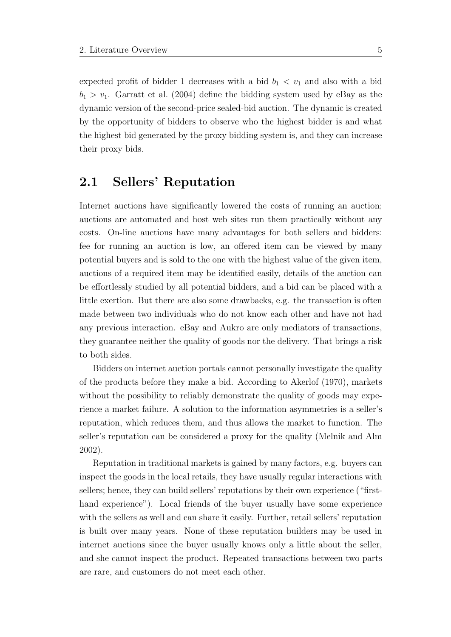expected profit of bidder 1 decreases with a bid  $b_1 < v_1$  and also with a bid  $b_1 > v_1$ . [Garratt et al.](#page-105-2) [\(2004\)](#page-105-2) define the bidding system used by eBay as the dynamic version of the second-price sealed-bid auction. The dynamic is created by the opportunity of bidders to observe who the highest bidder is and what the highest bid generated by the proxy bidding system is, and they can increase their proxy bids.

#### <span id="page-19-0"></span>2.1 Sellers' Reputation

Internet auctions have significantly lowered the costs of running an auction; auctions are automated and host web sites run them practically without any costs. On-line auctions have many advantages for both sellers and bidders: fee for running an auction is low, an offered item can be viewed by many potential buyers and is sold to the one with the highest value of the given item, auctions of a required item may be identified easily, details of the auction can be effortlessly studied by all potential bidders, and a bid can be placed with a little exertion. But there are also some drawbacks, e.g. the transaction is often made between two individuals who do not know each other and have not had any previous interaction. eBay and Aukro are only mediators of transactions, they guarantee neither the quality of goods nor the delivery. That brings a risk to both sides.

Bidders on internet auction portals cannot personally investigate the quality of the products before they make a bid. According to [Akerlof](#page-104-3) [\(1970\)](#page-104-3), markets without the possibility to reliably demonstrate the quality of goods may experience a market failure. A solution to the information asymmetries is a seller's reputation, which reduces them, and thus allows the market to function. The seller's reputation can be considered a proxy for the quality [\(Melnik and Alm](#page-106-2) [2002\)](#page-106-2).

Reputation in traditional markets is gained by many factors, e.g. buyers can inspect the goods in the local retails, they have usually regular interactions with sellers; hence, they can build sellers' reputations by their own experience ("firsthand experience"). Local friends of the buyer usually have some experience with the sellers as well and can share it easily. Further, retail sellers' reputation is built over many years. None of these reputation builders may be used in internet auctions since the buyer usually knows only a little about the seller, and she cannot inspect the product. Repeated transactions between two parts are rare, and customers do not meet each other.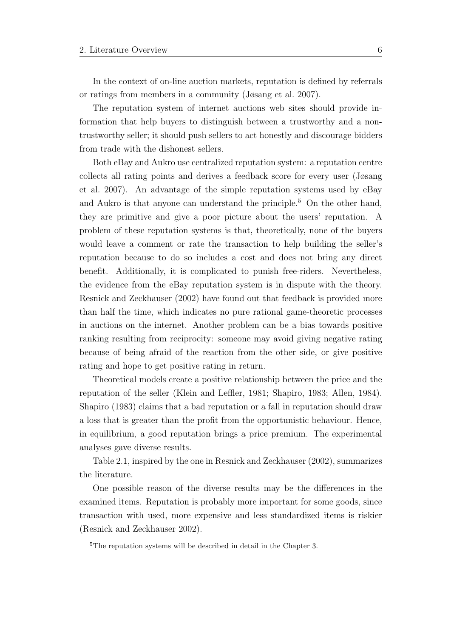In the context of on-line auction markets, reputation is defined by referrals or ratings from members in a community [\(Jøsang et al.](#page-105-3) [2007\)](#page-105-3).

The reputation system of internet auctions web sites should provide information that help buyers to distinguish between a trustworthy and a nontrustworthy seller; it should push sellers to act honestly and discourage bidders from trade with the dishonest sellers.

Both eBay and Aukro use centralized reputation system: a reputation centre collects all rating points and derives a feedback score for every user [\(Jøsang](#page-105-3) [et al.](#page-105-3) [2007\)](#page-105-3). An advantage of the simple reputation systems used by eBay and Aukro is that anyone can understand the principle.[5](#page-20-0) On the other hand, they are primitive and give a poor picture about the users' reputation. A problem of these reputation systems is that, theoretically, none of the buyers would leave a comment or rate the transaction to help building the seller's reputation because to do so includes a cost and does not bring any direct benefit. Additionally, it is complicated to punish free-riders. Nevertheless, the evidence from the eBay reputation system is in dispute with the theory. [Resnick and Zeckhauser](#page-107-1) [\(2002\)](#page-107-1) have found out that feedback is provided more than half the time, which indicates no pure rational game-theoretic processes in auctions on the internet. Another problem can be a bias towards positive ranking resulting from reciprocity: someone may avoid giving negative rating because of being afraid of the reaction from the other side, or give positive rating and hope to get positive rating in return.

Theoretical models create a positive relationship between the price and the reputation of the seller [\(Klein and Leffler,](#page-106-3) 1981; [Shapiro,](#page-107-2) 1983; [Allen,](#page-104-4) 1984). [Shapiro](#page-107-2) [\(1983\)](#page-107-2) claims that a bad reputation or a fall in reputation should draw a loss that is greater than the profit from the opportunistic behaviour. Hence, in equilibrium, a good reputation brings a price premium. The experimental analyses gave diverse results.

Table 2.1, inspired by the one in [Resnick and Zeckhauser](#page-107-1) [\(2002\)](#page-107-1), summarizes the literature.

One possible reason of the diverse results may be the differences in the examined items. Reputation is probably more important for some goods, since transaction with used, more expensive and less standardized items is riskier [\(Resnick and Zeckhauser](#page-107-1) [2002\)](#page-107-1).

<span id="page-20-0"></span><sup>&</sup>lt;sup>5</sup>The reputation systems will be described in detail in the Chapter 3.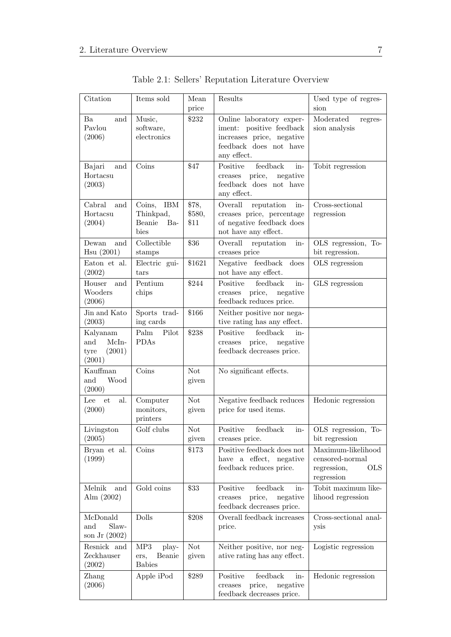<span id="page-21-0"></span>

| Citation                                             | Items sold                                                 | Mean<br>price           | Results                                                                                                                    | Used type of regres-<br>sion                                                     |
|------------------------------------------------------|------------------------------------------------------------|-------------------------|----------------------------------------------------------------------------------------------------------------------------|----------------------------------------------------------------------------------|
| Ba<br>and<br>Pavlou<br>(2006)                        | Music,<br>software,<br>electronics                         | \$232                   | Online laboratory exper-<br>iment: positive feedback<br>increases price, negative<br>feedback does not have<br>any effect. | Moderated<br>regres-<br>sion analysis                                            |
| Bajari<br>and<br>Hortacsu<br>(2003)                  | Coins                                                      | \$47                    | ${\rm feedback}$<br>Positive<br>in-<br>price,<br>negative<br>creases<br>feedback does not have<br>any effect.              | Tobit regression                                                                 |
| Cabral<br>and<br>Hortacsu<br>(2004)                  | <b>IBM</b><br>Coins,<br>Thinkpad,<br>Beanie<br>Ba-<br>bies | \$78,<br>\$580,<br>\$11 | Overall<br>reputation<br>in-<br>creases price, percentage<br>of negative feedback does<br>not have any effect.             | Cross-sectional<br>regression                                                    |
| Dewan<br>and<br>Hsu(2001)                            | Collectible<br>stamps                                      | \$36                    | Overall<br>in-<br>reputation<br>creases price                                                                              | OLS regression, To-<br>bit regression.                                           |
| Eaton et al.<br>(2002)                               | Electric gui-<br>tars                                      | \$1621                  | feedback<br>does<br>Negative<br>not have any effect.                                                                       | OLS regression                                                                   |
| Houser<br>and<br>Wooders<br>(2006)                   | Pentium<br>chips                                           | \$244                   | feedback<br>Positive<br>in-<br>price,<br>negative<br>creases<br>feedback reduces price.                                    | GLS regression                                                                   |
| Jin and Kato<br>(2003)                               | Sports trad-<br>ing cards                                  | \$166                   | Neither positive nor nega-<br>tive rating has any effect.                                                                  |                                                                                  |
| Kalyanam<br>McIn-<br>and<br>(2001)<br>tyre<br>(2001) | Palm<br>Pilot<br><b>PDAs</b>                               | \$238                   | Positive<br>feedback<br>in-<br>price,<br>negative<br>creases<br>feedback decreases price.                                  |                                                                                  |
| Kauffman<br>Wood<br>and<br>(2000)                    | Coins                                                      | <b>Not</b><br>given     | No significant effects.                                                                                                    |                                                                                  |
| al.<br>et<br>Lee<br>(2000)                           | Computer<br>monitors,<br>printers                          | <b>Not</b><br>given     | Negative feedback reduces<br>price for used items.                                                                         | Hedonic regression                                                               |
| Livingston<br>(2005)                                 | Golf clubs                                                 | <b>Not</b><br>given     | Positive<br>feedback<br>in-<br>creases price.                                                                              | OLS regression, To-<br>bit regression                                            |
| Bryan et al.<br>(1999)                               | Coins                                                      | \$173                   | Positive feedback does not<br>have a effect, negative<br>feedback reduces price.                                           | Maximum-likelihood<br>censored-normal<br>regression,<br><b>OLS</b><br>regression |
| Melnik<br>and<br>Alm $(2002)$                        | Gold coins                                                 | \$33                    | feedback<br>Positive<br>in-<br>price,<br>negative<br>creases<br>feedback decreases price.                                  | Tobit maximum like-<br>lihood regression                                         |
| McDonald<br>Slaw-<br>and<br>son Jr $(2002)$          | Dolls                                                      | \$208                   | Overall feedback increases<br>price.                                                                                       | Cross-sectional anal-<br>ysis                                                    |
| Resnick and<br>Zeckhauser<br>(2002)                  | MP3<br>play-<br>Beanie<br>ers,<br><b>Babies</b>            | <b>Not</b><br>given     | Neither positive, nor neg-<br>ative rating has any effect.                                                                 | Logistic regression                                                              |
| Zhang<br>(2006)                                      | Apple iPod                                                 | \$289                   | Positive<br>feedback<br>in-<br>price,<br>negative<br>$\it{creases}$<br>feedback decreases price.                           | Hedonic regression                                                               |

Table 2.1: Sellers' Reputation Literature Overview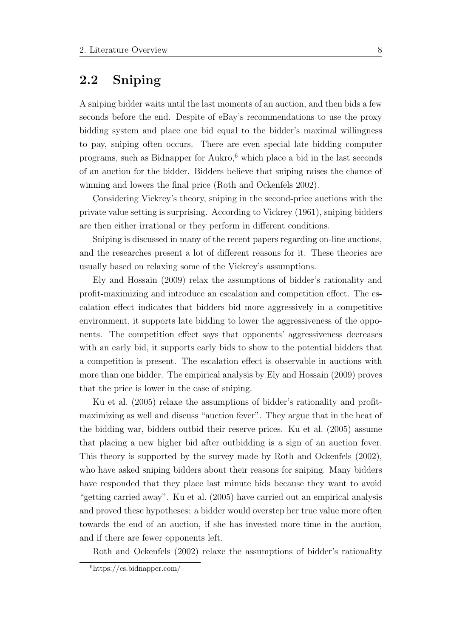#### <span id="page-22-0"></span>2.2 Sniping

A sniping bidder waits until the last moments of an auction, and then bids a few seconds before the end. Despite of eBay's recommendations to use the proxy bidding system and place one bid equal to the bidder's maximal willingness to pay, sniping often occurs. There are even special late bidding computer programs, such as Bidnapper for Aukro, $6$  which place a bid in the last seconds of an auction for the bidder. Bidders believe that sniping raises the chance of winning and lowers the final price [\(Roth and Ockenfels](#page-107-4) [2002\)](#page-107-4).

Considering Vickrey's theory, sniping in the second-price auctions with the private value setting is surprising. According to [Vickrey](#page-107-0) [\(1961\)](#page-107-0), sniping bidders are then either irrational or they perform in different conditions.

Sniping is discussed in many of the recent papers regarding on-line auctions, and the researches present a lot of different reasons for it. These theories are usually based on relaxing some of the Vickrey's assumptions.

[Ely and Hossain](#page-105-8) [\(2009\)](#page-105-8) relax the assumptions of bidder's rationality and profit-maximizing and introduce an escalation and competition effect. The escalation effect indicates that bidders bid more aggressively in a competitive environment, it supports late bidding to lower the aggressiveness of the opponents. The competition effect says that opponents' aggressiveness decreases with an early bid, it supports early bids to show to the potential bidders that a competition is present. The escalation effect is observable in auctions with more than one bidder. The empirical analysis by [Ely and Hossain](#page-105-8) [\(2009\)](#page-105-8) proves that the price is lower in the case of sniping.

[Ku et al.](#page-106-8) [\(2005\)](#page-106-8) relaxe the assumptions of bidder's rationality and profitmaximizing as well and discuss "auction fever". They argue that in the heat of the bidding war, bidders outbid their reserve prices. [Ku et al.](#page-106-8) [\(2005\)](#page-106-8) assume that placing a new higher bid after outbidding is a sign of an auction fever. This theory is supported by the survey made by [Roth and Ockenfels](#page-107-4) [\(2002\)](#page-107-4), who have asked sniping bidders about their reasons for sniping. Many bidders have responded that they place last minute bids because they want to avoid "getting carried away". [Ku et al.](#page-106-8) [\(2005\)](#page-106-8) have carried out an empirical analysis and proved these hypotheses: a bidder would overstep her true value more often towards the end of an auction, if she has invested more time in the auction, and if there are fewer opponents left.

[Roth and Ockenfels](#page-107-4) [\(2002\)](#page-107-4) relaxe the assumptions of bidder's rationality

<span id="page-22-1"></span> $6$ https://cs.bidnapper.com/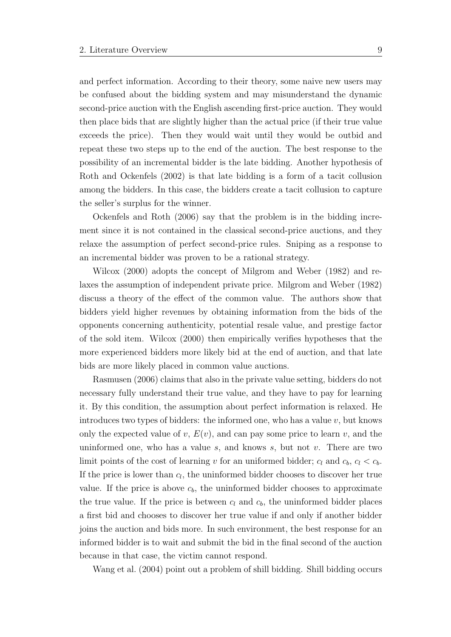and perfect information. According to their theory, some naive new users may be confused about the bidding system and may misunderstand the dynamic second-price auction with the English ascending first-price auction. They would then place bids that are slightly higher than the actual price (if their true value exceeds the price). Then they would wait until they would be outbid and repeat these two steps up to the end of the auction. The best response to the possibility of an incremental bidder is the late bidding. Another hypothesis of [Roth and Ockenfels](#page-107-4) [\(2002\)](#page-107-4) is that late bidding is a form of a tacit collusion among the bidders. In this case, the bidders create a tacit collusion to capture the seller's surplus for the winner.

[Ockenfels and Roth](#page-106-9) [\(2006\)](#page-106-9) say that the problem is in the bidding increment since it is not contained in the classical second-price auctions, and they relaxe the assumption of perfect second-price rules. Sniping as a response to an incremental bidder was proven to be a rational strategy.

[Wilcox](#page-107-5) [\(2000\)](#page-107-5) adopts the concept of [Milgrom and Weber](#page-106-10) [\(1982\)](#page-106-10) and relaxes the assumption of independent private price. [Milgrom and Weber](#page-106-10) [\(1982\)](#page-106-10) discuss a theory of the effect of the common value. The authors show that bidders yield higher revenues by obtaining information from the bids of the opponents concerning authenticity, potential resale value, and prestige factor of the sold item. [Wilcox](#page-107-5) [\(2000\)](#page-107-5) then empirically verifies hypotheses that the more experienced bidders more likely bid at the end of auction, and that late bids are more likely placed in common value auctions.

[Rasmusen](#page-107-6) [\(2006\)](#page-107-6) claims that also in the private value setting, bidders do not necessary fully understand their true value, and they have to pay for learning it. By this condition, the assumption about perfect information is relaxed. He introduces two types of bidders: the informed one, who has a value  $v$ , but knows only the expected value of v,  $E(v)$ , and can pay some price to learn v, and the uninformed one, who has a value  $s$ , and knows  $s$ , but not  $v$ . There are two limit points of the cost of learning v for an uniformed bidder;  $c_l$  and  $c_b$ ,  $c_l < c_b$ . If the price is lower than  $c_l$ , the uninformed bidder chooses to discover her true value. If the price is above  $c<sub>b</sub>$ , the uninformed bidder chooses to approximate the true value. If the price is between  $c_l$  and  $c_b$ , the uninformed bidder places a first bid and chooses to discover her true value if and only if another bidder joins the auction and bids more. In such environment, the best response for an informed bidder is to wait and submit the bid in the final second of the auction because in that case, the victim cannot respond.

[Wang et al.](#page-107-7) [\(2004\)](#page-107-7) point out a problem of shill bidding. Shill bidding occurs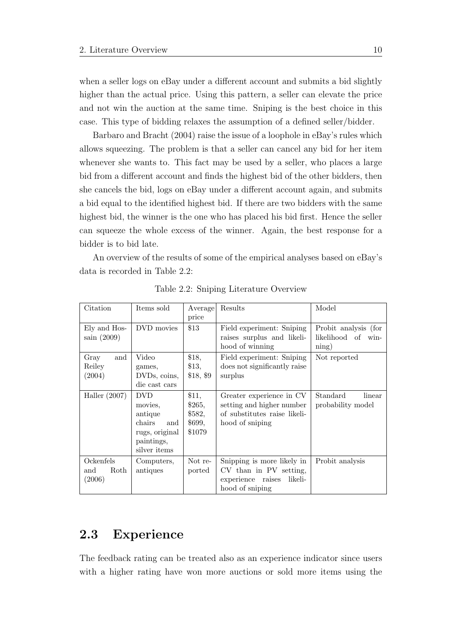when a seller logs on eBay under a different account and submits a bid slightly higher than the actual price. Using this pattern, a seller can elevate the price and not win the auction at the same time. Sniping is the best choice in this case. This type of bidding relaxes the assumption of a defined seller/bidder.

[Barbaro and Bracht](#page-104-10) [\(2004\)](#page-104-10) raise the issue of a loophole in eBay's rules which allows squeezing. The problem is that a seller can cancel any bid for her item whenever she wants to. This fact may be used by a seller, who places a large bid from a different account and finds the highest bid of the other bidders, then she cancels the bid, logs on eBay under a different account again, and submits a bid equal to the identified highest bid. If there are two bidders with the same highest bid, the winner is the one who has placed his bid first. Hence the seller can squeeze the whole excess of the winner. Again, the best response for a bidder is to bid late.

<span id="page-24-1"></span>An overview of the results of some of the empirical analyses based on eBay's data is recorded in Table 2.2:

| Citation                           | Items sold                                                                                        | Average<br>price                              | Results                                                                                                  | Model                                                                |
|------------------------------------|---------------------------------------------------------------------------------------------------|-----------------------------------------------|----------------------------------------------------------------------------------------------------------|----------------------------------------------------------------------|
| Ely and Hos-<br>sain $(2009)$      | DVD movies                                                                                        | \$13                                          | Field experiment: Sniping<br>raises surplus and likeli-<br>hood of winning                               | Probit analysis (for<br>likelihood of<br>win-<br>$\min_{\mathbf{g}}$ |
| Gray<br>and<br>Reiley<br>(2004)    | Video<br>games,<br>DVDs, coins,<br>die cast cars                                                  | \$18,<br>\$13,<br>\$18, \$9                   | Field experiment: Sniping<br>does not significantly raise<br>surplus                                     | Not reported                                                         |
| Haller $(2007)$                    | <b>DVD</b><br>movies,<br>antique<br>chairs<br>and<br>rugs, original<br>paintings,<br>silver items | \$11,<br>\$265,<br>\$582,<br>\$699,<br>\$1079 | Greater experience in CV<br>setting and higher number<br>of substitutes raise likeli-<br>hood of sniping | Standard<br>linear<br>probability model                              |
| Ockenfels<br>Roth<br>and<br>(2006) | Computers,<br>antiques                                                                            | Not re-<br>ported                             | Snipping is more likely in<br>CV than in PV setting,<br>likeli-<br>experience raises<br>hood of sniping  | Probit analysis                                                      |

Table 2.2: Sniping Literature Overview

#### <span id="page-24-0"></span>2.3 Experience

The feedback rating can be treated also as an experience indicator since users with a higher rating have won more auctions or sold more items using the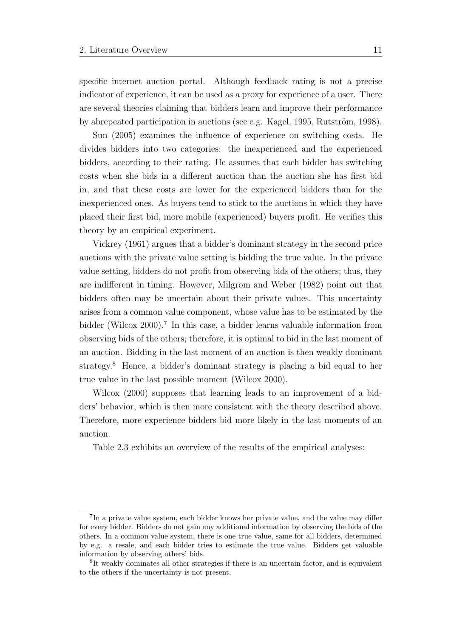specific internet auction portal. Although feedback rating is not a precise indicator of experience, it can be used as a proxy for experience of a user. There are several theories claiming that bidders learn and improve their performance by abrepeated participation in auctions (see e.g. [Kagel,](#page-105-11) 1995, Rutström, 1998).

[Sun](#page-107-9) [\(2005\)](#page-107-9) examines the influence of experience on switching costs. He divides bidders into two categories: the inexperienced and the experienced bidders, according to their rating. He assumes that each bidder has switching costs when she bids in a different auction than the auction she has first bid in, and that these costs are lower for the experienced bidders than for the inexperienced ones. As buyers tend to stick to the auctions in which they have placed their first bid, more mobile (experienced) buyers profit. He verifies this theory by an empirical experiment.

[Vickrey](#page-107-0) [\(1961\)](#page-107-0) argues that a bidder's dominant strategy in the second price auctions with the private value setting is bidding the true value. In the private value setting, bidders do not profit from observing bids of the others; thus, they are indifferent in timing. However, [Milgrom and Weber](#page-106-10) [\(1982\)](#page-106-10) point out that bidders often may be uncertain about their private values. This uncertainty arises from a common value component, whose value has to be estimated by the bidder [\(Wilcox](#page-107-5) [2000\)](#page-107-5).<sup>[7](#page-25-0)</sup> In this case, a bidder learns valuable information from observing bids of the others; therefore, it is optimal to bid in the last moment of an auction. Bidding in the last moment of an auction is then weakly dominant strategy.[8](#page-25-1) Hence, a bidder's dominant strategy is placing a bid equal to her true value in the last possible moment [\(Wilcox](#page-107-5) [2000\)](#page-107-5).

[Wilcox](#page-107-5) [\(2000\)](#page-107-5) supposes that learning leads to an improvement of a bidders' behavior, which is then more consistent with the theory described above. Therefore, more experience bidders bid more likely in the last moments of an auction.

Table 2.3 exhibits an overview of the results of the empirical analyses:

<span id="page-25-0"></span><sup>7</sup> In a private value system, each bidder knows her private value, and the value may differ for every bidder. Bidders do not gain any additional information by observing the bids of the others. In a common value system, there is one true value, same for all bidders, determined by e.g. a resale, and each bidder tries to estimate the true value. Bidders get valuable information by observing others' bids.

<span id="page-25-1"></span><sup>8</sup> It weakly dominates all other strategies if there is an uncertain factor, and is equivalent to the others if the uncertainty is not present.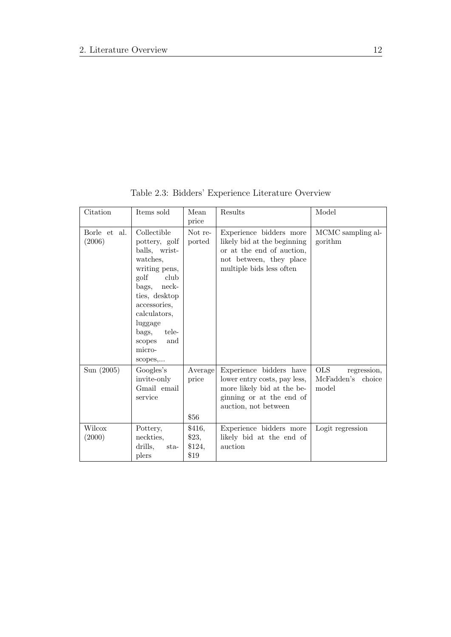<span id="page-26-0"></span>

| Citation               | Items sold                                                                                                                                                                                                                    | Mean<br>price                       | Results                                                                                                                                    | Model                                                   |
|------------------------|-------------------------------------------------------------------------------------------------------------------------------------------------------------------------------------------------------------------------------|-------------------------------------|--------------------------------------------------------------------------------------------------------------------------------------------|---------------------------------------------------------|
| Borle et al.<br>(2006) | Collectible<br>pottery, golf<br>balls, wrist-<br>watches,<br>writing pens,<br>golf<br>club<br>bags, neck-<br>ties, desktop<br>accessories,<br>calculators,<br>luggage<br>tele-<br>bags,<br>and<br>scopes<br>micro-<br>scopes, | Not re-<br>ported                   | Experience bidders more<br>likely bid at the beginning<br>or at the end of auction,<br>not between, they place<br>multiple bids less often | MCMC sampling al-<br>gorithm                            |
| Sun (2005)             | Googles's<br>invite-only<br>Gmail email<br>service                                                                                                                                                                            | Average<br>price<br>\$56            | Experience bidders have<br>lower entry costs, pay less,<br>more likely bid at the be-<br>ginning or at the end of<br>auction, not between  | <b>OLS</b><br>regression,<br>McFadden's choice<br>model |
| Wilcox<br>(2000)       | Pottery,<br>neckties,<br>drills,<br>$_{\rm sta-}$<br>plers                                                                                                                                                                    | \$416,<br>\$23,<br>\$124,<br>$\$19$ | Experience bidders more<br>likely bid at the end of<br>auction                                                                             | Logit regression                                        |

Table 2.3: Bidders' Experience Literature Overview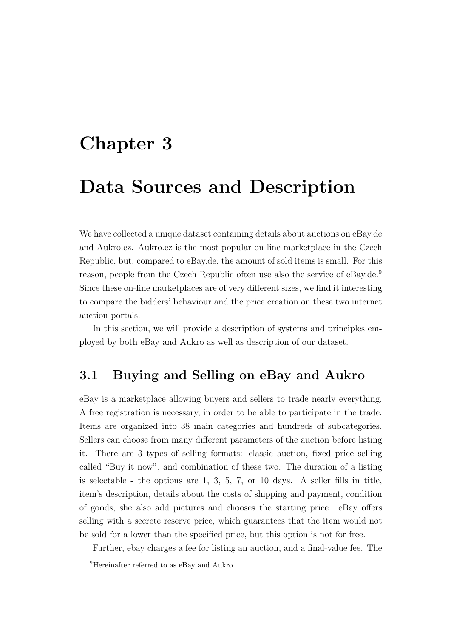## <span id="page-27-0"></span>Chapter 3

### Data Sources and Description

We have collected a unique dataset containing details about auctions on eBay.de and Aukro.cz. Aukro.cz is the most popular on-line marketplace in the Czech Republic, but, compared to eBay.de, the amount of sold items is small. For this reason, people from the Czech Republic often use also the service of eBay.de.<sup>[9](#page-27-2)</sup> Since these on-line marketplaces are of very different sizes, we find it interesting to compare the bidders' behaviour and the price creation on these two internet auction portals.

In this section, we will provide a description of systems and principles employed by both eBay and Aukro as well as description of our dataset.

#### <span id="page-27-1"></span>3.1 Buying and Selling on eBay and Aukro

eBay is a marketplace allowing buyers and sellers to trade nearly everything. A free registration is necessary, in order to be able to participate in the trade. Items are organized into 38 main categories and hundreds of subcategories. Sellers can choose from many different parameters of the auction before listing it. There are 3 types of selling formats: classic auction, fixed price selling called "Buy it now", and combination of these two. The duration of a listing is selectable - the options are 1, 3, 5, 7, or 10 days. A seller fills in title, item's description, details about the costs of shipping and payment, condition of goods, she also add pictures and chooses the starting price. eBay offers selling with a secrete reserve price, which guarantees that the item would not be sold for a lower than the specified price, but this option is not for free.

Further, ebay charges a fee for listing an auction, and a final-value fee. The

<span id="page-27-2"></span><sup>&</sup>lt;sup>9</sup>Hereinafter referred to as eBay and Aukro.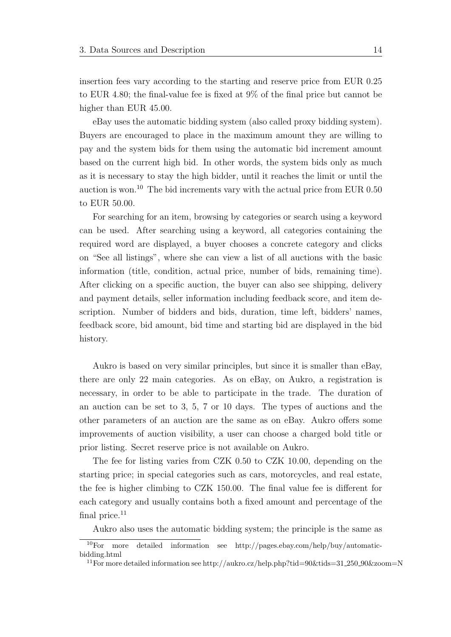insertion fees vary according to the starting and reserve price from EUR 0.25 to EUR 4.80; the final-value fee is fixed at 9% of the final price but cannot be higher than EUR  $45.00$ .

eBay uses the automatic bidding system (also called proxy bidding system). Buyers are encouraged to place in the maximum amount they are willing to pay and the system bids for them using the automatic bid increment amount based on the current high bid. In other words, the system bids only as much as it is necessary to stay the high bidder, until it reaches the limit or until the auction is won.[10](#page-28-0) The bid increments vary with the actual price from EUR 0.50 to EUR 50.00.

For searching for an item, browsing by categories or search using a keyword can be used. After searching using a keyword, all categories containing the required word are displayed, a buyer chooses a concrete category and clicks on "See all listings", where she can view a list of all auctions with the basic information (title, condition, actual price, number of bids, remaining time). After clicking on a specific auction, the buyer can also see shipping, delivery and payment details, seller information including feedback score, and item description. Number of bidders and bids, duration, time left, bidders' names, feedback score, bid amount, bid time and starting bid are displayed in the bid history.

Aukro is based on very similar principles, but since it is smaller than eBay, there are only 22 main categories. As on eBay, on Aukro, a registration is necessary, in order to be able to participate in the trade. The duration of an auction can be set to 3, 5, 7 or 10 days. The types of auctions and the other parameters of an auction are the same as on eBay. Aukro offers some improvements of auction visibility, a user can choose a charged bold title or prior listing. Secret reserve price is not available on Aukro.

The fee for listing varies from CZK 0.50 to CZK 10.00, depending on the starting price; in special categories such as cars, motorcycles, and real estate, the fee is higher climbing to CZK 150.00. The final value fee is different for each category and usually contains both a fixed amount and percentage of the final price. $^{11}$  $^{11}$  $^{11}$ 

Aukro also uses the automatic bidding system; the principle is the same as

<span id="page-28-0"></span><sup>10</sup>For more detailed information see http://pages.ebay.com/help/buy/automaticbidding.html

<span id="page-28-1"></span><sup>&</sup>lt;sup>11</sup>For more detailed information see http://aukro.cz/help.php?tid=90&tids=31\_250\_90&zoom=N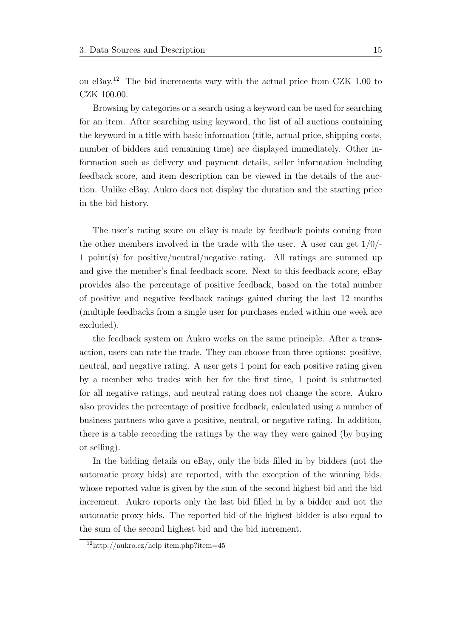on eBay.[12](#page-29-0) The bid increments vary with the actual price from CZK 1.00 to CZK 100.00.

Browsing by categories or a search using a keyword can be used for searching for an item. After searching using keyword, the list of all auctions containing the keyword in a title with basic information (title, actual price, shipping costs, number of bidders and remaining time) are displayed immediately. Other information such as delivery and payment details, seller information including feedback score, and item description can be viewed in the details of the auction. Unlike eBay, Aukro does not display the duration and the starting price in the bid history.

The user's rating score on eBay is made by feedback points coming from the other members involved in the trade with the user. A user can get  $1/0/-$ 1 point(s) for positive/neutral/negative rating. All ratings are summed up and give the member's final feedback score. Next to this feedback score, eBay provides also the percentage of positive feedback, based on the total number of positive and negative feedback ratings gained during the last 12 months (multiple feedbacks from a single user for purchases ended within one week are excluded).

the feedback system on Aukro works on the same principle. After a transaction, users can rate the trade. They can choose from three options: positive, neutral, and negative rating. A user gets 1 point for each positive rating given by a member who trades with her for the first time, 1 point is subtracted for all negative ratings, and neutral rating does not change the score. Aukro also provides the percentage of positive feedback, calculated using a number of business partners who gave a positive, neutral, or negative rating. In addition, there is a table recording the ratings by the way they were gained (by buying or selling).

In the bidding details on eBay, only the bids filled in by bidders (not the automatic proxy bids) are reported, with the exception of the winning bids, whose reported value is given by the sum of the second highest bid and the bid increment. Aukro reports only the last bid filled in by a bidder and not the automatic proxy bids. The reported bid of the highest bidder is also equal to the sum of the second highest bid and the bid increment.

<span id="page-29-0"></span> $12$ http://aukro.cz/help\_item.php?item=45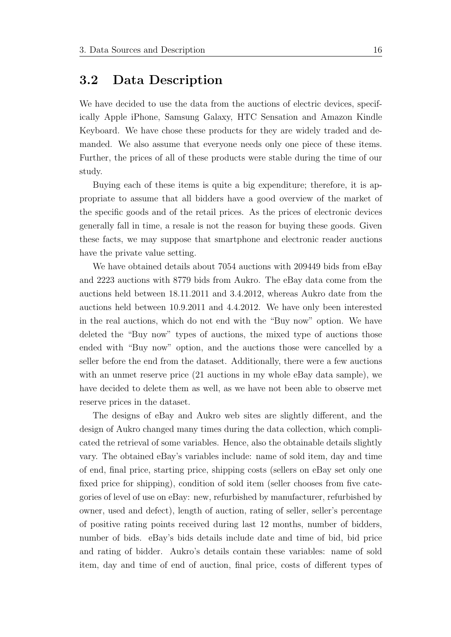#### <span id="page-30-0"></span>3.2 Data Description

We have decided to use the data from the auctions of electric devices, specifically Apple iPhone, Samsung Galaxy, HTC Sensation and Amazon Kindle Keyboard. We have chose these products for they are widely traded and demanded. We also assume that everyone needs only one piece of these items. Further, the prices of all of these products were stable during the time of our study.

Buying each of these items is quite a big expenditure; therefore, it is appropriate to assume that all bidders have a good overview of the market of the specific goods and of the retail prices. As the prices of electronic devices generally fall in time, a resale is not the reason for buying these goods. Given these facts, we may suppose that smartphone and electronic reader auctions have the private value setting.

We have obtained details about 7054 auctions with 209449 bids from eBay and 2223 auctions with 8779 bids from Aukro. The eBay data come from the auctions held between 18.11.2011 and 3.4.2012, whereas Aukro date from the auctions held between 10.9.2011 and 4.4.2012. We have only been interested in the real auctions, which do not end with the "Buy now" option. We have deleted the "Buy now" types of auctions, the mixed type of auctions those ended with "Buy now" option, and the auctions those were cancelled by a seller before the end from the dataset. Additionally, there were a few auctions with an unmet reserve price  $(21 \text{ auctions in my whole}$  eBay data sample), we have decided to delete them as well, as we have not been able to observe met reserve prices in the dataset.

The designs of eBay and Aukro web sites are slightly different, and the design of Aukro changed many times during the data collection, which complicated the retrieval of some variables. Hence, also the obtainable details slightly vary. The obtained eBay's variables include: name of sold item, day and time of end, final price, starting price, shipping costs (sellers on eBay set only one fixed price for shipping), condition of sold item (seller chooses from five categories of level of use on eBay: new, refurbished by manufacturer, refurbished by owner, used and defect), length of auction, rating of seller, seller's percentage of positive rating points received during last 12 months, number of bidders, number of bids. eBay's bids details include date and time of bid, bid price and rating of bidder. Aukro's details contain these variables: name of sold item, day and time of end of auction, final price, costs of different types of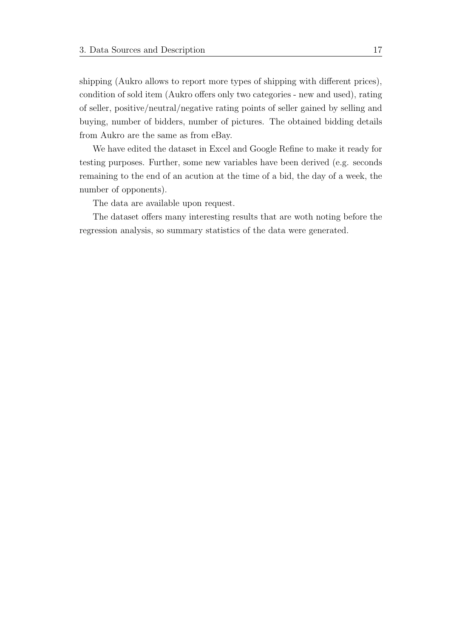shipping (Aukro allows to report more types of shipping with different prices), condition of sold item (Aukro offers only two categories - new and used), rating of seller, positive/neutral/negative rating points of seller gained by selling and buying, number of bidders, number of pictures. The obtained bidding details from Aukro are the same as from eBay.

We have edited the dataset in Excel and Google Refine to make it ready for testing purposes. Further, some new variables have been derived (e.g. seconds remaining to the end of an acution at the time of a bid, the day of a week, the number of opponents).

The data are available upon request.

The dataset offers many interesting results that are woth noting before the regression analysis, so summary statistics of the data were generated.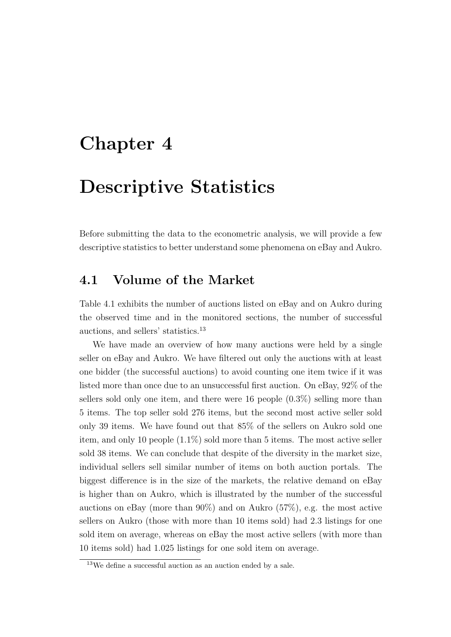### <span id="page-32-0"></span>Chapter 4

### Descriptive Statistics

Before submitting the data to the econometric analysis, we will provide a few descriptive statistics to better understand some phenomena on eBay and Aukro.

### <span id="page-32-1"></span>4.1 Volume of the Market

Table 4.1 exhibits the number of auctions listed on eBay and on Aukro during the observed time and in the monitored sections, the number of successful auctions, and sellers' statistics.[13](#page-32-2)

We have made an overview of how many auctions were held by a single seller on eBay and Aukro. We have filtered out only the auctions with at least one bidder (the successful auctions) to avoid counting one item twice if it was listed more than once due to an unsuccessful first auction. On eBay, 92% of the sellers sold only one item, and there were 16 people (0.3%) selling more than 5 items. The top seller sold 276 items, but the second most active seller sold only 39 items. We have found out that 85% of the sellers on Aukro sold one item, and only 10 people (1.1%) sold more than 5 items. The most active seller sold 38 items. We can conclude that despite of the diversity in the market size, individual sellers sell similar number of items on both auction portals. The biggest difference is in the size of the markets, the relative demand on eBay is higher than on Aukro, which is illustrated by the number of the successful auctions on eBay (more than 90%) and on Aukro (57%), e.g. the most active sellers on Aukro (those with more than 10 items sold) had 2.3 listings for one sold item on average, whereas on eBay the most active sellers (with more than 10 items sold) had 1.025 listings for one sold item on average.

<span id="page-32-2"></span><sup>13</sup>We define a successful auction as an auction ended by a sale.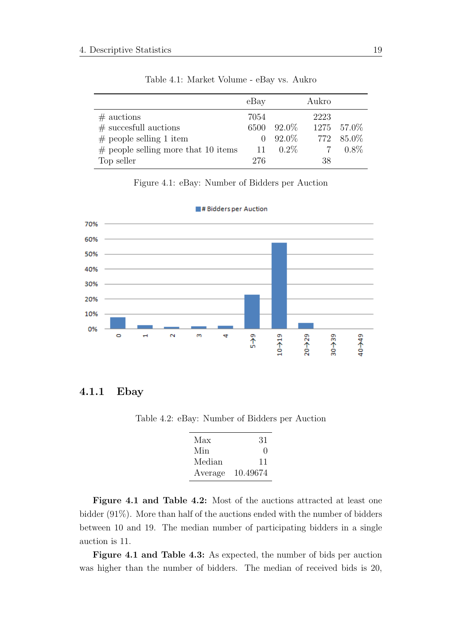<span id="page-33-1"></span>

|                                        | eBay         |             | Aukro |             |
|----------------------------------------|--------------|-------------|-------|-------------|
| $#$ auctions                           | 7054         |             | 2223  |             |
| $#$ succesfull auctions                |              | 6500 92.0\% |       | 1275 57.0\% |
| $#$ people selling 1 item              | $\mathbf{0}$ | 92.0%       |       | 772 85.0\%  |
| $\#$ people selling more that 10 items | 11           | $0.2\%$     |       | $0.8\%$     |
| Top seller                             | 276          |             | 38    |             |

Table 4.1: Market Volume - eBay vs. Aukro

#### Figure 4.1: eBay: Number of Bidders per Auction

<span id="page-33-3"></span>

# Bidders per Auction

#### <span id="page-33-2"></span><span id="page-33-0"></span>4.1.1 Ebay

Table 4.2: eBay: Number of Bidders per Auction

| Max     | 31                |
|---------|-------------------|
| Min     | $\mathbf{\Omega}$ |
| Median  | 11                |
| Average | 10.49674          |

Figure 4.1 and Table 4.2: Most of the auctions attracted at least one bidder (91%). More than half of the auctions ended with the number of bidders between 10 and 19. The median number of participating bidders in a single auction is 11.

Figure 4.1 and Table 4.3: As expected, the number of bids per auction was higher than the number of bidders. The median of received bids is 20,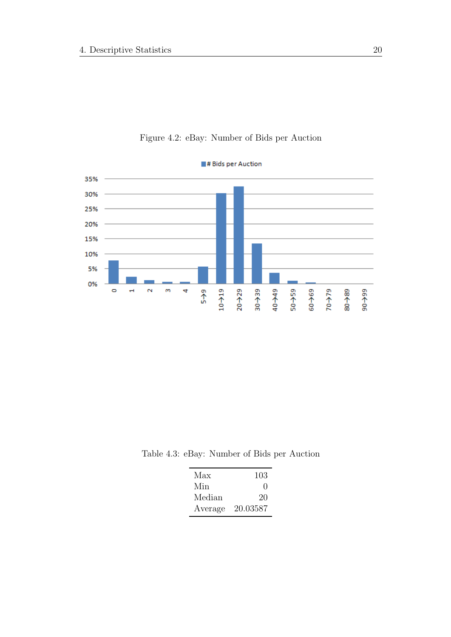<span id="page-34-1"></span>

Figure 4.2: eBay: Number of Bids per Auction

<span id="page-34-0"></span>Table 4.3: eBay: Number of Bids per Auction

| Max     | 103               |
|---------|-------------------|
| Min     | $\mathbf{\Omega}$ |
| Median  | 20                |
| Average | 20.03587          |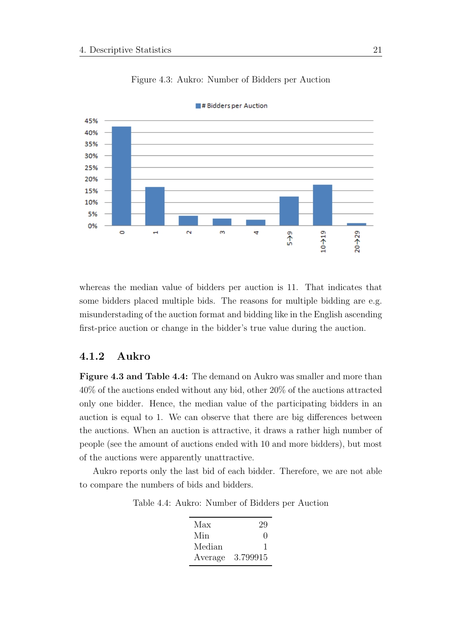<span id="page-35-2"></span>

Figure 4.3: Aukro: Number of Bidders per Auction

# Bidders per Auction

whereas the median value of bidders per auction is 11. That indicates that some bidders placed multiple bids. The reasons for multiple bidding are e.g. misunderstading of the auction format and bidding like in the English ascending first-price auction or change in the bidder's true value during the auction.

#### <span id="page-35-0"></span>4.1.2 Aukro

Figure 4.3 and Table 4.4: The demand on Aukro was smaller and more than 40% of the auctions ended without any bid, other 20% of the auctions attracted only one bidder. Hence, the median value of the participating bidders in an auction is equal to 1. We can observe that there are big differences between the auctions. When an auction is attractive, it draws a rather high number of people (see the amount of auctions ended with 10 and more bidders), but most of the auctions were apparently unattractive.

<span id="page-35-1"></span>Aukro reports only the last bid of each bidder. Therefore, we are not able to compare the numbers of bids and bidders.

Table 4.4: Aukro: Number of Bidders per Auction

| Max     | 29           |
|---------|--------------|
| Min     | $\mathbf{I}$ |
| Median  |              |
| Average | 3.799915     |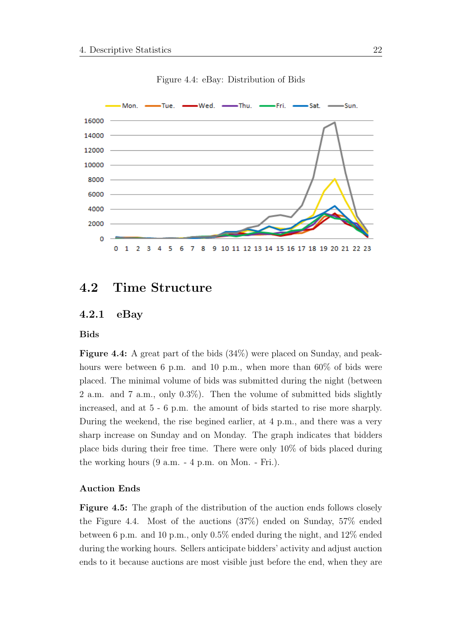

Figure 4.4: eBay: Distribution of Bids

# 4.2 Time Structure

#### 4.2.1 eBay

#### Bids

Figure 4.4: A great part of the bids (34%) were placed on Sunday, and peakhours were between 6 p.m. and 10 p.m., when more than 60% of bids were placed. The minimal volume of bids was submitted during the night (between 2 a.m. and 7 a.m., only 0.3%). Then the volume of submitted bids slightly increased, and at 5 - 6 p.m. the amount of bids started to rise more sharply. During the weekend, the rise begined earlier, at 4 p.m., and there was a very sharp increase on Sunday and on Monday. The graph indicates that bidders place bids during their free time. There were only 10% of bids placed during the working hours (9 a.m. - 4 p.m. on Mon. - Fri.).

#### Auction Ends

Figure 4.5: The graph of the distribution of the auction ends follows closely the Figure 4.4. Most of the auctions (37%) ended on Sunday, 57% ended between 6 p.m. and 10 p.m., only 0.5% ended during the night, and 12% ended during the working hours. Sellers anticipate bidders' activity and adjust auction ends to it because auctions are most visible just before the end, when they are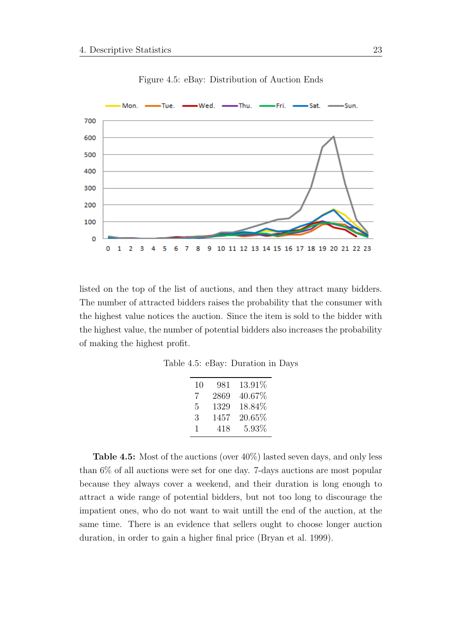

Figure 4.5: eBay: Distribution of Auction Ends

listed on the top of the list of auctions, and then they attract many bidders. The number of attracted bidders raises the probability that the consumer with the highest value notices the auction. Since the item is sold to the bidder with the highest value, the number of potential bidders also increases the probability of making the highest profit.

Table 4.5: eBay: Duration in Days

| 10 | 981  | 13.91%    |
|----|------|-----------|
| 7  | 2869 | $40.67\%$ |
| 5  | 1329 | 18.84\%   |
| 3  | 1457 | $20.65\%$ |
| 1  | 418  | $5.93\%$  |

Table 4.5: Most of the auctions (over 40%) lasted seven days, and only less than 6% of all auctions were set for one day. 7-days auctions are most popular because they always cover a weekend, and their duration is long enough to attract a wide range of potential bidders, but not too long to discourage the impatient ones, who do not want to wait untill the end of the auction, at the same time. There is an evidence that sellers ought to choose longer auction duration, in order to gain a higher final price [\(Bryan et al.](#page-104-0) [1999\)](#page-104-0).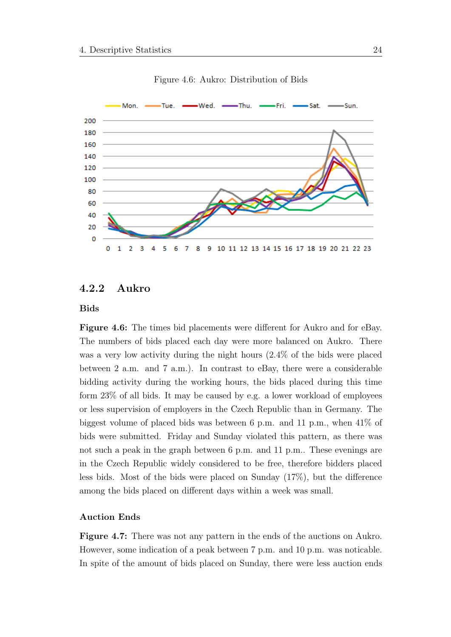

Figure 4.6: Aukro: Distribution of Bids

### 4.2.2 Aukro

Bids

Figure 4.6: The times bid placements were different for Aukro and for eBay. The numbers of bids placed each day were more balanced on Aukro. There was a very low activity during the night hours (2.4% of the bids were placed between 2 a.m. and 7 a.m.). In contrast to eBay, there were a considerable bidding activity during the working hours, the bids placed during this time form 23% of all bids. It may be caused by e.g. a lower workload of employees or less supervision of employers in the Czech Republic than in Germany. The biggest volume of placed bids was between 6 p.m. and 11 p.m., when 41% of bids were submitted. Friday and Sunday violated this pattern, as there was not such a peak in the graph between 6 p.m. and 11 p.m.. These evenings are in the Czech Republic widely considered to be free, therefore bidders placed less bids. Most of the bids were placed on Sunday (17%), but the difference among the bids placed on different days within a week was small.

#### Auction Ends

Figure 4.7: There was not any pattern in the ends of the auctions on Aukro. However, some indication of a peak between 7 p.m. and 10 p.m. was noticable. In spite of the amount of bids placed on Sunday, there were less auction ends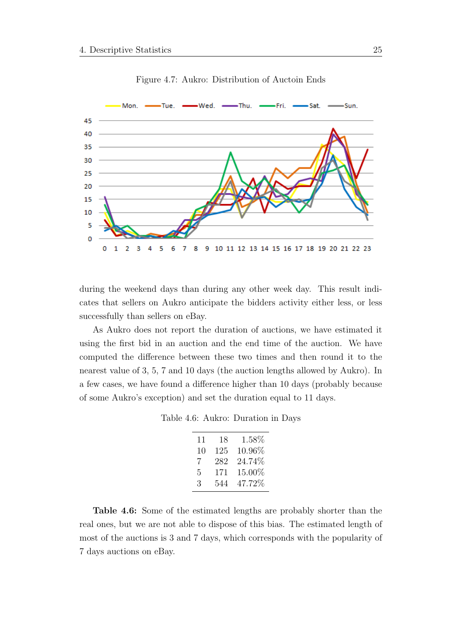

Figure 4.7: Aukro: Distribution of Auctoin Ends

during the weekend days than during any other week day. This result indicates that sellers on Aukro anticipate the bidders activity either less, or less successfully than sellers on eBay.

As Aukro does not report the duration of auctions, we have estimated it using the first bid in an auction and the end time of the auction. We have computed the difference between these two times and then round it to the nearest value of 3, 5, 7 and 10 days (the auction lengths allowed by Aukro). In a few cases, we have found a difference higher than 10 days (probably because of some Aukro's exception) and set the duration equal to 11 days.

Table 4.6: Aukro: Duration in Days

| 11 | 18  | 1.58\% |
|----|-----|--------|
| 10 | 125 | 10.96% |
| 7  | 282 | 24.74% |
| 5  | 171 | 15.00% |
| 3  | 544 | 47.72% |

Table 4.6: Some of the estimated lengths are probably shorter than the real ones, but we are not able to dispose of this bias. The estimated length of most of the auctions is 3 and 7 days, which corresponds with the popularity of 7 days auctions on eBay.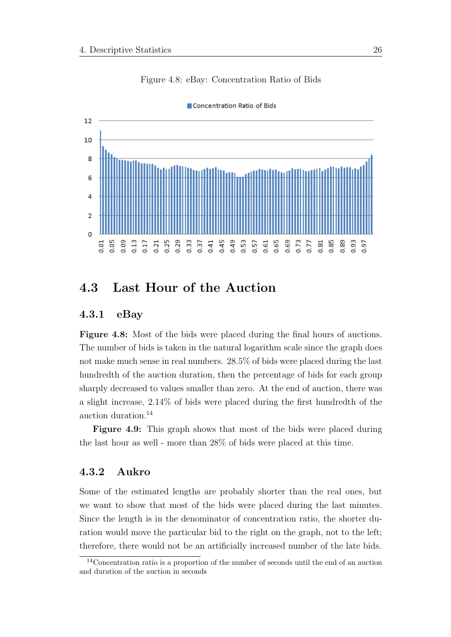

Figure 4.8: eBay: Concentration Ratio of Bids

4.3 Last Hour of the Auction

#### 4.3.1 eBay

Figure 4.8: Most of the bids were placed during the final hours of auctions. The number of bids is taken in the natural logarithm scale since the graph does not make much sense in real numbers. 28.5% of bids were placed during the last hundredth of the auction duration, then the percentage of bids for each group sharply decreased to values smaller than zero. At the end of auction, there was a slight increase, 2.14% of bids were placed during the first hundredth of the auction duration.[14](#page-40-0)

Figure 4.9: This graph shows that most of the bids were placed during the last hour as well - more than 28% of bids were placed at this time.

#### 4.3.2 Aukro

Some of the estimated lengths are probably shorter than the real ones, but we want to show that most of the bids were placed during the last minutes. Since the length is in the denominator of concentration ratio, the shorter duration would move the particular bid to the right on the graph, not to the left; therefore, there would not be an artificially increased number of the late bids.

<span id="page-40-0"></span><sup>14</sup>Concentration ratio is a proportion of the number of seconds until the end of an auction and duration of the auction in seconds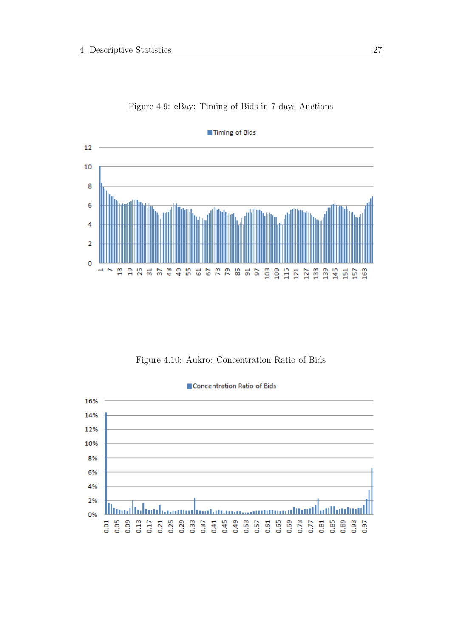

Figure 4.9: eBay: Timing of Bids in 7-days Auctions

Figure 4.10: Aukro: Concentration Ratio of Bids

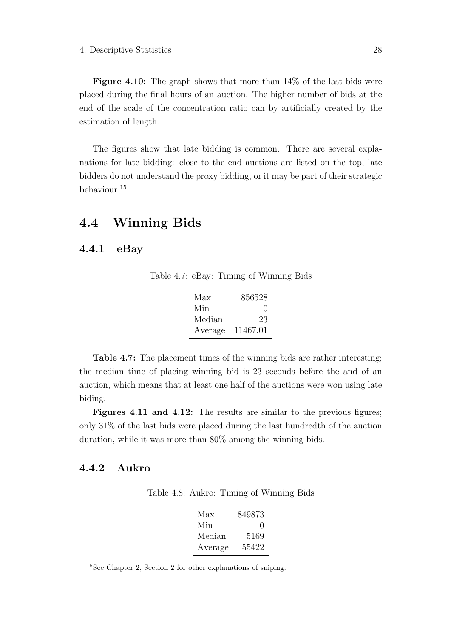Figure 4.10: The graph shows that more than 14% of the last bids were placed during the final hours of an auction. The higher number of bids at the end of the scale of the concentration ratio can by artificially created by the estimation of length.

The figures show that late bidding is common. There are several explanations for late bidding: close to the end auctions are listed on the top, late bidders do not understand the proxy bidding, or it may be part of their strategic behaviour.[15](#page-42-0)

# 4.4 Winning Bids

#### 4.4.1 eBay

Table 4.7: eBay: Timing of Winning Bids

| Max     | 856528       |
|---------|--------------|
| Min     | $\mathbf{I}$ |
| Median  | 23           |
| Average | 11467.01     |

Table 4.7: The placement times of the winning bids are rather interesting; the median time of placing winning bid is 23 seconds before the and of an auction, which means that at least one half of the auctions were won using late biding.

Figures 4.11 and 4.12: The results are similar to the previous figures; only 31% of the last bids were placed during the last hundredth of the auction duration, while it was more than 80% among the winning bids.

#### 4.4.2 Aukro

Table 4.8: Aukro: Timing of Winning Bids

| Max     | 849873           |
|---------|------------------|
| Min     | $\left( \right)$ |
| Median  | 5169             |
| Average | 55422            |

<span id="page-42-0"></span><sup>15</sup>See Chapter 2, Section 2 for other explanations of sniping.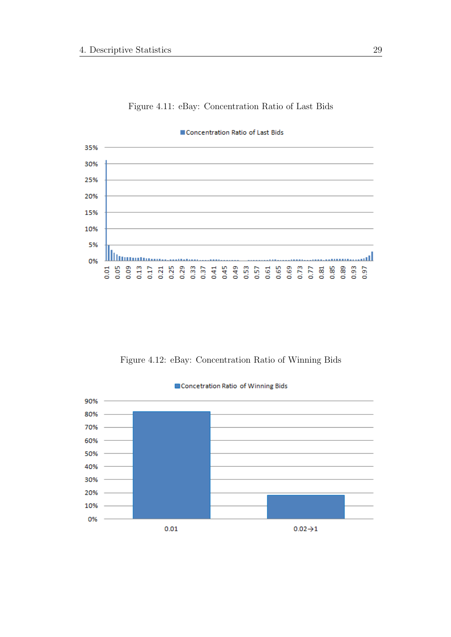



Concentration Ratio of Last Bids

Figure 4.12: eBay: Concentration Ratio of Winning Bids

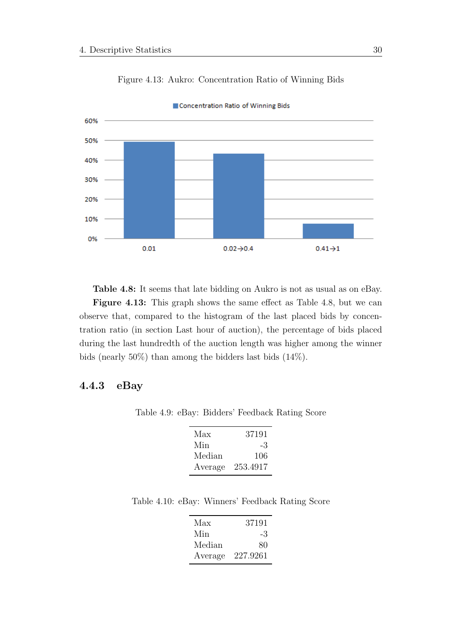

Figure 4.13: Aukro: Concentration Ratio of Winning Bids

Concentration Ratio of Winning Bids

Table 4.8: It seems that late bidding on Aukro is not as usual as on eBay. Figure 4.13: This graph shows the same effect as Table 4.8, but we can observe that, compared to the histogram of the last placed bids by concentration ratio (in section Last hour of auction), the percentage of bids placed

during the last hundredth of the auction length was higher among the winner bids (nearly 50%) than among the bidders last bids (14%).

### 4.4.3 eBay

Table 4.9: eBay: Bidders' Feedback Rating Score

| Max     | 37191    |
|---------|----------|
| Min     | -3       |
| Median  | 106      |
| Average | 253.4917 |

Table 4.10: eBay: Winners' Feedback Rating Score

| Max     | 37191    |
|---------|----------|
| Min     | -3       |
| Median  | 80       |
| Average | 227.9261 |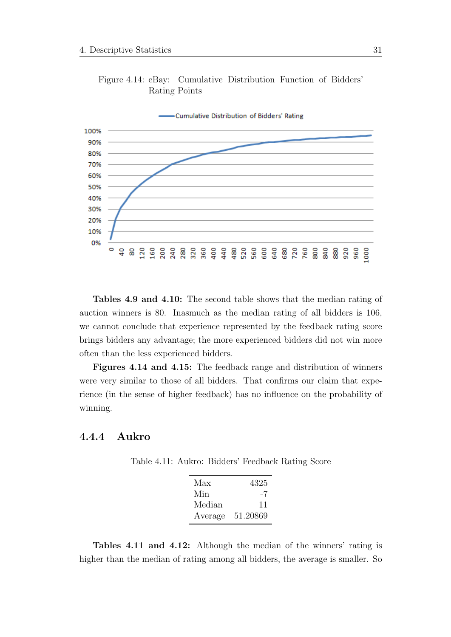

Figure 4.14: eBay: Cumulative Distribution Function of Bidders' Rating Points

Tables 4.9 and 4.10: The second table shows that the median rating of auction winners is 80. Inasmuch as the median rating of all bidders is 106, we cannot conclude that experience represented by the feedback rating score brings bidders any advantage; the more experienced bidders did not win more often than the less experienced bidders.

Figures 4.14 and 4.15: The feedback range and distribution of winners were very similar to those of all bidders. That confirms our claim that experience (in the sense of higher feedback) has no influence on the probability of winning.

#### 4.4.4 Aukro

Table 4.11: Aukro: Bidders' Feedback Rating Score

| Max     | 4325     |
|---------|----------|
| Min     | -7       |
| Median  | 11       |
| Average | 51.20869 |

Tables 4.11 and 4.12: Although the median of the winners' rating is higher than the median of rating among all bidders, the average is smaller. So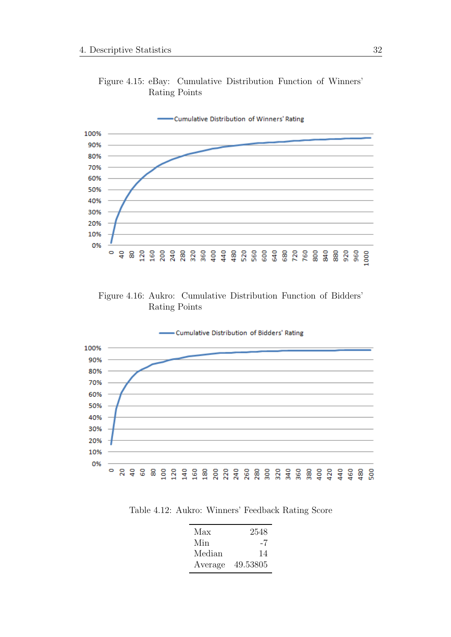

Figure 4.15: eBay: Cumulative Distribution Function of Winners' Rating Points

Figure 4.16: Aukro: Cumulative Distribution Function of Bidders' Rating Points



Table 4.12: Aukro: Winners' Feedback Rating Score

| Max     | 2548     |
|---------|----------|
| Min     | -7       |
| Median  | 14       |
| Average | 49.53805 |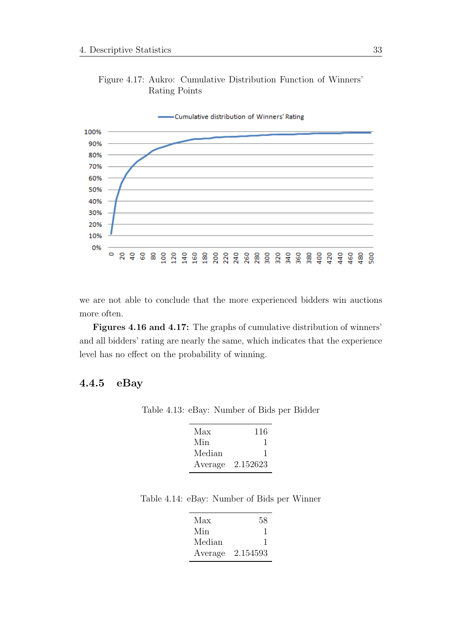

Figure 4.17: Aukro: Cumulative Distribution Function of Winners' Rating Points

we are not able to conclude that the more experienced bidders win auctions more often.

Figures 4.16 and 4.17: The graphs of cumulative distribution of winners' and all bidders' rating are nearly the same, which indicates that the experience level has no effect on the probability of winning.

#### 4.4.5 eBay

Table 4.13: eBay: Number of Bids per Bidder

| Max     | 116      |
|---------|----------|
| Min     |          |
| Median  |          |
| Average | 2.152623 |

Table 4.14: eBay: Number of Bids per Winner

| Max     | 58       |
|---------|----------|
| Min     |          |
| Median  | ı        |
| Average | 2.154593 |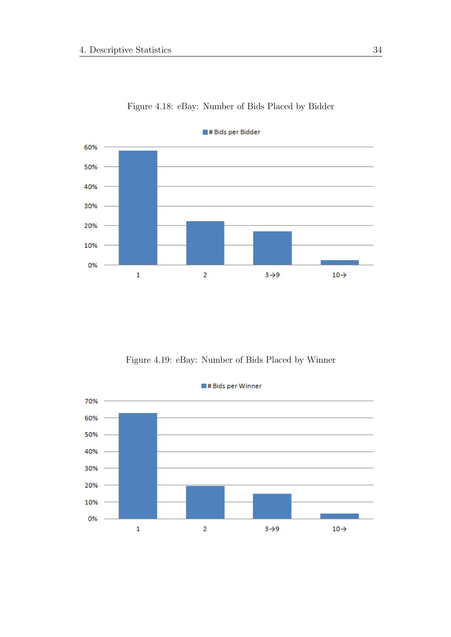

Figure 4.18: eBay: Number of Bids Placed by Bidder

Figure 4.19: eBay: Number of Bids Placed by Winner

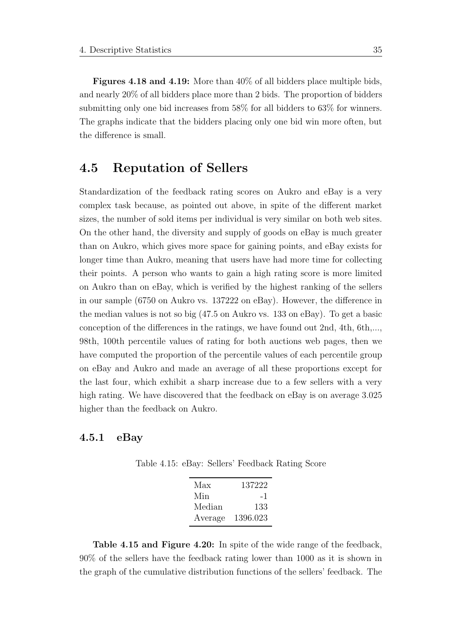Figures 4.18 and 4.19: More than  $40\%$  of all bidders place multiple bids, and nearly 20% of all bidders place more than 2 bids. The proportion of bidders submitting only one bid increases from 58% for all bidders to 63% for winners. The graphs indicate that the bidders placing only one bid win more often, but the difference is small.

# 4.5 Reputation of Sellers

Standardization of the feedback rating scores on Aukro and eBay is a very complex task because, as pointed out above, in spite of the different market sizes, the number of sold items per individual is very similar on both web sites. On the other hand, the diversity and supply of goods on eBay is much greater than on Aukro, which gives more space for gaining points, and eBay exists for longer time than Aukro, meaning that users have had more time for collecting their points. A person who wants to gain a high rating score is more limited on Aukro than on eBay, which is verified by the highest ranking of the sellers in our sample (6750 on Aukro vs. 137222 on eBay). However, the difference in the median values is not so big (47.5 on Aukro vs. 133 on eBay). To get a basic conception of the differences in the ratings, we have found out 2nd, 4th, 6th,..., 98th, 100th percentile values of rating for both auctions web pages, then we have computed the proportion of the percentile values of each percentile group on eBay and Aukro and made an average of all these proportions except for the last four, which exhibit a sharp increase due to a few sellers with a very high rating. We have discovered that the feedback on eBay is on average 3.025 higher than the feedback on Aukro.

#### 4.5.1 eBay

Table 4.15: eBay: Sellers' Feedback Rating Score

| Max     | 137222   |
|---------|----------|
| Min     | -1       |
| Median  | 133      |
| Average | 1396.023 |

Table 4.15 and Figure 4.20: In spite of the wide range of the feedback, 90% of the sellers have the feedback rating lower than 1000 as it is shown in the graph of the cumulative distribution functions of the sellers' feedback. The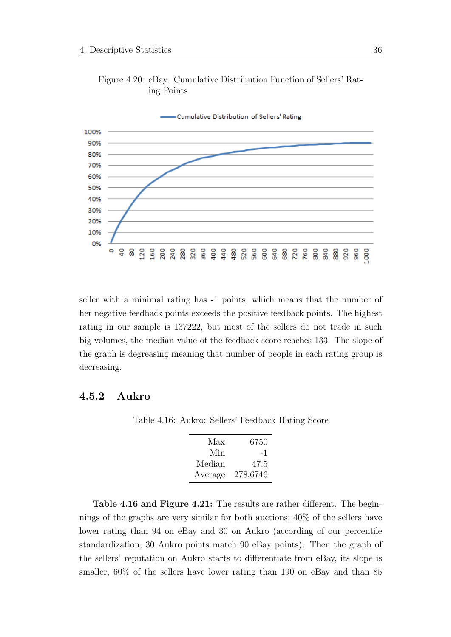

Figure 4.20: eBay: Cumulative Distribution Function of Sellers' Rating Points

seller with a minimal rating has -1 points, which means that the number of her negative feedback points exceeds the positive feedback points. The highest rating in our sample is 137222, but most of the sellers do not trade in such big volumes, the median value of the feedback score reaches 133. The slope of the graph is degreasing meaning that number of people in each rating group is decreasing.

## 4.5.2 Aukro

Table 4.16: Aukro: Sellers' Feedback Rating Score

| Max     | 6750     |
|---------|----------|
| Min     | - 1      |
| Median  | 47.5     |
| Average | 278.6746 |

Table 4.16 and Figure 4.21: The results are rather different. The beginnings of the graphs are very similar for both auctions; 40% of the sellers have lower rating than 94 on eBay and 30 on Aukro (according of our percentile standardization, 30 Aukro points match 90 eBay points). Then the graph of the sellers' reputation on Aukro starts to differentiate from eBay, its slope is smaller, 60% of the sellers have lower rating than 190 on eBay and than 85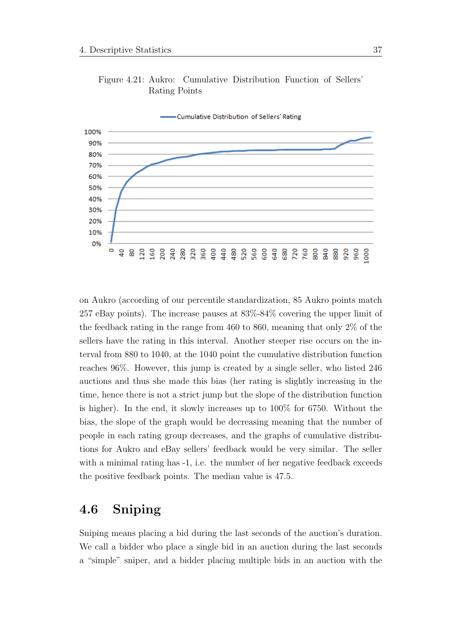

Figure 4.21: Aukro: Cumulative Distribution Function of Sellers' Rating Points

on Aukro (according of our percentile standardization, 85 Aukro points match 257 eBay points). The increase pauses at 83%-84% covering the upper limit of the feedback rating in the range from 460 to 860, meaning that only 2% of the sellers have the rating in this interval. Another steeper rise occurs on the interval from 880 to 1040, at the 1040 point the cumulative distribution function reaches 96%. However, this jump is created by a single seller, who listed 246 auctions and thus she made this bias (her rating is slightly increasing in the time, hence there is not a strict jump but the slope of the distribution function is higher). In the end, it slowly increases up to 100% for 6750. Without the bias, the slope of the graph would be decreasing meaning that the number of people in each rating group decreases, and the graphs of cumulative distributions for Aukro and eBay sellers' feedback would be very similar. The seller with a minimal rating has -1, i.e. the number of her negative feedback exceeds the positive feedback points. The median value is 47.5.

# 4.6 Sniping

Sniping means placing a bid during the last seconds of the auction's duration. We call a bidder who place a single bid in an auction during the last seconds a "simple" sniper, and a bidder placing multiple bids in an auction with the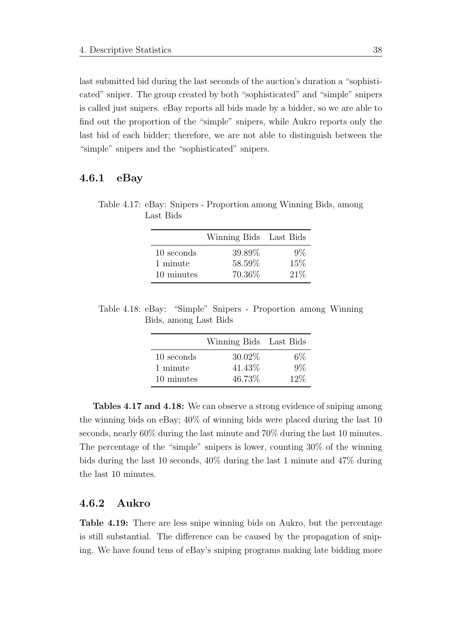last submitted bid during the last seconds of the auction's duration a "sophisticated" sniper. The group created by both "sophisticated" and "simple" snipers is called just snipers. eBay reports all bids made by a bidder, so we are able to find out the proportion of the "simple" snipers, while Aukro reports only the last bid of each bidder; therefore, we are not able to distinguish between the "simple" snipers and the "sophisticated" snipers.

#### 4.6.1 eBay

Table 4.17: eBay: Snipers - Proportion among Winning Bids, among Last Bids

|            | Winning Bids Last Bids |       |
|------------|------------------------|-------|
| 10 seconds | 39.89%                 | $9\%$ |
| 1 minute   | 58.59%                 | 15\%  |
| 10 minutes | 70.36%                 | 21%   |

Table 4.18: eBay: "Simple" Snipers - Proportion among Winning Bids, among Last Bids

|            | Winning Bids Last Bids |       |
|------------|------------------------|-------|
| 10 seconds | $30.02\%$              | 6%    |
| 1 minute   | 41.43\%                | $9\%$ |
| 10 minutes | 46.73%                 | 12\%  |

Tables 4.17 and 4.18: We can observe a strong evidence of sniping among the winning bids on eBay; 40% of winning bids were placed during the last 10 seconds, nearly 60% during the last minute and 70% during the last 10 minutes. The percentage of the "simple" snipers is lower, counting 30% of the winning bids during the last 10 seconds, 40% during the last 1 minute and 47% during the last 10 minutes.

#### 4.6.2 Aukro

Table 4.19: There are less snipe winning bids on Aukro, but the percentage is still substantial. The difference can be caused by the propagation of sniping. We have found tens of eBay's sniping programs making late bidding more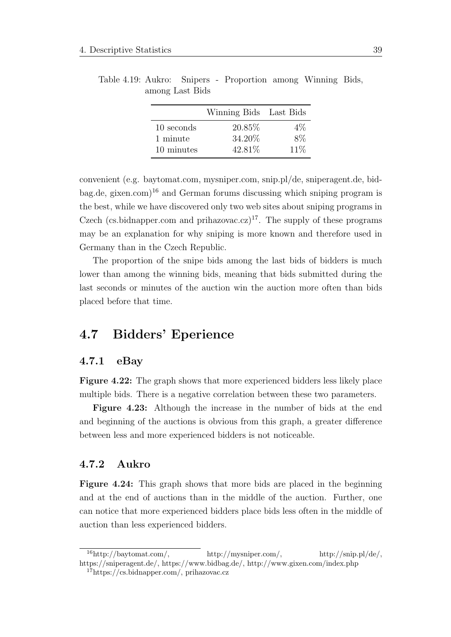|            | Winning Bids Last Bids |        |
|------------|------------------------|--------|
| 10 seconds | 20.85\%                | $4\%$  |
| 1 minute   | 34.20%                 | $8\%$  |
| 10 minutes | 42.81%                 | $11\%$ |

Table 4.19: Aukro: Snipers - Proportion among Winning Bids, among Last Bids

convenient (e.g. baytomat.com, mysniper.com, snip.pl/de, sniperagent.de, bid-bag.de, gixen.com)<sup>[16](#page-53-0)</sup> and German forums discussing which sniping program is the best, while we have discovered only two web sites about sniping programs in Czech (cs.bidnapper.com and prihazovac.cz)<sup>[17](#page-53-1)</sup>. The supply of these programs may be an explanation for why sniping is more known and therefore used in Germany than in the Czech Republic.

The proportion of the snipe bids among the last bids of bidders is much lower than among the winning bids, meaning that bids submitted during the last seconds or minutes of the auction win the auction more often than bids placed before that time.

# 4.7 Bidders' Eperience

#### 4.7.1 eBay

Figure 4.22: The graph shows that more experienced bidders less likely place multiple bids. There is a negative correlation between these two parameters.

Figure 4.23: Although the increase in the number of bids at the end and beginning of the auctions is obvious from this graph, a greater difference between less and more experienced bidders is not noticeable.

## 4.7.2 Aukro

Figure 4.24: This graph shows that more bids are placed in the beginning and at the end of auctions than in the middle of the auction. Further, one can notice that more experienced bidders place bids less often in the middle of auction than less experienced bidders.

<span id="page-53-0"></span> $^{16}$ http://baytomat.com/, http://mysniper.com/, http://snip.pl/de/, https://sniperagent.de/, https://www.bidbag.de/, http://www.gixen.com/index.php

<span id="page-53-1"></span><sup>17</sup>https://cs.bidnapper.com/, prihazovac.cz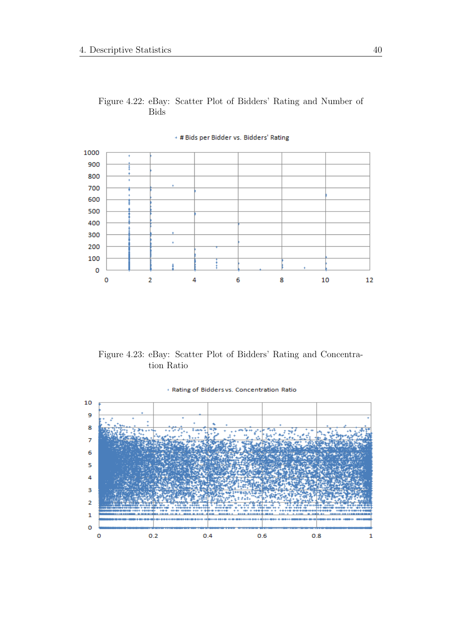### Figure 4.22: eBay: Scatter Plot of Bidders' Rating and Number of Bids



+ # Bids per Bidder vs. Bidders' Rating

Figure 4.23: eBay: Scatter Plot of Bidders' Rating and Concentration Ratio

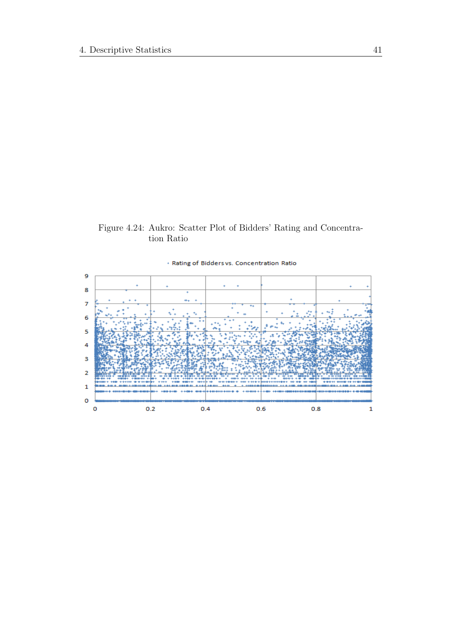# Figure 4.24: Aukro: Scatter Plot of Bidders' Rating and Concentration Ratio

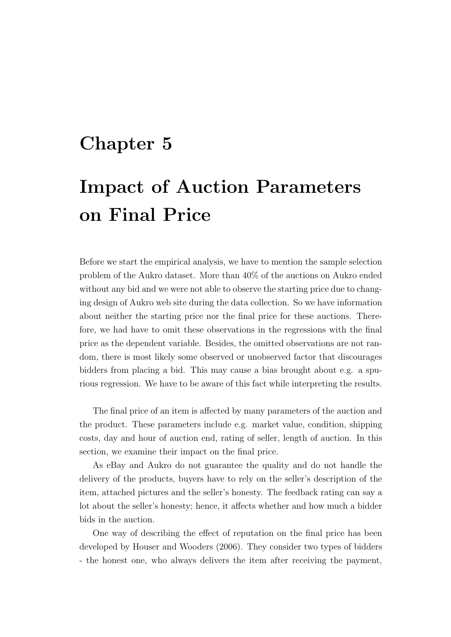# Chapter 5

# Impact of Auction Parameters on Final Price

Before we start the empirical analysis, we have to mention the sample selection problem of the Aukro dataset. More than 40% of the auctions on Aukro ended without any bid and we were not able to observe the starting price due to changing design of Aukro web site during the data collection. So we have information about neither the starting price nor the final price for these auctions. Therefore, we had have to omit these observations in the regressions with the final price as the dependent variable. Besides, the omitted observations are not random, there is most likely some observed or unobserved factor that discourages bidders from placing a bid. This may cause a bias brought about e.g. a spurious regression. We have to be aware of this fact while interpreting the results.

The final price of an item is affected by many parameters of the auction and the product. These parameters include e.g. market value, condition, shipping costs, day and hour of auction end, rating of seller, length of auction. In this section, we examine their impact on the final price.

As eBay and Aukro do not guarantee the quality and do not handle the delivery of the products, buyers have to rely on the seller's description of the item, attached pictures and the seller's honesty. The feedback rating can say a lot about the seller's honesty; hence, it affects whether and how much a bidder bids in the auction.

One way of describing the effect of reputation on the final price has been developed by [Houser and Wooders](#page-105-0) [\(2006\)](#page-105-0). They consider two types of bidders - the honest one, who always delivers the item after receiving the payment,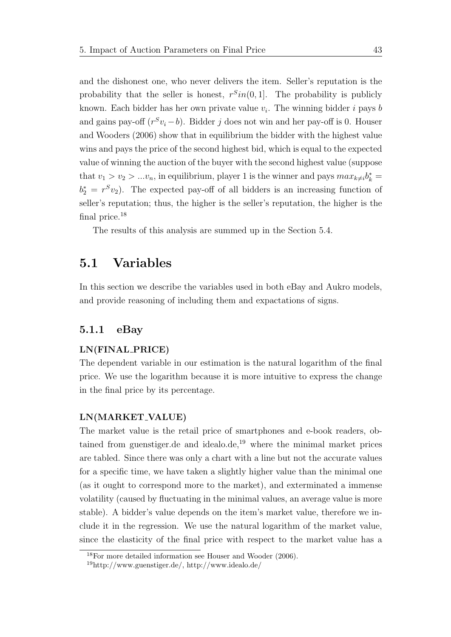and the dishonest one, who never delivers the item. Seller's reputation is the probability that the seller is honest,  $r^{S}$ in(0,1). The probability is publicly known. Each bidder has her own private value  $v_i$ . The winning bidder i pays b and gains pay-off  $(r^S v_i - b)$ . Bidder j does not win and her pay-off is 0. [Houser](#page-105-0) [and Wooders](#page-105-0) [\(2006\)](#page-105-0) show that in equilibrium the bidder with the highest value wins and pays the price of the second highest bid, which is equal to the expected value of winning the auction of the buyer with the second highest value (suppose that  $v_1 > v_2 > ... v_n$ , in equilibrium, player 1 is the winner and pays  $max_{k \neq i} b_k^* =$  $b_2^* = r^S v_2$ ). The expected pay-off of all bidders is an increasing function of seller's reputation; thus, the higher is the seller's reputation, the higher is the final price.<sup>[18](#page-57-0)</sup>

The results of this analysis are summed up in the Section 5.4.

# 5.1 Variables

In this section we describe the variables used in both eBay and Aukro models, and provide reasoning of including them and expactations of signs.

#### 5.1.1 eBay

#### LN(FINAL PRICE)

The dependent variable in our estimation is the natural logarithm of the final price. We use the logarithm because it is more intuitive to express the change in the final price by its percentage.

#### LN(MARKET VALUE)

The market value is the retail price of smartphones and e-book readers, obtained from guenstiger.de and idealo.de, $19$  where the minimal market prices are tabled. Since there was only a chart with a line but not the accurate values for a specific time, we have taken a slightly higher value than the minimal one (as it ought to correspond more to the market), and exterminated a immense volatility (caused by fluctuating in the minimal values, an average value is more stable). A bidder's value depends on the item's market value, therefore we include it in the regression. We use the natural logarithm of the market value, since the elasticity of the final price with respect to the market value has a

<span id="page-57-0"></span><sup>18</sup>For more detailed information see Houser and Wooder (2006).

<span id="page-57-1"></span><sup>19</sup>http://www.guenstiger.de/, http://www.idealo.de/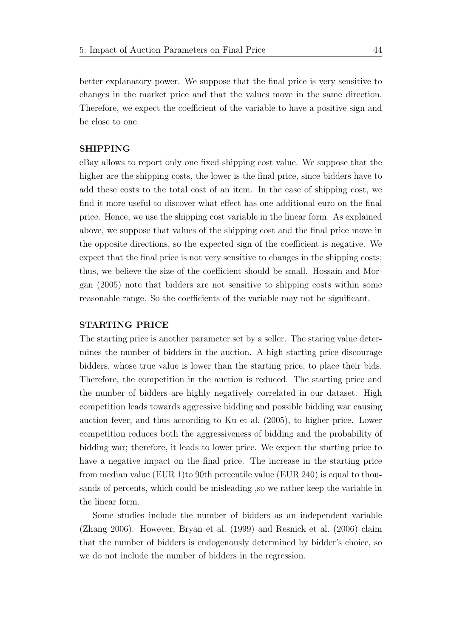better explanatory power. We suppose that the final price is very sensitive to changes in the market price and that the values move in the same direction. Therefore, we expect the coefficient of the variable to have a positive sign and be close to one.

#### SHIPPING

eBay allows to report only one fixed shipping cost value. We suppose that the higher are the shipping costs, the lower is the final price, since bidders have to add these costs to the total cost of an item. In the case of shipping cost, we find it more useful to discover what effect has one additional euro on the final price. Hence, we use the shipping cost variable in the linear form. As explained above, we suppose that values of the shipping cost and the final price move in the opposite directions, so the expected sign of the coefficient is negative. We expect that the final price is not very sensitive to changes in the shipping costs; thus, we believe the size of the coefficient should be small. [Hossain and Mor](#page-105-1)[gan](#page-105-1) [\(2005\)](#page-105-1) note that bidders are not sensitive to shipping costs within some reasonable range. So the coefficients of the variable may not be significant.

#### STARTING PRICE

The starting price is another parameter set by a seller. The staring value determines the number of bidders in the auction. A high starting price discourage bidders, whose true value is lower than the starting price, to place their bids. Therefore, the competition in the auction is reduced. The starting price and the number of bidders are highly negatively correlated in our dataset. High competition leads towards aggressive bidding and possible bidding war causing auction fever, and thus according to [Ku et al.](#page-106-0) [\(2005\)](#page-106-0), to higher price. Lower competition reduces both the aggressiveness of bidding and the probability of bidding war; therefore, it leads to lower price. We expect the starting price to have a negative impact on the final price. The increase in the starting price from median value (EUR 1)to 90th percentile value (EUR 240) is equal to thousands of percents, which could be misleading ,so we rather keep the variable in the linear form.

Some studies include the number of bidders as an independent variable [\(Zhang](#page-107-0) [2006\)](#page-107-0). However, [Bryan et al.](#page-104-0) [\(1999\)](#page-104-0) and [Resnick et al.](#page-107-1) [\(2006\)](#page-107-1) claim that the number of bidders is endogenously determined by bidder's choice, so we do not include the number of bidders in the regression.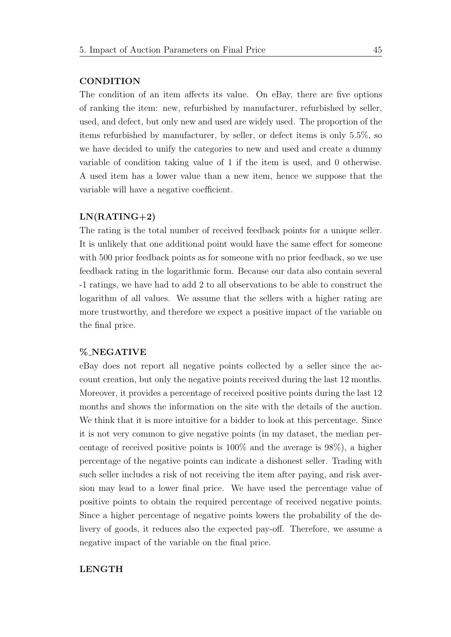#### **CONDITION**

The condition of an item affects its value. On eBay, there are five options of ranking the item: new, refurbished by manufacturer, refurbished by seller, used, and defect, but only new and used are widely used. The proportion of the items refurbished by manufacturer, by seller, or defect items is only 5.5%, so we have decided to unify the categories to new and used and create a dummy variable of condition taking value of 1 if the item is used, and 0 otherwise. A used item has a lower value than a new item, hence we suppose that the variable will have a negative coefficient.

#### $LN(RATING+2)$

The rating is the total number of received feedback points for a unique seller. It is unlikely that one additional point would have the same effect for someone with 500 prior feedback points as for someone with no prior feedback, so we use feedback rating in the logarithmic form. Because our data also contain several -1 ratings, we have had to add 2 to all observations to be able to construct the logarithm of all values. We assume that the sellers with a higher rating are more trustworthy, and therefore we expect a positive impact of the variable on the final price.

#### % NEGATIVE

eBay does not report all negative points collected by a seller since the account creation, but only the negative points received during the last 12 months. Moreover, it provides a percentage of received positive points during the last 12 months and shows the information on the site with the details of the auction. We think that it is more intuitive for a bidder to look at this percentage. Since it is not very common to give negative points (in my dataset, the median percentage of received positive points is 100% and the average is 98%), a higher percentage of the negative points can indicate a dishonest seller. Trading with such seller includes a risk of not receiving the item after paying, and risk aversion may lead to a lower final price. We have used the percentage value of positive points to obtain the required percentage of received negative points. Since a higher percentage of negative points lowers the probability of the delivery of goods, it reduces also the expected pay-off. Therefore, we assume a negative impact of the variable on the final price.

#### LENGTH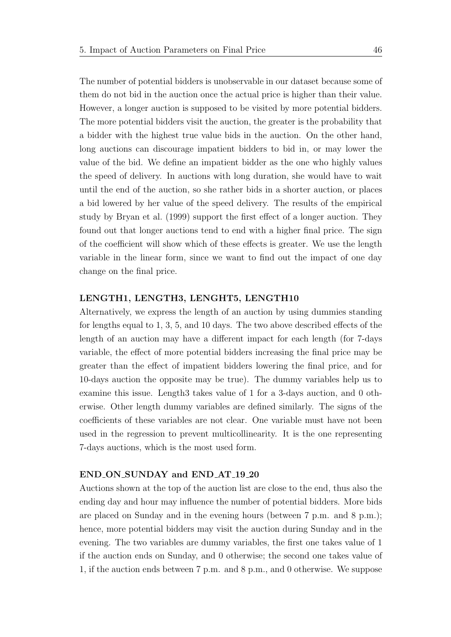The number of potential bidders is unobservable in our dataset because some of them do not bid in the auction once the actual price is higher than their value. However, a longer auction is supposed to be visited by more potential bidders. The more potential bidders visit the auction, the greater is the probability that a bidder with the highest true value bids in the auction. On the other hand, long auctions can discourage impatient bidders to bid in, or may lower the value of the bid. We define an impatient bidder as the one who highly values the speed of delivery. In auctions with long duration, she would have to wait until the end of the auction, so she rather bids in a shorter auction, or places a bid lowered by her value of the speed delivery. The results of the empirical study by [Bryan et al.](#page-104-0) [\(1999\)](#page-104-0) support the first effect of a longer auction. They found out that longer auctions tend to end with a higher final price. The sign of the coefficient will show which of these effects is greater. We use the length variable in the linear form, since we want to find out the impact of one day change on the final price.

#### LENGTH1, LENGTH3, LENGHT5, LENGTH10

Alternatively, we express the length of an auction by using dummies standing for lengths equal to 1, 3, 5, and 10 days. The two above described effects of the length of an auction may have a different impact for each length (for 7-days variable, the effect of more potential bidders increasing the final price may be greater than the effect of impatient bidders lowering the final price, and for 10-days auction the opposite may be true). The dummy variables help us to examine this issue. Length3 takes value of 1 for a 3-days auction, and 0 otherwise. Other length dummy variables are defined similarly. The signs of the coefficients of these variables are not clear. One variable must have not been used in the regression to prevent multicollinearity. It is the one representing 7-days auctions, which is the most used form.

#### END ON SUNDAY and END AT 19 20

Auctions shown at the top of the auction list are close to the end, thus also the ending day and hour may influence the number of potential bidders. More bids are placed on Sunday and in the evening hours (between 7 p.m. and 8 p.m.); hence, more potential bidders may visit the auction during Sunday and in the evening. The two variables are dummy variables, the first one takes value of 1 if the auction ends on Sunday, and 0 otherwise; the second one takes value of 1, if the auction ends between 7 p.m. and 8 p.m., and 0 otherwise. We suppose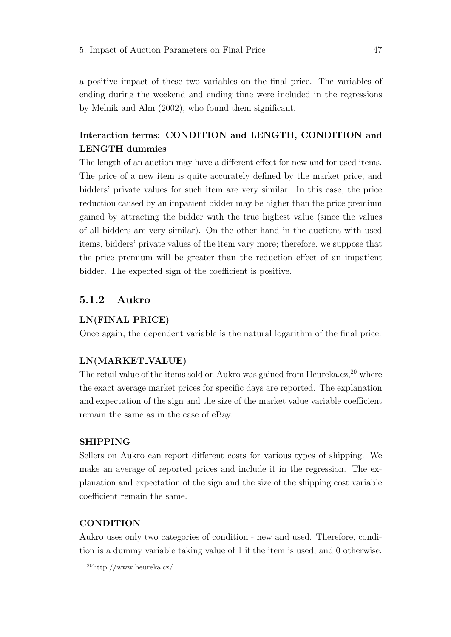a positive impact of these two variables on the final price. The variables of ending during the weekend and ending time were included in the regressions by [Melnik and Alm](#page-106-1) [\(2002\)](#page-106-1), who found them significant.

# Interaction terms: CONDITION and LENGTH, CONDITION and LENGTH dummies

The length of an auction may have a different effect for new and for used items. The price of a new item is quite accurately defined by the market price, and bidders' private values for such item are very similar. In this case, the price reduction caused by an impatient bidder may be higher than the price premium gained by attracting the bidder with the true highest value (since the values of all bidders are very similar). On the other hand in the auctions with used items, bidders' private values of the item vary more; therefore, we suppose that the price premium will be greater than the reduction effect of an impatient bidder. The expected sign of the coefficient is positive.

# 5.1.2 Aukro

#### LN(FINAL PRICE)

Once again, the dependent variable is the natural logarithm of the final price.

#### LN(MARKET VALUE)

The retail value of the items sold on Aukro was gained from Heureka.cz,  $^{20}$  $^{20}$  $^{20}$  where the exact average market prices for specific days are reported. The explanation and expectation of the sign and the size of the market value variable coefficient remain the same as in the case of eBay.

#### SHIPPING

Sellers on Aukro can report different costs for various types of shipping. We make an average of reported prices and include it in the regression. The explanation and expectation of the sign and the size of the shipping cost variable coefficient remain the same.

#### **CONDITION**

Aukro uses only two categories of condition - new and used. Therefore, condition is a dummy variable taking value of 1 if the item is used, and 0 otherwise.

<span id="page-61-0"></span><sup>20</sup>http://www.heureka.cz/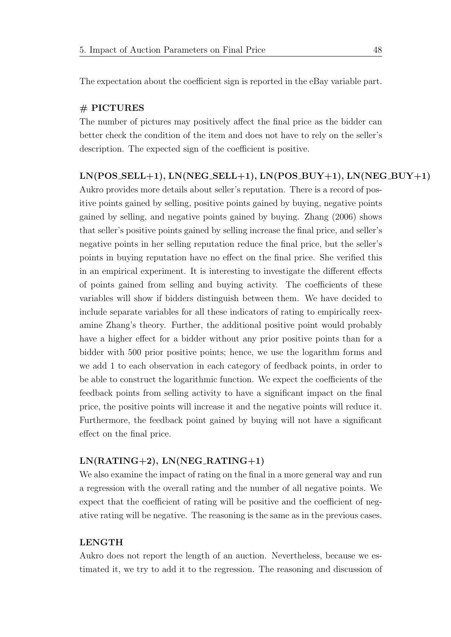The expectation about the coefficient sign is reported in the eBay variable part.

#### # PICTURES

The number of pictures may positively affect the final price as the bidder can better check the condition of the item and does not have to rely on the seller's description. The expected sign of the coefficient is positive.

#### $LN(POS\_SELL+1), LN(NEG\_SELL+1), LN(POS\_BUY+1), LN(NEG\_BUY+1)$

Aukro provides more details about seller's reputation. There is a record of positive points gained by selling, positive points gained by buying, negative points gained by selling, and negative points gained by buying. [Zhang](#page-107-0) [\(2006\)](#page-107-0) shows that seller's positive points gained by selling increase the final price, and seller's negative points in her selling reputation reduce the final price, but the seller's points in buying reputation have no effect on the final price. She verified this in an empirical experiment. It is interesting to investigate the different effects of points gained from selling and buying activity. The coefficients of these variables will show if bidders distinguish between them. We have decided to include separate variables for all these indicators of rating to empirically reexamine Zhang's theory. Further, the additional positive point would probably have a higher effect for a bidder without any prior positive points than for a bidder with 500 prior positive points; hence, we use the logarithm forms and we add 1 to each observation in each category of feedback points, in order to be able to construct the logarithmic function. We expect the coefficients of the feedback points from selling activity to have a significant impact on the final price, the positive points will increase it and the negative points will reduce it. Furthermore, the feedback point gained by buying will not have a significant effect on the final price.

#### $LN(RATING+2)$ ,  $LN(NEG_RATING+1)$

We also examine the impact of rating on the final in a more general way and run a regression with the overall rating and the number of all negative points. We expect that the coefficient of rating will be positive and the coefficient of negative rating will be negative. The reasoning is the same as in the previous cases.

#### LENGTH

Aukro does not report the length of an auction. Nevertheless, because we estimated it, we try to add it to the regression. The reasoning and discussion of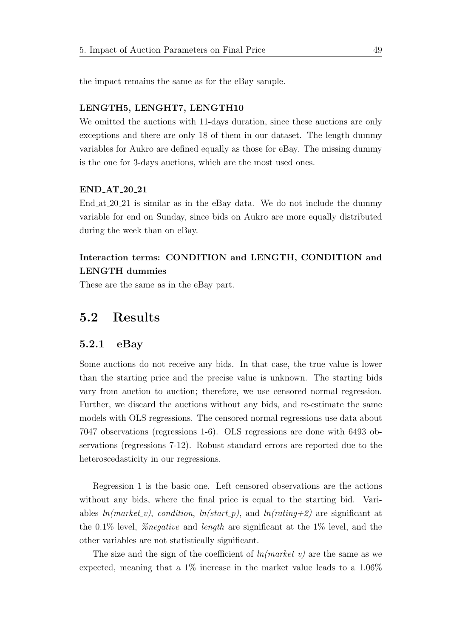the impact remains the same as for the eBay sample.

#### LENGTH5, LENGHT7, LENGTH10

We omitted the auctions with 11-days duration, since these auctions are only exceptions and there are only 18 of them in our dataset. The length dummy variables for Aukro are defined equally as those for eBay. The missing dummy is the one for 3-days auctions, which are the most used ones.

#### END AT 20 21

End at 20 21 is similar as in the eBay data. We do not include the dummy variable for end on Sunday, since bids on Aukro are more equally distributed during the week than on eBay.

# Interaction terms: CONDITION and LENGTH, CONDITION and LENGTH dummies

These are the same as in the eBay part.

# 5.2 Results

#### 5.2.1 eBay

Some auctions do not receive any bids. In that case, the true value is lower than the starting price and the precise value is unknown. The starting bids vary from auction to auction; therefore, we use censored normal regression. Further, we discard the auctions without any bids, and re-estimate the same models with OLS regressions. The censored normal regressions use data about 7047 observations (regressions 1-6). OLS regressions are done with 6493 observations (regressions 7-12). Robust standard errors are reported due to the heteroscedasticity in our regressions.

Regression 1 is the basic one. Left censored observations are the actions without any bids, where the final price is equal to the starting bid. Variables  $ln(market_{\nu})$ , condition,  $ln(stat_{\nu})$ , and  $ln(rating+2)$  are significant at the 0.1% level, %negative and length are significant at the 1% level, and the other variables are not statistically significant.

The size and the sign of the coefficient of  $ln(market_v)$  are the same as we expected, meaning that a  $1\%$  increase in the market value leads to a  $1.06\%$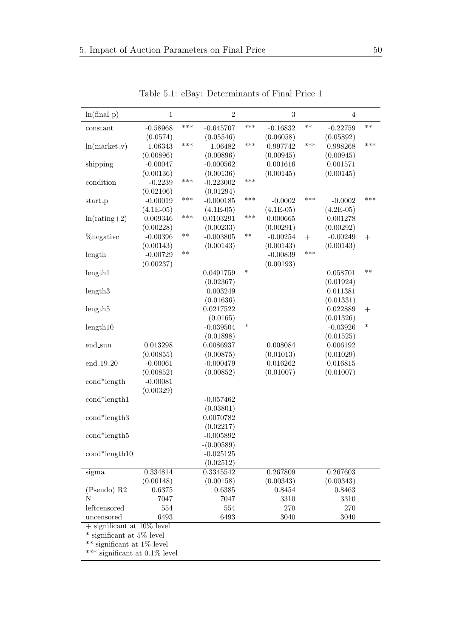| $ln(final_p)$                    | $\,1\,$     |       | $\overline{2}$ |        | 3           |        | $\overline{4}$ |        |
|----------------------------------|-------------|-------|----------------|--------|-------------|--------|----------------|--------|
| constant                         | $-0.58968$  | ***   | $-0.645707$    | ***    | $-0.16832$  | $***$  | $-0.22759$     | $***$  |
|                                  | (0.0574)    |       | (0.05546)      |        | (0.06058)   |        | (0.05892)      |        |
| $ln(market_v)$                   | 1.06343     | ***   | 1.06482        | ***    | 0.997742    | ***    | 0.998268       | ***    |
|                                  | (0.00896)   |       | (0.00896)      |        | (0.00945)   |        | (0.00945)      |        |
| shipping                         | $-0.00047$  |       | $-0.000562$    |        | 0.001616    |        | 0.001571       |        |
|                                  | (0.00136)   |       | (0.00136)      |        | (0.00145)   |        | (0.00145)      |        |
| condition                        | $-0.2239$   | ***   | $-0.223002$    | ***    |             |        |                |        |
|                                  | (0.02106)   |       | (0.01294)      |        |             |        |                |        |
| start_p                          | $-0.00019$  | ***   | $-0.000185$    | ***    | $-0.0002$   | ***    | $-0.0002$      | ***    |
|                                  | $(4.1E-05)$ |       | $(4.1E-05)$    |        | $(4.1E-05)$ |        | $(4.2E-05)$    |        |
| $ln(rating+2)$                   | 0.009346    | ***   | 0.0103291      | ***    | 0.000665    |        | 0.001278       |        |
|                                  | (0.00228)   |       | (0.00233)      |        | (0.00291)   |        | (0.00292)      |        |
| <i><b>Zonegative</b></i>         | $-0.00396$  | $***$ | $-0.003805$    | $***$  | $-0.00254$  | $^{+}$ | $-0.00249$     | $^{+}$ |
|                                  | (0.00143)   |       | (0.00143)      |        | (0.00143)   |        | (0.00143)      |        |
| length                           | $-0.00729$  | $***$ |                |        | $-0.00839$  | ***    |                |        |
|                                  | (0.00237)   |       |                |        | (0.00193)   |        |                |        |
| length1                          |             |       | 0.0491759      | $\ast$ |             |        | 0.058701       | $***$  |
|                                  |             |       | (0.02367)      |        |             |        | (0.01924)      |        |
| length3                          |             |       | 0.003249       |        |             |        | 0.011381       |        |
|                                  |             |       | (0.01636)      |        |             |        | (0.01331)      |        |
| length <sub>5</sub>              |             |       | 0.0217522      |        |             |        | 0.022889       | $^{+}$ |
|                                  |             |       | (0.0165)       |        |             |        | (0.01326)      |        |
| length10                         |             |       | $-0.039504$    | $\ast$ |             |        | $-0.03926$     | $\ast$ |
|                                  |             |       | (0.01898)      |        |             |        | (0.01525)      |        |
| end_sun                          | 0.013298    |       | 0.0086937      |        | 0.008084    |        | 0.006192       |        |
|                                  | (0.00855)   |       | (0.00875)      |        | (0.01013)   |        | (0.01029)      |        |
| $\rm{end}\_19\_20$               | $-0.00061$  |       | $-0.000479$    |        | 0.016262    |        | 0.016815       |        |
|                                  | (0.00852)   |       | (0.00852)      |        | (0.01007)   |        | (0.01007)      |        |
| cond*length                      | $-0.00081$  |       |                |        |             |        |                |        |
|                                  | (0.00329)   |       |                |        |             |        |                |        |
| cond*length1                     |             |       | $-0.057462$    |        |             |        |                |        |
|                                  |             |       | (0.03801)      |        |             |        |                |        |
| $cond*length3$                   |             |       | 0.0070782      |        |             |        |                |        |
|                                  |             |       | (0.02217)      |        |             |        |                |        |
| $cond*length5$                   |             |       | $-0.005892$    |        |             |        |                |        |
|                                  |             |       | $-(0.00589)$   |        |             |        |                |        |
| cond*length10                    |             |       | $-0.025125$    |        |             |        |                |        |
|                                  |             |       | (0.02512)      |        |             |        |                |        |
| sigma                            | 0.334814    |       | 0.3345542      |        | 0.267809    |        | 0.267603       |        |
|                                  | (0.00148)   |       | (0.00158)      |        | (0.00343)   |        | (0.00343)      |        |
| $(Pseudo)$ R2                    | 0.6375      |       | 0.6385         |        | 0.8454      |        | 0.8463         |        |
| N                                | 7047        |       | 7047           |        | 3310        |        | 3310           |        |
| leftcensored                     | 554         |       | 554            |        | 270         |        | 270            |        |
| uncensored                       | 6493        |       | 6493           |        | 3040        |        | 3040           |        |
| $+$ significant at 10% level     |             |       |                |        |             |        |                |        |
| * significant at 5% level        |             |       |                |        |             |        |                |        |
| ** significant at 1% level       |             |       |                |        |             |        |                |        |
| *** significant at $0.1\%$ level |             |       |                |        |             |        |                |        |

Table 5.1: eBay: Determinants of Final Price 1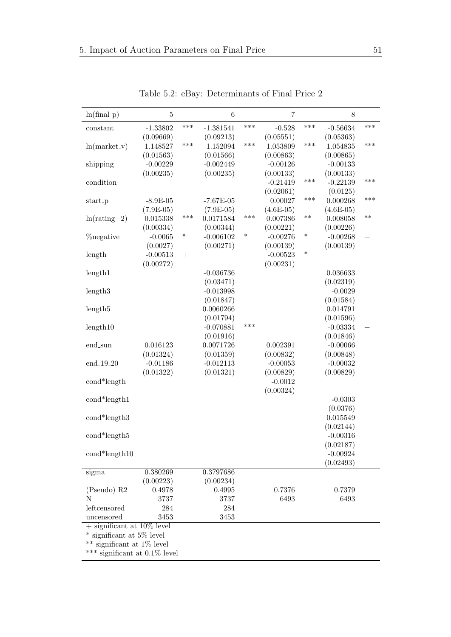| $ln(final_p)$                                             | $\bf 5$     |        | $\boldsymbol{6}$ |        | $\overline{7}$ |        | $8\,$       |                    |
|-----------------------------------------------------------|-------------|--------|------------------|--------|----------------|--------|-------------|--------------------|
| constant                                                  | $-1.33802$  | ***    | $-1.381541$      | ***    | $-0.528$       | ***    | $-0.56634$  | ***                |
|                                                           | (0.09669)   |        | (0.09213)        |        | (0.05551)      |        | (0.05363)   |                    |
| $ln(maxket_v)$                                            | 1.148527    | ***    | 1.152094         | ***    | 1.053809       | ***    | 1.054835    | ***                |
|                                                           | (0.01563)   |        | (0.01566)        |        | (0.00863)      |        | (0.00865)   |                    |
| shipping                                                  | $-0.00229$  |        | $-0.002449$      |        | $-0.00126$     |        | $-0.00133$  |                    |
|                                                           | (0.00235)   |        | (0.00235)        |        | (0.00133)      |        | (0.00133)   |                    |
| condition                                                 |             |        |                  |        | $-0.21419$     | ***    | $-0.22139$  | ***                |
|                                                           |             |        |                  |        | (0.02061)      |        | (0.0125)    |                    |
| start_p                                                   | $-8.9E-05$  |        | $-7.67E-05$      |        | 0.00027        | ***    | 0.000268    | ***                |
|                                                           | $(7.9E-05)$ |        | $(7.9E-05)$      |        | $(4.6E-05)$    |        | $(4.6E-05)$ |                    |
| $ln(rating+2)$                                            | 0.015338    | ***    | 0.0171584        | ***    | 0.007386       | $***$  | 0.008058    | $***$              |
|                                                           | (0.00334)   |        | (0.00344)        |        | (0.00221)      |        | (0.00226)   |                    |
| <b>%</b> negative                                         | $-0.0065$   | $\ast$ | $-0.006102$      | $\ast$ | $-0.00276$     | $\ast$ | $-0.00268$  | $+$                |
|                                                           | (0.0027)    |        | (0.00271)        |        | (0.00139)      |        | (0.00139)   |                    |
| length                                                    | $-0.00513$  | $^{+}$ |                  |        | $-0.00523$     | $\ast$ |             |                    |
|                                                           | (0.00272)   |        |                  |        | (0.00231)      |        |             |                    |
| length1                                                   |             |        | $-0.036736$      |        |                |        | 0.036633    |                    |
|                                                           |             |        | (0.03471)        |        |                |        | (0.02319)   |                    |
| length3                                                   |             |        | $-0.013998$      |        |                |        | $-0.0029$   |                    |
|                                                           |             |        | (0.01847)        |        |                |        | (0.01584)   |                    |
| length <sub>5</sub>                                       |             |        | 0.0060266        |        |                |        | 0.014791    |                    |
|                                                           |             |        | (0.01794)        |        |                |        | (0.01596)   |                    |
| length10                                                  |             |        | $-0.070881$      | ***    |                |        | $-0.03334$  | $\hspace{0.1mm} +$ |
|                                                           |             |        | (0.01916)        |        |                |        | (0.01846)   |                    |
| end_sun                                                   | 0.016123    |        | 0.0071726        |        | 0.002391       |        | $-0.00066$  |                    |
|                                                           | (0.01324)   |        | (0.01359)        |        | (0.00832)      |        | (0.00848)   |                    |
| end_19_20                                                 | $-0.01186$  |        | $-0.012113$      |        | $-0.00053$     |        | $-0.00032$  |                    |
|                                                           | (0.01322)   |        | (0.01321)        |        | (0.00829)      |        | (0.00829)   |                    |
| cond*length                                               |             |        |                  |        | $-0.0012$      |        |             |                    |
|                                                           |             |        |                  |        | (0.00324)      |        |             |                    |
| cond*length1                                              |             |        |                  |        |                |        | $-0.0303$   |                    |
|                                                           |             |        |                  |        |                |        | (0.0376)    |                    |
| $cond*length3$                                            |             |        |                  |        |                |        | 0.015549    |                    |
|                                                           |             |        |                  |        |                |        | (0.02144)   |                    |
| cond*length5                                              |             |        |                  |        |                |        | $-0.00316$  |                    |
|                                                           |             |        |                  |        |                |        | (0.02187)   |                    |
| $cond*length10$                                           |             |        |                  |        |                |        | $-0.00924$  |                    |
|                                                           |             |        |                  |        |                |        | (0.02493)   |                    |
|                                                           | 0.380269    |        | 0.3797686        |        |                |        |             |                    |
| sigma                                                     | (0.00223)   |        | (0.00234)        |        |                |        |             |                    |
| (Pseudo) R2                                               | 0.4978      |        | 0.4995           |        | 0.7376         |        | 0.7379      |                    |
| N                                                         | 3737        |        | 3737             |        | 6493           |        | 6493        |                    |
| leftcensored                                              |             |        |                  |        |                |        |             |                    |
|                                                           | 284         |        | 284              |        |                |        |             |                    |
| uncensored                                                | 3453        |        | 3453             |        |                |        |             |                    |
| $+$ significant at 10% level<br>* significant at 5% level |             |        |                  |        |                |        |             |                    |
|                                                           |             |        |                  |        |                |        |             |                    |
| ** significant at 1% level                                |             |        |                  |        |                |        |             |                    |
| *** significant at $0.1\%$ level                          |             |        |                  |        |                |        |             |                    |

Table 5.2: eBay: Determinants of Final Price 2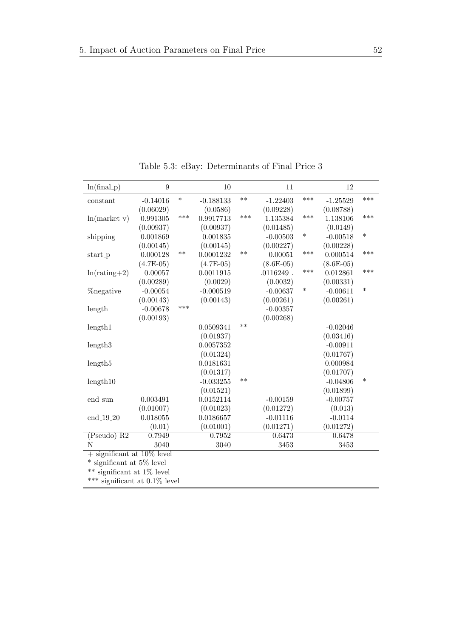| $\overline{9}$<br>10<br>$ln(final_p)$<br>11                                   | 12                   |
|-------------------------------------------------------------------------------|----------------------|
| $\ast$<br>$***$<br>***<br>$-0.188133$<br>$-1.22403$<br>$-0.14016$<br>constant | ***<br>$-1.25529$    |
| (0.06029)<br>(0.0586)<br>(0.09228)                                            | (0.08788)            |
| ***<br>***<br>***<br>0.991305<br>0.9917713<br>1.135384<br>$ln(maxket_v)$      | ***<br>1.138106      |
| (0.00937)<br>(0.00937)<br>(0.01485)                                           | (0.0149)             |
| $\ast$<br>0.001869<br>$-0.00503$<br>shipping<br>0.001835                      | $\ast$<br>$-0.00518$ |
| (0.00145)<br>(0.00145)<br>(0.00227)                                           | (0.00228)            |
| $***$<br>$***$<br>***<br>0.000128<br>0.0001232<br>0.00051<br>start_p          | ***<br>0.000514      |
| $(4.7E-05)$<br>$(8.6E-05)$<br>$(4.7E-05)$                                     | $(8.6E-05)$          |
| ***<br>0.00057<br>0.0011915<br>$.0116249$ .<br>$ln(rating + 2)$               | ***<br>0.012861      |
| (0.00289)<br>(0.0029)<br>(0.0032)                                             | (0.00331)            |
| $\ast$<br>$-0.00054$<br>$-0.000519$<br><i><b>Zonegative</b></i><br>$-0.00637$ | $\ast$<br>$-0.00611$ |
| (0.00143)<br>(0.00143)<br>(0.00261)                                           | (0.00261)            |
| ***<br>$-0.00678$<br>$-0.00357$<br>length                                     |                      |
| (0.00193)<br>(0.00268)                                                        |                      |
| $**$<br>0.0509341<br>length1                                                  | $-0.02046$           |
| (0.01937)                                                                     | (0.03416)            |
| 0.0057352<br>length3                                                          | $-0.00911$           |
| (0.01324)                                                                     | (0.01767)            |
| 0.0181631<br>length5                                                          | 0.000984             |
| (0.01317)                                                                     | (0.01707)            |
| $**$<br>$-0.033255$<br>length10                                               | $\ast$<br>$-0.04806$ |
| (0.01521)                                                                     | (0.01899)            |
| 0.003491<br>0.0152114<br>$-0.00159$<br>end_sun                                | $-0.00757$           |
| (0.01007)<br>(0.01023)<br>(0.01272)                                           | (0.013)              |
| end_19_20<br>0.018055<br>0.0186657<br>$-0.01116$                              | $-0.0114$            |
| (0.01001)<br>(0.01271)<br>(0.01)                                              | (0.01272)            |
| $(Pseudo)$ $R2$<br>0.7949<br>0.7952<br>0.6473                                 | 0.6478               |
| N<br>3040<br>3040<br>3453                                                     | 3453                 |
| $+$ significant at 10% level                                                  |                      |
| significant at 5% level                                                       |                      |

Table 5.3: eBay: Determinants of Final Price 3

 $^{**}$  significant at  $1\%$  level

\*\*\* significant at 0.1% level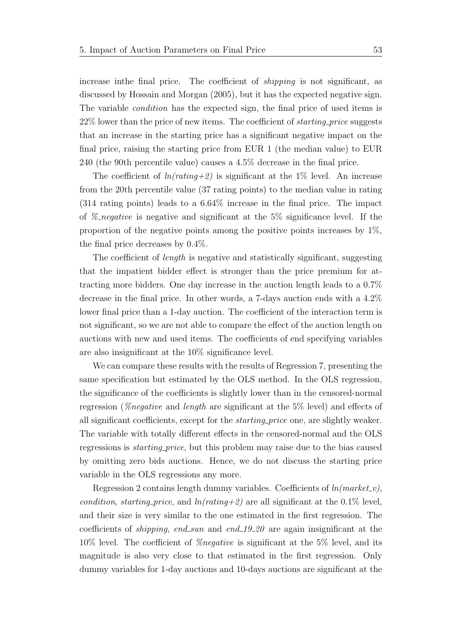increase inthe final price. The coefficient of shipping is not significant, as discussed by [Hossain and Morgan](#page-105-1) [\(2005\)](#page-105-1), but it has the expected negative sign. The variable condition has the expected sign, the final price of used items is 22% lower than the price of new items. The coefficient of starting price suggests that an increase in the starting price has a significant negative impact on the final price, raising the starting price from EUR 1 (the median value) to EUR 240 (the 90th percentile value) causes a 4.5% decrease in the final price.

The coefficient of  $ln(rating+2)$  is significant at the 1% level. An increase from the 20th percentile value (37 rating points) to the median value in rating (314 rating points) leads to a 6.64% increase in the final price. The impact of  $\mathcal{Z}_\textit{negative}$  is negative and significant at the 5% significance level. If the proportion of the negative points among the positive points increases by  $1\%$ , the final price decreases by 0.4%.

The coefficient of length is negative and statistically significant, suggesting that the impatient bidder effect is stronger than the price premium for attracting more bidders. One day increase in the auction length leads to a 0.7% decrease in the final price. In other words, a 7-days auction ends with a 4.2% lower final price than a 1-day auction. The coefficient of the interaction term is not significant, so we are not able to compare the effect of the auction length on auctions with new and used items. The coefficients of end specifying variables are also insignificant at the 10% significance level.

We can compare these results with the results of Regression 7, presenting the same specification but estimated by the OLS method. In the OLS regression, the significance of the coefficients is slightly lower than in the censored-normal regression (%negative and length are significant at the 5% level) and effects of all significant coefficients, except for the starting price one, are slightly weaker. The variable with totally different effects in the censored-normal and the OLS regressions is starting price, but this problem may raise due to the bias caused by omitting zero bids auctions. Hence, we do not discuss the starting price variable in the OLS regressions any more.

Regression 2 contains length dummy variables. Coefficients of  $ln(market v)$ , condition, starting price, and  $ln(rating+2)$  are all significant at the 0.1% level, and their size is very similar to the one estimated in the first regression. The coefficients of *shipping*, end\_sun and end\_19\_20 are again insignificant at the 10% level. The coefficient of %negative is significant at the 5% level, and its magnitude is also very close to that estimated in the first regression. Only dummy variables for 1-day auctions and 10-days auctions are significant at the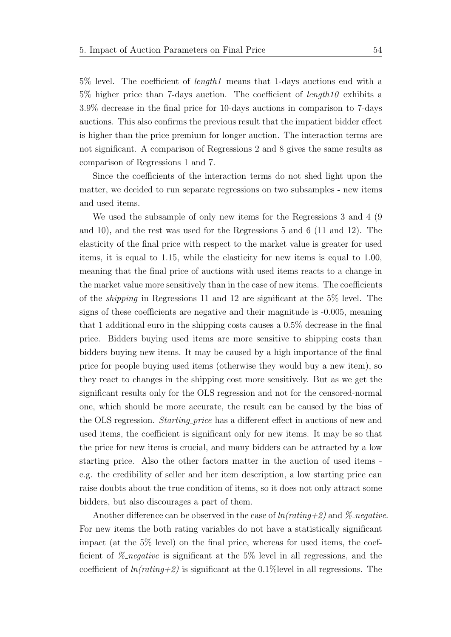5% level. The coefficient of length1 means that 1-days auctions end with a  $5\%$  higher price than 7-days auction. The coefficient of length 10 exhibits a 3.9% decrease in the final price for 10-days auctions in comparison to 7-days auctions. This also confirms the previous result that the impatient bidder effect is higher than the price premium for longer auction. The interaction terms are not significant. A comparison of Regressions 2 and 8 gives the same results as comparison of Regressions 1 and 7.

Since the coefficients of the interaction terms do not shed light upon the matter, we decided to run separate regressions on two subsamples - new items and used items.

We used the subsample of only new items for the Regressions 3 and 4 (9 and 10), and the rest was used for the Regressions 5 and 6 (11 and 12). The elasticity of the final price with respect to the market value is greater for used items, it is equal to 1.15, while the elasticity for new items is equal to 1.00, meaning that the final price of auctions with used items reacts to a change in the market value more sensitively than in the case of new items. The coefficients of the shipping in Regressions 11 and 12 are significant at the 5% level. The signs of these coefficients are negative and their magnitude is -0.005, meaning that 1 additional euro in the shipping costs causes a 0.5% decrease in the final price. Bidders buying used items are more sensitive to shipping costs than bidders buying new items. It may be caused by a high importance of the final price for people buying used items (otherwise they would buy a new item), so they react to changes in the shipping cost more sensitively. But as we get the significant results only for the OLS regression and not for the censored-normal one, which should be more accurate, the result can be caused by the bias of the OLS regression. *Starting price* has a different effect in auctions of new and used items, the coefficient is significant only for new items. It may be so that the price for new items is crucial, and many bidders can be attracted by a low starting price. Also the other factors matter in the auction of used items e.g. the credibility of seller and her item description, a low starting price can raise doubts about the true condition of items, so it does not only attract some bidders, but also discourages a part of them.

Another difference can be observed in the case of  $ln(rating+2)$  and  $\%$ -negative. For new items the both rating variables do not have a statistically significant impact (at the 5% level) on the final price, whereas for used items, the coefficient of  $\mathscr{C}_n$  negative is significant at the 5% level in all regressions, and the coefficient of  $ln(rating+2)$  is significant at the 0.1% level in all regressions. The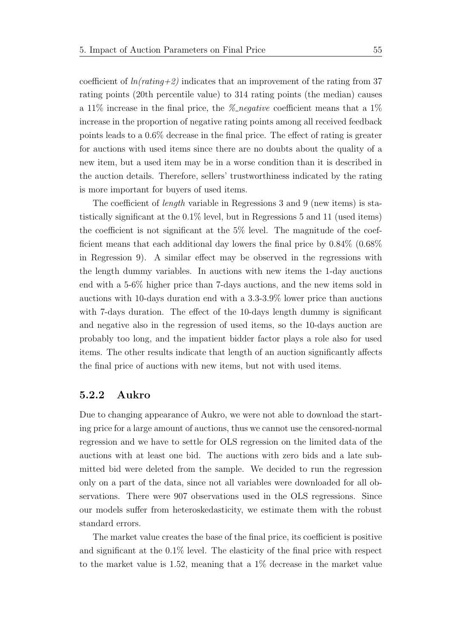coefficient of  $ln(rating+2)$  indicates that an improvement of the rating from 37 rating points (20th percentile value) to 314 rating points (the median) causes a 11% increase in the final price, the  $\mathscr{C}_n$  negative coefficient means that a 1% increase in the proportion of negative rating points among all received feedback points leads to a 0.6% decrease in the final price. The effect of rating is greater for auctions with used items since there are no doubts about the quality of a new item, but a used item may be in a worse condition than it is described in the auction details. Therefore, sellers' trustworthiness indicated by the rating is more important for buyers of used items.

The coefficient of length variable in Regressions 3 and 9 (new items) is statistically significant at the 0.1% level, but in Regressions 5 and 11 (used items) the coefficient is not significant at the  $5\%$  level. The magnitude of the coefficient means that each additional day lowers the final price by 0.84% (0.68% in Regression 9). A similar effect may be observed in the regressions with the length dummy variables. In auctions with new items the 1-day auctions end with a 5-6% higher price than 7-days auctions, and the new items sold in auctions with 10-days duration end with a 3.3-3.9% lower price than auctions with 7-days duration. The effect of the 10-days length dummy is significant and negative also in the regression of used items, so the 10-days auction are probably too long, and the impatient bidder factor plays a role also for used items. The other results indicate that length of an auction significantly affects the final price of auctions with new items, but not with used items.

#### 5.2.2 Aukro

Due to changing appearance of Aukro, we were not able to download the starting price for a large amount of auctions, thus we cannot use the censored-normal regression and we have to settle for OLS regression on the limited data of the auctions with at least one bid. The auctions with zero bids and a late submitted bid were deleted from the sample. We decided to run the regression only on a part of the data, since not all variables were downloaded for all observations. There were 907 observations used in the OLS regressions. Since our models suffer from heteroskedasticity, we estimate them with the robust standard errors.

The market value creates the base of the final price, its coefficient is positive and significant at the 0.1% level. The elasticity of the final price with respect to the market value is 1.52, meaning that a 1% decrease in the market value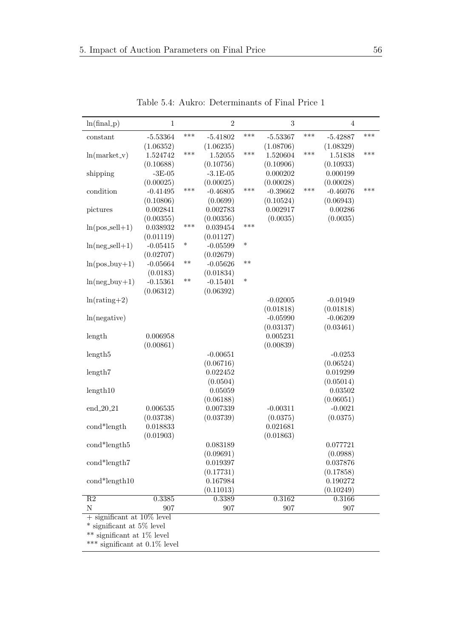| $ln(final_p)$                | $\mathbf{1}$           |        | $\overline{2}$ |        | $\sqrt{3}$ |     | $\overline{4}$ |     |
|------------------------------|------------------------|--------|----------------|--------|------------|-----|----------------|-----|
| constant                     | $-5.53364$             | ***    | $-5.41802$     | ***    | $-5.53367$ | *** | $-5.42887$     | *** |
|                              | (1.06352)              |        | (1.06235)      |        | (1.08706)  |     | (1.08329)      |     |
| $ln(market_v)$               | 1.524742               | ***    | 1.52055        | ***    | 1.520604   | *** | 1.51838        | *** |
|                              | (0.10688)              |        | (0.10756)      |        | (0.10906)  |     | (0.10933)      |     |
| shipping                     | $\mbox{-}3\mbox{E-}05$ |        | $-3.1E-05$     |        | 0.000202   |     | 0.000199       |     |
|                              | (0.00025)              |        | (0.00025)      |        | (0.00028)  |     | (0.00028)      |     |
| condition                    | $-0.41495$             | ***    | $-0.46805$     | ***    | $-0.39662$ | *** | $-0.46076$     | *** |
|                              | (0.10806)              |        | (0.0699)       |        | (0.10524)  |     | (0.06943)      |     |
| pictures                     | 0.002841               |        | 0.002783       |        | 0.002917   |     | 0.00286        |     |
|                              | (0.00355)              |        | (0.00356)      |        | (0.0035)   |     | (0.0035)       |     |
| $ln(pos\_sell+1)$            | 0.038932               | ***    | 0.039454       | ***    |            |     |                |     |
|                              | (0.01119)              |        | (0.01127)      |        |            |     |                |     |
| $ln(neg\_sell+1)$            | $-0.05415$             | $\ast$ | $-0.05599$     | $\ast$ |            |     |                |     |
|                              | (0.02707)              |        | (0.02679)      |        |            |     |                |     |
| $ln(pos_buy+1)$              | $-0.05664$             | $***$  | $-0.05626$     | $***$  |            |     |                |     |
|                              | (0.0183)               |        | (0.01834)      |        |            |     |                |     |
| $ln(neg_buy+1)$              | $-0.15361$             | $***$  | $-0.15401$     | $\ast$ |            |     |                |     |
|                              | (0.06312)              |        | (0.06392)      |        |            |     |                |     |
| $ln(rating + 2)$             |                        |        |                |        | $-0.02005$ |     | $-0.01949$     |     |
|                              |                        |        |                |        | (0.01818)  |     | (0.01818)      |     |
| ln(negative)                 |                        |        |                |        | $-0.05990$ |     | $-0.06209$     |     |
|                              |                        |        |                |        | (0.03137)  |     | (0.03461)      |     |
| length                       | 0.006958               |        |                |        | 0.005231   |     |                |     |
|                              | (0.00861)              |        |                |        | (0.00839)  |     |                |     |
| length <sub>5</sub>          |                        |        | $-0.00651$     |        |            |     | $-0.0253$      |     |
|                              |                        |        | (0.06716)      |        |            |     | (0.06524)      |     |
| length7                      |                        |        | 0.022452       |        |            |     | 0.019299       |     |
|                              |                        |        | (0.0504)       |        |            |     | (0.05014)      |     |
| length10                     |                        |        | 0.05059        |        |            |     | 0.03502        |     |
|                              |                        |        | (0.06188)      |        |            |     | (0.06051)      |     |
| $\text{end}\_20\_21$         | 0.006535               |        | 0.007339       |        | $-0.00311$ |     | $-0.0021$      |     |
|                              | (0.03738)              |        | (0.03739)      |        | (0.0375)   |     | (0.0375)       |     |
| cond*length                  | 0.018833               |        |                |        | 0.021681   |     |                |     |
|                              | (0.01903)              |        |                |        | (0.01863)  |     |                |     |
| $\text{cond*length}5$        |                        |        | 0.083189       |        |            |     | 0.077721       |     |
|                              |                        |        | (0.09691)      |        |            |     | (0.0988)       |     |
| cond*length7                 |                        |        | 0.019397       |        |            |     | 0.037876       |     |
|                              |                        |        | (0.17731)      |        |            |     | (0.17858)      |     |
| $cond*length10$              |                        |        | 0.167984       |        |            |     | 0.190272       |     |
|                              |                        |        | (0.11013)      |        |            |     | (0.10249)      |     |
| R2                           | 0.3385                 |        | 0.3389         |        | 0.3162     |     | 0.3166         |     |
| $\mathbf N$                  | 907                    |        | 907            |        | $907\,$    |     | 907            |     |
| $+$ significant at 10% level |                        |        |                |        |            |     |                |     |

Table 5.4: Aukro: Determinants of Final Price 1

+ significant at 10% level

\* significant at 5% level

\*\* significant at 1% level

\*\*\* significant at 0.1% level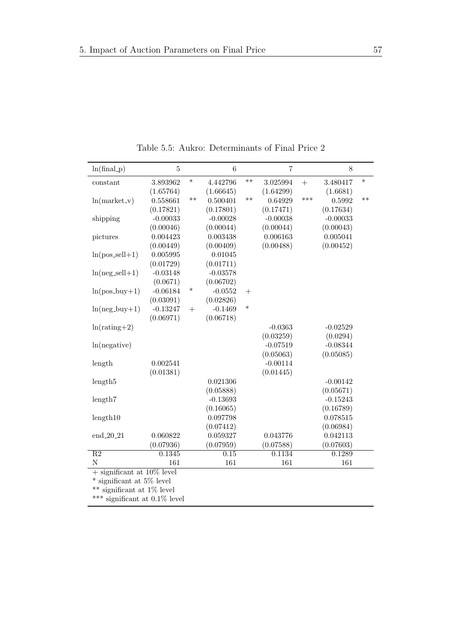| $ln(final_p)$                | $\bf 5$                          |        | $\,6$      |        | $\overline{7}$ |        | 8          |        |
|------------------------------|----------------------------------|--------|------------|--------|----------------|--------|------------|--------|
| constant                     | 3.893962                         | $\ast$ | 4.442796   | $***$  | 3.025994       | $^{+}$ | 3.480417   | $\ast$ |
|                              | (1.65764)                        |        | (1.66645)  |        | (1.64299)      |        | (1.6681)   |        |
| $ln(marker_v)$               | 0.558661                         | $***$  | 0.500401   | $**$   | 0.64929        | ***    | 0.5992     | $**$   |
|                              | (0.17821)                        |        | (0.17801)  |        | (0.17471)      |        | (0.17634)  |        |
| shipping                     | $-0.00033$                       |        | $-0.00028$ |        | $-0.00038$     |        | $-0.00033$ |        |
|                              | (0.00046)                        |        | (0.00044)  |        | (0.00044)      |        | (0.00043)  |        |
| pictures                     | 0.004423                         |        | 0.003438   |        | 0.006163       |        | 0.005041   |        |
|                              | (0.00449)                        |        | (0.00409)  |        | (0.00488)      |        | (0.00452)  |        |
| $ln(pos\_sell+1)$            | 0.005995                         |        | 0.01045    |        |                |        |            |        |
|                              | (0.01729)                        |        | (0.01711)  |        |                |        |            |        |
| $ln(neg\_sell+1)$            | $-0.03148$                       |        | $-0.03578$ |        |                |        |            |        |
|                              | (0.0671)                         |        | (0.06702)  |        |                |        |            |        |
| $ln(pos_buy+1)$              | $-0.06184$                       | $\ast$ | $-0.0552$  | $+$    |                |        |            |        |
|                              | (0.03091)                        |        | (0.02826)  |        |                |        |            |        |
| $ln(neg_buy+1)$              | $-0.13247$                       | $+$    | $-0.1469$  | $\ast$ |                |        |            |        |
|                              | (0.06971)                        |        | (0.06718)  |        |                |        |            |        |
| $ln(rating + 2)$             |                                  |        |            |        | $-0.0363$      |        | $-0.02529$ |        |
|                              |                                  |        |            |        | (0.03259)      |        | (0.0294)   |        |
| ln(negative)                 |                                  |        |            |        | $-0.07519$     |        | $-0.08344$ |        |
|                              |                                  |        |            |        | (0.05063)      |        | (0.05085)  |        |
| length                       | 0.002541                         |        |            |        | $-0.00114$     |        |            |        |
|                              | (0.01381)                        |        |            |        | (0.01445)      |        |            |        |
| length <sub>5</sub>          |                                  |        | 0.021306   |        |                |        | $-0.00142$ |        |
|                              |                                  |        | (0.05888)  |        |                |        | (0.05671)  |        |
| length7                      |                                  |        | $-0.13693$ |        |                |        | $-0.15243$ |        |
|                              |                                  |        | (0.16065)  |        |                |        | (0.16789)  |        |
| length10                     |                                  |        | 0.097798   |        |                |        | 0.078515   |        |
|                              |                                  |        | (0.07412)  |        |                |        | (0.06984)  |        |
| end_20_21                    | 0.060822                         |        | 0.059327   |        | 0.043776       |        | 0.042113   |        |
|                              | (0.07936)                        |        | (0.07959)  |        | (0.07588)      |        | (0.07603)  |        |
| $\overline{R2}$              | 0.1345                           |        | 0.15       |        | 0.1134         |        | 0.1289     |        |
| $\mathbf N$                  | 161                              |        | 161        |        | 161            |        | 161        |        |
| $+$ significant at 10% level |                                  |        |            |        |                |        |            |        |
| * significant at 5% level    |                                  |        |            |        |                |        |            |        |
| significant at $1\%$ level   |                                  |        |            |        |                |        |            |        |
|                              | *** significant at $0.1\%$ level |        |            |        |                |        |            |        |

Table 5.5: Aukro: Determinants of Final Price 2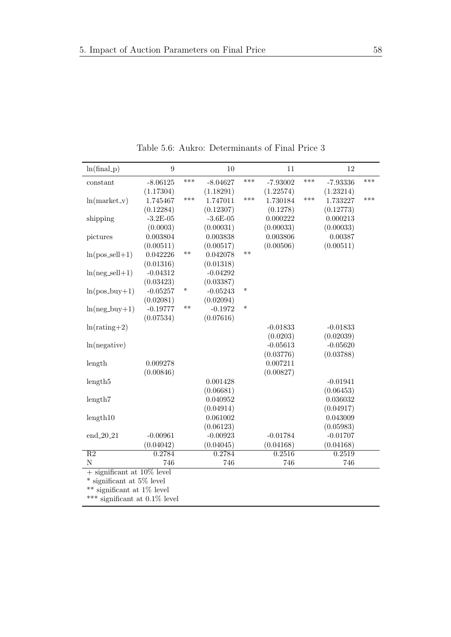| $ln(final_p)$                       | $\overline{9}$ |        | 10         |        | 11         |     | 12         |     |
|-------------------------------------|----------------|--------|------------|--------|------------|-----|------------|-----|
| constant                            | $-8.06125$     | ***    | $-8.04627$ | ***    | $-7.93002$ | *** | $-7.93336$ | *** |
|                                     | (1.17304)      |        | (1.18291)  |        | (1.22574)  |     | (1.23214)  |     |
| $ln(marker_v)$                      | 1.745467       | $***$  | 1.747011   | ***    | 1.730184   | *** | 1.733227   | *** |
|                                     | (0.12284)      |        | (0.12307)  |        | (0.1278)   |     | (0.12773)  |     |
| shipping                            | $-3.2E-05$     |        | $-3.6E-05$ |        | 0.000222   |     | 0.000213   |     |
|                                     | (0.0003)       |        | (0.00031)  |        | (0.00033)  |     | (0.00033)  |     |
| pictures                            | 0.003804       |        | 0.003838   |        | 0.003806   |     | 0.00387    |     |
|                                     | (0.00511)      |        | (0.00517)  |        | (0.00506)  |     | (0.00511)  |     |
| $ln(pos\_sell+1)$                   | 0.042226       | $***$  | 0.042078   | $***$  |            |     |            |     |
|                                     | (0.01316)      |        | (0.01318)  |        |            |     |            |     |
| $ln(neg\_sell+1)$                   | $-0.04312$     |        | $-0.04292$ |        |            |     |            |     |
|                                     | (0.03423)      |        | (0.03387)  |        |            |     |            |     |
| $ln(pos_buy+1)$                     | $-0.05257$     | $\ast$ | $-0.05243$ | $\ast$ |            |     |            |     |
|                                     | (0.02081)      |        | (0.02094)  |        |            |     |            |     |
| $ln(neg_buy+1)$                     | $-0.19777$     | $**$   | $-0.1972$  | $\ast$ |            |     |            |     |
|                                     | (0.07534)      |        | (0.07616)  |        |            |     |            |     |
| $ln(rating + 2)$                    |                |        |            |        | $-0.01833$ |     | $-0.01833$ |     |
|                                     |                |        |            |        | (0.0203)   |     | (0.02039)  |     |
| ln(negative)                        |                |        |            |        | $-0.05613$ |     | $-0.05620$ |     |
|                                     |                |        |            |        | (0.03776)  |     | (0.03788)  |     |
| length                              | 0.009278       |        |            |        | 0.007211   |     |            |     |
|                                     | (0.00846)      |        |            |        | (0.00827)  |     |            |     |
| length <sub>5</sub>                 |                |        | 0.001428   |        |            |     | $-0.01941$ |     |
|                                     |                |        | (0.06681)  |        |            |     | (0.06453)  |     |
| length7                             |                |        | 0.040952   |        |            |     | 0.036032   |     |
|                                     |                |        | (0.04914)  |        |            |     | (0.04917)  |     |
| length10                            |                |        | 0.061002   |        |            |     | 0.043009   |     |
|                                     |                |        | (0.06123)  |        |            |     | (0.05983)  |     |
| end_20_21                           | $-0.00961$     |        | $-0.00923$ |        | $-0.01784$ |     | $-0.01707$ |     |
|                                     | (0.04042)      |        | (0.04045)  |        | (0.04168)  |     | (0.04168)  |     |
| $\overline{R2}$                     | 0.2784         |        | 0.2784     |        | 0.2516     |     | 0.2519     |     |
| $\mathbf N$                         | 746            |        | 746        |        | 746        |     | 746        |     |
| $+$ significant at 10% level        |                |        |            |        |            |     |            |     |
| $*$ significant at 5% level         |                |        |            |        |            |     |            |     |
| $***$<br>significant at $1\%$ level |                |        |            |        |            |     |            |     |
| significant at $0.1\%$ level<br>*** |                |        |            |        |            |     |            |     |

Table 5.6: Aukro: Determinants of Final Price 3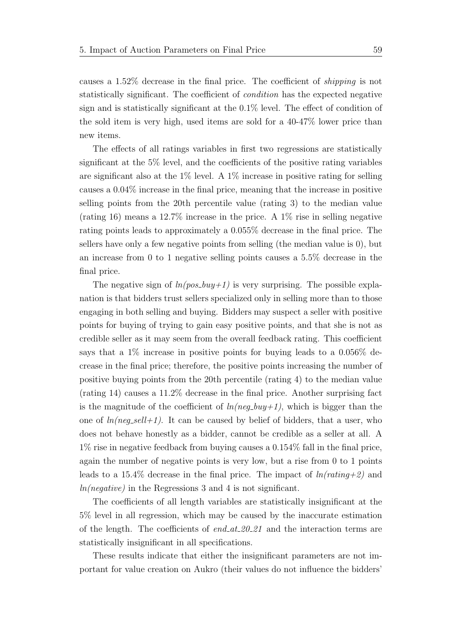causes a 1.52% decrease in the final price. The coefficient of shipping is not statistically significant. The coefficient of condition has the expected negative sign and is statistically significant at the 0.1% level. The effect of condition of the sold item is very high, used items are sold for a 40-47% lower price than new items.

The effects of all ratings variables in first two regressions are statistically significant at the 5% level, and the coefficients of the positive rating variables are significant also at the  $1\%$  level. A  $1\%$  increase in positive rating for selling causes a 0.04% increase in the final price, meaning that the increase in positive selling points from the 20th percentile value (rating 3) to the median value (rating 16) means a 12.7% increase in the price. A 1% rise in selling negative rating points leads to approximately a 0.055% decrease in the final price. The sellers have only a few negative points from selling (the median value is 0), but an increase from 0 to 1 negative selling points causes a 5.5% decrease in the final price.

The negative sign of  $ln(pos_buy+1)$  is very surprising. The possible explanation is that bidders trust sellers specialized only in selling more than to those engaging in both selling and buying. Bidders may suspect a seller with positive points for buying of trying to gain easy positive points, and that she is not as credible seller as it may seem from the overall feedback rating. This coefficient says that a 1% increase in positive points for buying leads to a 0.056% decrease in the final price; therefore, the positive points increasing the number of positive buying points from the 20th percentile (rating 4) to the median value (rating 14) causes a 11.2% decrease in the final price. Another surprising fact is the magnitude of the coefficient of  $ln(neg_buy+1)$ , which is bigger than the one of  $ln(neg\_sell+1)$ . It can be caused by belief of bidders, that a user, who does not behave honestly as a bidder, cannot be credible as a seller at all. A 1% rise in negative feedback from buying causes a 0.154% fall in the final price, again the number of negative points is very low, but a rise from 0 to 1 points leads to a 15.4% decrease in the final price. The impact of  $ln(rating+2)$  and ln(negative) in the Regressions 3 and 4 is not significant.

The coefficients of all length variables are statistically insignificant at the 5% level in all regression, which may be caused by the inaccurate estimation of the length. The coefficients of  $end_at_20_21$  and the interaction terms are statistically insignificant in all specifications.

These results indicate that either the insignificant parameters are not important for value creation on Aukro (their values do not influence the bidders'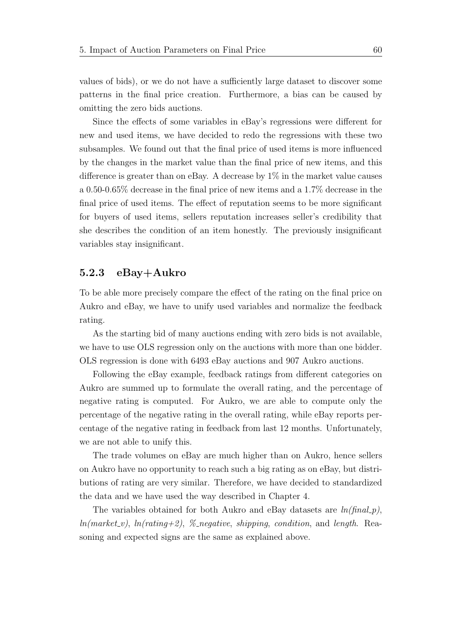values of bids), or we do not have a sufficiently large dataset to discover some patterns in the final price creation. Furthermore, a bias can be caused by omitting the zero bids auctions.

Since the effects of some variables in eBay's regressions were different for new and used items, we have decided to redo the regressions with these two subsamples. We found out that the final price of used items is more influenced by the changes in the market value than the final price of new items, and this difference is greater than on eBay. A decrease by 1% in the market value causes a 0.50-0.65% decrease in the final price of new items and a 1.7% decrease in the final price of used items. The effect of reputation seems to be more significant for buyers of used items, sellers reputation increases seller's credibility that she describes the condition of an item honestly. The previously insignificant variables stay insignificant.

#### 5.2.3 eBay+Aukro

To be able more precisely compare the effect of the rating on the final price on Aukro and eBay, we have to unify used variables and normalize the feedback rating.

As the starting bid of many auctions ending with zero bids is not available, we have to use OLS regression only on the auctions with more than one bidder. OLS regression is done with 6493 eBay auctions and 907 Aukro auctions.

Following the eBay example, feedback ratings from different categories on Aukro are summed up to formulate the overall rating, and the percentage of negative rating is computed. For Aukro, we are able to compute only the percentage of the negative rating in the overall rating, while eBay reports percentage of the negative rating in feedback from last 12 months. Unfortunately, we are not able to unify this.

The trade volumes on eBay are much higher than on Aukro, hence sellers on Aukro have no opportunity to reach such a big rating as on eBay, but distributions of rating are very similar. Therefore, we have decided to standardized the data and we have used the way described in Chapter 4.

The variables obtained for both Aukro and eBay datasets are  $ln(final_p)$ ,  $ln(market_{\sim}v)$ ,  $ln(rating+2)$ , % negative, shipping, condition, and length. Reasoning and expected signs are the same as explained above.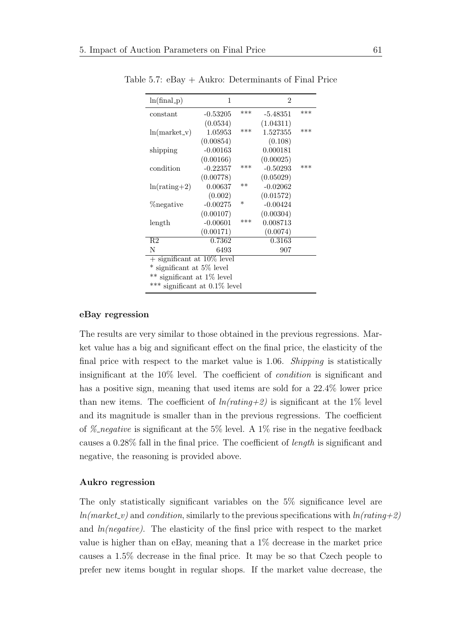| $ln(final_p)$                    | 1                             |        | $\mathfrak{D}$ |     |  |  |  |  |  |
|----------------------------------|-------------------------------|--------|----------------|-----|--|--|--|--|--|
| constant                         | $-0.53205$                    | ***    | $-5.48351$     | *** |  |  |  |  |  |
|                                  | (0.0534)                      |        | (1.04311)      |     |  |  |  |  |  |
| $ln(maxket_v)$                   | 1.05953                       | ***    | 1.527355       | *** |  |  |  |  |  |
|                                  | (0.00854)                     |        | (0.108)        |     |  |  |  |  |  |
| shipping                         | $-0.00163$                    |        | 0.000181       |     |  |  |  |  |  |
|                                  | (0.00166)                     |        | (0.00025)      |     |  |  |  |  |  |
| condition                        | $-0.22357$                    | ***    | $-0.50293$     | *** |  |  |  |  |  |
|                                  | (0.00778)                     |        | (0.05029)      |     |  |  |  |  |  |
| $ln(rating+2)$                   | 0.00637                       | $**$   | $-0.02062$     |     |  |  |  |  |  |
|                                  | (0.002)                       |        | (0.01572)      |     |  |  |  |  |  |
| <i>negative</i>                  | $-0.00275$                    | $\ast$ | $-0.00424$     |     |  |  |  |  |  |
|                                  | (0.00107)                     |        | (0.00304)      |     |  |  |  |  |  |
| length                           | $-0.00601$                    | ***    | 0.008713       |     |  |  |  |  |  |
|                                  | (0.00171)                     |        | (0.0074)       |     |  |  |  |  |  |
| R2                               | $\overline{0.7362}$           |        | 0.3163         |     |  |  |  |  |  |
| N                                | 6493                          |        | 907            |     |  |  |  |  |  |
|                                  | $+$ significant at 10\% level |        |                |     |  |  |  |  |  |
| significant at 5\% level         |                               |        |                |     |  |  |  |  |  |
| ** significant at 1% level       |                               |        |                |     |  |  |  |  |  |
| *** significant at $0.1\%$ level |                               |        |                |     |  |  |  |  |  |
|                                  |                               |        |                |     |  |  |  |  |  |

Table 5.7: eBay + Aukro: Determinants of Final Price

#### eBay regression

The results are very similar to those obtained in the previous regressions. Market value has a big and significant effect on the final price, the elasticity of the final price with respect to the market value is 1.06. Shipping is statistically insignificant at the 10% level. The coefficient of condition is significant and has a positive sign, meaning that used items are sold for a 22.4% lower price than new items. The coefficient of  $ln(rating+2)$  is significant at the 1% level and its magnitude is smaller than in the previous regressions. The coefficient of % negative is significant at the 5% level. A 1% rise in the negative feedback causes a 0.28% fall in the final price. The coefficient of length is significant and negative, the reasoning is provided above.

#### Aukro regression

The only statistically significant variables on the 5% significance level are  $ln(market_v)$  and condition, similarly to the previous specifications with  $ln(rating+2)$ and  $ln(negative)$ . The elasticity of the finsl price with respect to the market value is higher than on eBay, meaning that a 1% decrease in the market price causes a 1.5% decrease in the final price. It may be so that Czech people to prefer new items bought in regular shops. If the market value decrease, the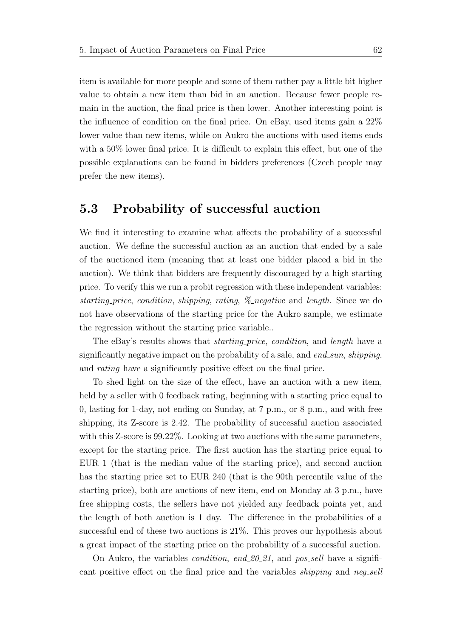item is available for more people and some of them rather pay a little bit higher value to obtain a new item than bid in an auction. Because fewer people remain in the auction, the final price is then lower. Another interesting point is the influence of condition on the final price. On eBay, used items gain a 22% lower value than new items, while on Aukro the auctions with used items ends with a 50% lower final price. It is difficult to explain this effect, but one of the possible explanations can be found in bidders preferences (Czech people may prefer the new items).

### 5.3 Probability of successful auction

We find it interesting to examine what affects the probability of a successful auction. We define the successful auction as an auction that ended by a sale of the auctioned item (meaning that at least one bidder placed a bid in the auction). We think that bidders are frequently discouraged by a high starting price. To verify this we run a probit regression with these independent variables: starting price, condition, shipping, rating, % negative and length. Since we do not have observations of the starting price for the Aukro sample, we estimate the regression without the starting price variable..

The eBay's results shows that *starting price, condition*, and *length* have a significantly negative impact on the probability of a sale, and  $end\_sun$ , shipping, and rating have a significantly positive effect on the final price.

To shed light on the size of the effect, have an auction with a new item, held by a seller with 0 feedback rating, beginning with a starting price equal to 0, lasting for 1-day, not ending on Sunday, at 7 p.m., or 8 p.m., and with free shipping, its Z-score is 2.42. The probability of successful auction associated with this Z-score is 99.22%. Looking at two auctions with the same parameters, except for the starting price. The first auction has the starting price equal to EUR 1 (that is the median value of the starting price), and second auction has the starting price set to EUR 240 (that is the 90th percentile value of the starting price), both are auctions of new item, end on Monday at 3 p.m., have free shipping costs, the sellers have not yielded any feedback points yet, and the length of both auction is 1 day. The difference in the probabilities of a successful end of these two auctions is 21%. This proves our hypothesis about a great impact of the starting price on the probability of a successful auction.

On Aukro, the variables *condition, end 20.21*, and  $pos\_sell$  have a significant positive effect on the final price and the variables *shipping* and neg-sell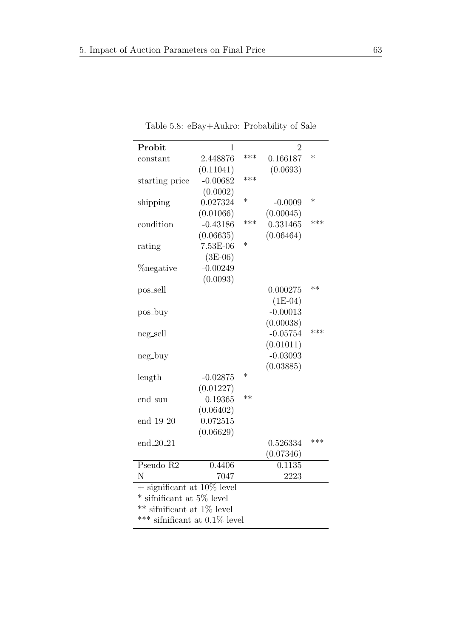| Probit                           | $\overline{1}$ |        | $\overline{2}$      |                   |  |  |  |
|----------------------------------|----------------|--------|---------------------|-------------------|--|--|--|
| constant                         | 2.448876       | $***$  | 0.166187            | $\overline{\ast}$ |  |  |  |
|                                  | (0.11041)      |        | (0.0693)            |                   |  |  |  |
| starting price                   | $-0.00682$     | ***    |                     |                   |  |  |  |
|                                  | (0.0002)       |        |                     |                   |  |  |  |
| shipping                         | 0.027324       | $\ast$ | $-0.0009$           | $\ast$            |  |  |  |
|                                  | (0.01066)      |        | (0.00045)           |                   |  |  |  |
| condition                        | $-0.43186$     | ***    | 0.331465            | ***               |  |  |  |
|                                  | (0.06635)      |        | (0.06464)           |                   |  |  |  |
| rating                           | 7.53E-06       | $\ast$ |                     |                   |  |  |  |
|                                  | $(3E-06)$      |        |                     |                   |  |  |  |
| <i>negative</i>                  | $-0.00249$     |        |                     |                   |  |  |  |
|                                  | (0.0093)       |        |                     |                   |  |  |  |
| pos_sell                         |                |        | 0.000275            | $**$              |  |  |  |
|                                  |                |        | $(1E-04)$           |                   |  |  |  |
| pos_buy                          |                |        | $-0.00013$          |                   |  |  |  |
|                                  |                |        | (0.00038)           |                   |  |  |  |
| neg_sell                         |                |        | $-0.05754$          | ***               |  |  |  |
|                                  |                |        | (0.01011)           |                   |  |  |  |
| neg_buy                          |                |        | $-0.03093$          |                   |  |  |  |
|                                  |                |        | (0.03885)           |                   |  |  |  |
| length                           | $-0.02875$     | $\ast$ |                     |                   |  |  |  |
|                                  | (0.01227)      |        |                     |                   |  |  |  |
| end_sun                          | 0.19365        | $**$   |                     |                   |  |  |  |
|                                  | (0.06402)      |        |                     |                   |  |  |  |
| end_19_20                        | 0.072515       |        |                     |                   |  |  |  |
|                                  | (0.06629)      |        |                     |                   |  |  |  |
| $end_{20.21}$                    |                |        | 0.526334            | ***               |  |  |  |
|                                  |                |        | (0.07346)           |                   |  |  |  |
| Pseudo R2                        | 0.4406         |        | $\overline{0.11}35$ |                   |  |  |  |
| N                                | 7047           |        | 2223                |                   |  |  |  |
| $+$ significant at 10% level     |                |        |                     |                   |  |  |  |
| sifnificant at 5% level          |                |        |                     |                   |  |  |  |
| sifnificant at $1\%$ level       |                |        |                     |                   |  |  |  |
| *** sifnificant at $0.1\%$ level |                |        |                     |                   |  |  |  |

Table 5.8: eBay+Aukro: Probability of Sale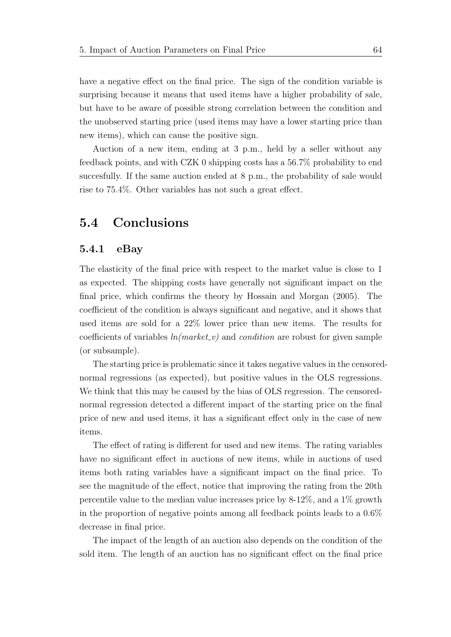have a negative effect on the final price. The sign of the condition variable is surprising because it means that used items have a higher probability of sale, but have to be aware of possible strong correlation between the condition and the unobserved starting price (used items may have a lower starting price than new items), which can cause the positive sign.

Auction of a new item, ending at 3 p.m., held by a seller without any feedback points, and with CZK 0 shipping costs has a 56.7% probability to end succesfully. If the same auction ended at 8 p.m., the probability of sale would rise to 75.4%. Other variables has not such a great effect.

## 5.4 Conclusions

#### 5.4.1 eBay

The elasticity of the final price with respect to the market value is close to 1 as expected. The shipping costs have generally not significant impact on the final price, which confirms the theory by [Hossain and Morgan](#page-105-0) [\(2005\)](#page-105-0). The coefficient of the condition is always significant and negative, and it shows that used items are sold for a 22% lower price than new items. The results for coefficients of variables  $ln(market_{\textit{v}})$  and condition are robust for given sample (or subsample).

The starting price is problematic since it takes negative values in the censorednormal regressions (as expected), but positive values in the OLS regressions. We think that this may be caused by the bias of OLS regression. The censorednormal regression detected a different impact of the starting price on the final price of new and used items, it has a significant effect only in the case of new items.

The effect of rating is different for used and new items. The rating variables have no significant effect in auctions of new items, while in auctions of used items both rating variables have a significant impact on the final price. To see the magnitude of the effect, notice that improving the rating from the 20th percentile value to the median value increases price by 8-12%, and a 1% growth in the proportion of negative points among all feedback points leads to a 0.6% decrease in final price.

The impact of the length of an auction also depends on the condition of the sold item. The length of an auction has no significant effect on the final price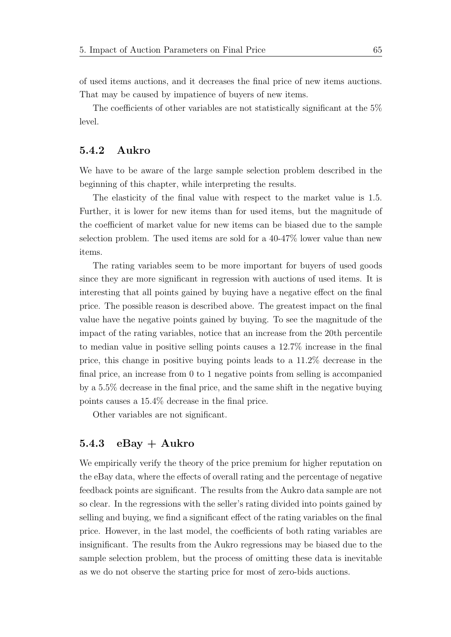of used items auctions, and it decreases the final price of new items auctions. That may be caused by impatience of buyers of new items.

The coefficients of other variables are not statistically significant at the 5% level.

#### 5.4.2 Aukro

We have to be aware of the large sample selection problem described in the beginning of this chapter, while interpreting the results.

The elasticity of the final value with respect to the market value is 1.5. Further, it is lower for new items than for used items, but the magnitude of the coefficient of market value for new items can be biased due to the sample selection problem. The used items are sold for a 40-47% lower value than new items.

The rating variables seem to be more important for buyers of used goods since they are more significant in regression with auctions of used items. It is interesting that all points gained by buying have a negative effect on the final price. The possible reason is described above. The greatest impact on the final value have the negative points gained by buying. To see the magnitude of the impact of the rating variables, notice that an increase from the 20th percentile to median value in positive selling points causes a 12.7% increase in the final price, this change in positive buying points leads to a 11.2% decrease in the final price, an increase from 0 to 1 negative points from selling is accompanied by a 5.5% decrease in the final price, and the same shift in the negative buying points causes a 15.4% decrease in the final price.

Other variables are not significant.

### 5.4.3  $eBay + Aukro$

We empirically verify the theory of the price premium for higher reputation on the eBay data, where the effects of overall rating and the percentage of negative feedback points are significant. The results from the Aukro data sample are not so clear. In the regressions with the seller's rating divided into points gained by selling and buying, we find a significant effect of the rating variables on the final price. However, in the last model, the coefficients of both rating variables are insignificant. The results from the Aukro regressions may be biased due to the sample selection problem, but the process of omitting these data is inevitable as we do not observe the starting price for most of zero-bids auctions.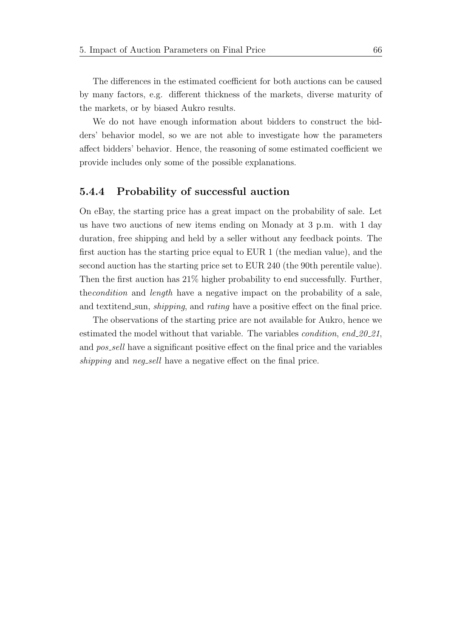The differences in the estimated coefficient for both auctions can be caused by many factors, e.g. different thickness of the markets, diverse maturity of the markets, or by biased Aukro results.

We do not have enough information about bidders to construct the bidders' behavior model, so we are not able to investigate how the parameters affect bidders' behavior. Hence, the reasoning of some estimated coefficient we provide includes only some of the possible explanations.

#### 5.4.4 Probability of successful auction

On eBay, the starting price has a great impact on the probability of sale. Let us have two auctions of new items ending on Monady at 3 p.m. with 1 day duration, free shipping and held by a seller without any feedback points. The first auction has the starting price equal to EUR 1 (the median value), and the second auction has the starting price set to EUR 240 (the 90th perentile value). Then the first auction has 21% higher probability to end successfully. Further, thecondition and length have a negative impact on the probability of a sale, and textitend sun, *shipping*, and *rating* have a positive effect on the final price.

The observations of the starting price are not available for Aukro, hence we estimated the model without that variable. The variables *condition*, end\_20\_21, and *pos\_sell* have a significant positive effect on the final price and the variables shipping and neg-sell have a negative effect on the final price.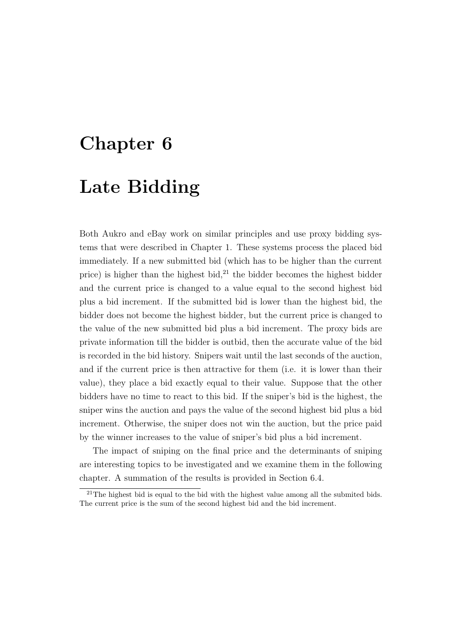# Chapter 6

# Late Bidding

Both Aukro and eBay work on similar principles and use proxy bidding systems that were described in Chapter 1. These systems process the placed bid immediately. If a new submitted bid (which has to be higher than the current price) is higher than the highest bid, $^{21}$  $^{21}$  $^{21}$  the bidder becomes the highest bidder and the current price is changed to a value equal to the second highest bid plus a bid increment. If the submitted bid is lower than the highest bid, the bidder does not become the highest bidder, but the current price is changed to the value of the new submitted bid plus a bid increment. The proxy bids are private information till the bidder is outbid, then the accurate value of the bid is recorded in the bid history. Snipers wait until the last seconds of the auction, and if the current price is then attractive for them (i.e. it is lower than their value), they place a bid exactly equal to their value. Suppose that the other bidders have no time to react to this bid. If the sniper's bid is the highest, the sniper wins the auction and pays the value of the second highest bid plus a bid increment. Otherwise, the sniper does not win the auction, but the price paid by the winner increases to the value of sniper's bid plus a bid increment.

The impact of sniping on the final price and the determinants of sniping are interesting topics to be investigated and we examine them in the following chapter. A summation of the results is provided in Section 6.4.

<span id="page-81-0"></span> $^{21}$ The highest bid is equal to the bid with the highest value among all the submited bids. The current price is the sum of the second highest bid and the bid increment.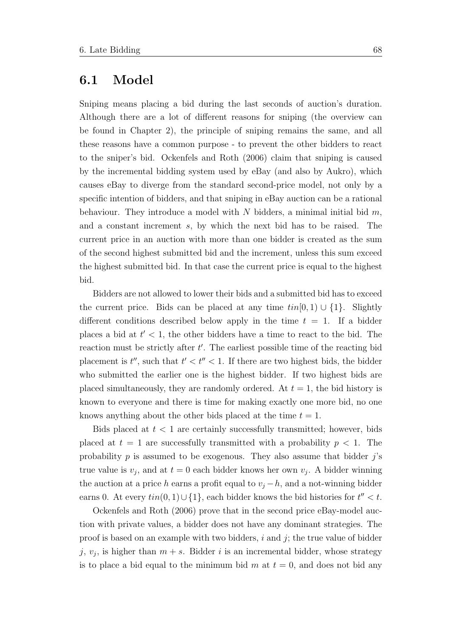## 6.1 Model

Sniping means placing a bid during the last seconds of auction's duration. Although there are a lot of different reasons for sniping (the overview can be found in Chapter 2), the principle of sniping remains the same, and all these reasons have a common purpose - to prevent the other bidders to react to the sniper's bid. [Ockenfels and Roth](#page-106-0) [\(2006\)](#page-106-0) claim that sniping is caused by the incremental bidding system used by eBay (and also by Aukro), which causes eBay to diverge from the standard second-price model, not only by a specific intention of bidders, and that sniping in eBay auction can be a rational behaviour. They introduce a model with N bidders, a minimal initial bid  $m$ , and a constant increment s, by which the next bid has to be raised. The current price in an auction with more than one bidder is created as the sum of the second highest submitted bid and the increment, unless this sum exceed the highest submitted bid. In that case the current price is equal to the highest bid.

Bidders are not allowed to lower their bids and a submitted bid has to exceed the current price. Bids can be placed at any time  $tin[0,1) \cup \{1\}$ . Slightly different conditions described below apply in the time  $t = 1$ . If a bidder places a bid at  $t' < 1$ , the other bidders have a time to react to the bid. The reaction must be strictly after  $t'$ . The earliest possible time of the reacting bid placement is  $t''$ , such that  $t' < t'' < 1$ . If there are two highest bids, the bidder who submitted the earlier one is the highest bidder. If two highest bids are placed simultaneously, they are randomly ordered. At  $t = 1$ , the bid history is known to everyone and there is time for making exactly one more bid, no one knows anything about the other bids placed at the time  $t = 1$ .

Bids placed at  $t < 1$  are certainly successfully transmitted; however, bids placed at  $t = 1$  are successfully transmitted with a probability  $p < 1$ . The probability  $p$  is assumed to be exogenous. They also assume that bidder  $j$ 's true value is  $v_j$ , and at  $t=0$  each bidder knows her own  $v_j$ . A bidder winning the auction at a price h earns a profit equal to  $v_j - h$ , and a not-winning bidder earns 0. At every  $\text{tin}(0,1) \cup \{1\}$ , each bidder knows the bid histories for  $t'' < t$ .

[Ockenfels and Roth](#page-106-0) [\(2006\)](#page-106-0) prove that in the second price eBay-model auction with private values, a bidder does not have any dominant strategies. The proof is based on an example with two bidders,  $i$  and  $j$ ; the true value of bidder j,  $v_j$ , is higher than  $m + s$ . Bidder i is an incremental bidder, whose strategy is to place a bid equal to the minimum bid m at  $t = 0$ , and does not bid any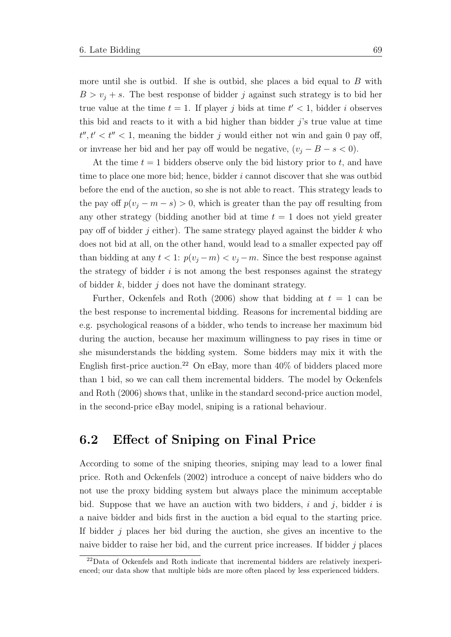more until she is outbid. If she is outbid, she places a bid equal to  $B$  with  $B > v_i + s$ . The best response of bidder j against such strategy is to bid her true value at the time  $t = 1$ . If player j bids at time  $t' < 1$ , bidder i observes this bid and reacts to it with a bid higher than bidder  $j$ 's true value at time  $t''$ ,  $t' < t'' < 1$ , meaning the bidder j would either not win and gain 0 pay off, or invrease her bid and her pay off would be negative,  $(v_j - B - s < 0)$ .

At the time  $t = 1$  bidders observe only the bid history prior to t, and have time to place one more bid; hence, bidder  $i$  cannot discover that she was outbid before the end of the auction, so she is not able to react. This strategy leads to the pay off  $p(v_j - m - s) > 0$ , which is greater than the pay off resulting from any other strategy (bidding another bid at time  $t = 1$  does not yield greater pay off of bidder j either). The same strategy played against the bidder  $k$  who does not bid at all, on the other hand, would lead to a smaller expected pay off than bidding at any  $t < 1$ :  $p(v_j - m) < v_j - m$ . Since the best response against the strategy of bidder  $i$  is not among the best responses against the strategy of bidder  $k$ , bidder  $j$  does not have the dominant strategy.

Further, [Ockenfels and Roth](#page-106-0) [\(2006\)](#page-106-0) show that bidding at  $t = 1$  can be the best response to incremental bidding. Reasons for incremental bidding are e.g. psychological reasons of a bidder, who tends to increase her maximum bid during the auction, because her maximum willingness to pay rises in time or she misunderstands the bidding system. Some bidders may mix it with the English first-price auction.<sup>[22](#page-83-0)</sup> On eBay, more than  $40\%$  of bidders placed more than 1 bid, so we can call them incremental bidders. The model by [Ockenfels](#page-106-0) [and Roth](#page-106-0) [\(2006\)](#page-106-0) shows that, unlike in the standard second-price auction model, in the second-price eBay model, sniping is a rational behaviour.

### 6.2 Effect of Sniping on Final Price

According to some of the sniping theories, sniping may lead to a lower final price. [Roth and Ockenfels](#page-107-0) [\(2002\)](#page-107-0) introduce a concept of naive bidders who do not use the proxy bidding system but always place the minimum acceptable bid. Suppose that we have an auction with two bidders,  $i$  and  $j$ , bidder  $i$  is a naive bidder and bids first in the auction a bid equal to the starting price. If bidder  $j$  places her bid during the auction, she gives an incentive to the naive bidder to raise her bid, and the current price increases. If bidder  $j$  places

<span id="page-83-0"></span><sup>&</sup>lt;sup>22</sup>Data of Ockenfels and Roth indicate that incremental bidders are relatively inexperienced; our data show that multiple bids are more often placed by less experienced bidders.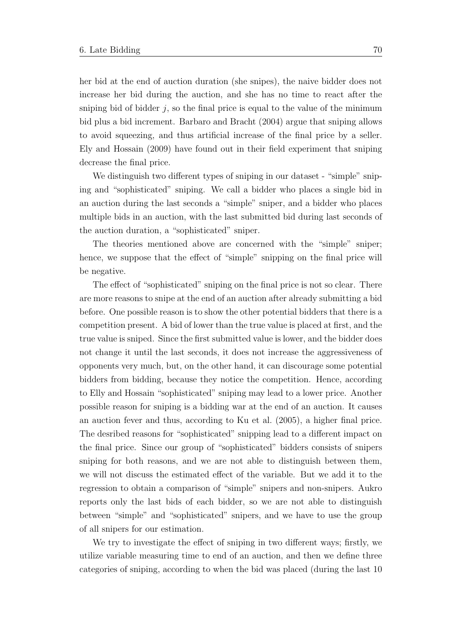her bid at the end of auction duration (she snipes), the naive bidder does not increase her bid during the auction, and she has no time to react after the sniping bid of bidder  $j$ , so the final price is equal to the value of the minimum bid plus a bid increment. [Barbaro and Bracht](#page-104-0) [\(2004\)](#page-104-0) argue that sniping allows to avoid squeezing, and thus artificial increase of the final price by a seller. [Ely and Hossain](#page-105-1) [\(2009\)](#page-105-1) have found out in their field experiment that sniping decrease the final price.

We distinguish two different types of sniping in our dataset - "simple" sniping and "sophisticated" sniping. We call a bidder who places a single bid in an auction during the last seconds a "simple" sniper, and a bidder who places multiple bids in an auction, with the last submitted bid during last seconds of the auction duration, a "sophisticated" sniper.

The theories mentioned above are concerned with the "simple" sniper; hence, we suppose that the effect of "simple" snipping on the final price will be negative.

The effect of "sophisticated" sniping on the final price is not so clear. There are more reasons to snipe at the end of an auction after already submitting a bid before. One possible reason is to show the other potential bidders that there is a competition present. A bid of lower than the true value is placed at first, and the true value is sniped. Since the first submitted value is lower, and the bidder does not change it until the last seconds, it does not increase the aggressiveness of opponents very much, but, on the other hand, it can discourage some potential bidders from bidding, because they notice the competition. Hence, according to Elly and Hossain "sophisticated" sniping may lead to a lower price. Another possible reason for sniping is a bidding war at the end of an auction. It causes an auction fever and thus, according to [Ku et al.](#page-106-1) [\(2005\)](#page-106-1), a higher final price. The desribed reasons for "sophisticated" snipping lead to a different impact on the final price. Since our group of "sophisticated" bidders consists of snipers sniping for both reasons, and we are not able to distinguish between them, we will not discuss the estimated effect of the variable. But we add it to the regression to obtain a comparison of "simple" snipers and non-snipers. Aukro reports only the last bids of each bidder, so we are not able to distinguish between "simple" and "sophisticated" snipers, and we have to use the group of all snipers for our estimation.

We try to investigate the effect of sniping in two different ways; firstly, we utilize variable measuring time to end of an auction, and then we define three categories of sniping, according to when the bid was placed (during the last 10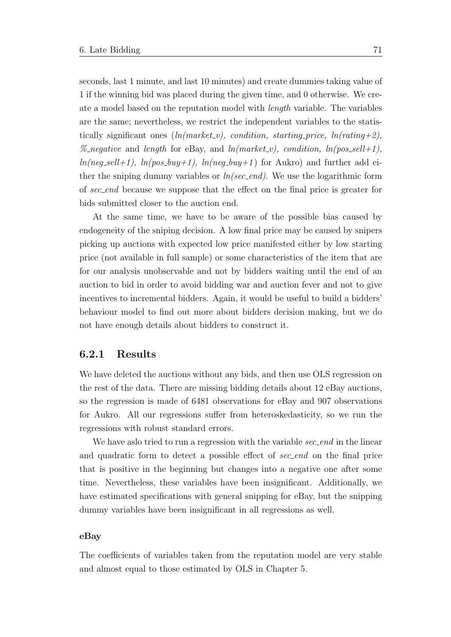seconds, last 1 minute, and last 10 minutes) and create dummies taking value of 1 if the winning bid was placed during the given time, and 0 otherwise. We create a model based on the reputation model with length variable. The variables are the same; nevertheless, we restrict the independent variables to the statistically significant ones  $(ln(market_v), condition, starting\_price, ln(rating+2),$ % negative and length for eBay, and  $ln(market_{\text{-}}v)$ , condition,  $ln(pos_{\text{-}}sell+1)$ ,  $ln(neg\_sell+1)$ ,  $ln(pos\_buy+1)$ ,  $ln(neg\_buy+1)$  for Aukro) and further add either the sniping dummy variables or  $ln/sec\_end$ ). We use the logarithmic form of sec end because we suppose that the effect on the final price is greater for bids submitted closer to the auction end.

At the same time, we have to be aware of the possible bias caused by endogeneity of the sniping decision. A low final price may be caused by snipers picking up auctions with expected low price manifested either by low starting price (not available in full sample) or some characteristics of the item that are for our analysis unobservable and not by bidders waiting until the end of an auction to bid in order to avoid bidding war and auction fever and not to give incentives to incremental bidders. Again, it would be useful to build a bidders' behaviour model to find out more about bidders decision making, but we do not have enough details about bidders to construct it.

#### 6.2.1 Results

We have deleted the auctions without any bids, and then use OLS regression on the rest of the data. There are missing bidding details about 12 eBay auctions, so the regression is made of 6481 observations for eBay and 907 observations for Aukro. All our regressions suffer from heteroskedasticity, so we run the regressions with robust standard errors.

We have aslo tried to run a regression with the variable  $sec\_end$  in the linear and quadratic form to detect a possible effect of sec-end on the final price that is positive in the beginning but changes into a negative one after some time. Nevertheless, these variables have been insignificant. Additionally, we have estimated specifications with general snipping for eBay, but the snipping dummy variables have been insignificant in all regressions as well.

#### eBay

The coefficients of variables taken from the reputation model are very stable and almost equal to those estimated by OLS in Chapter 5.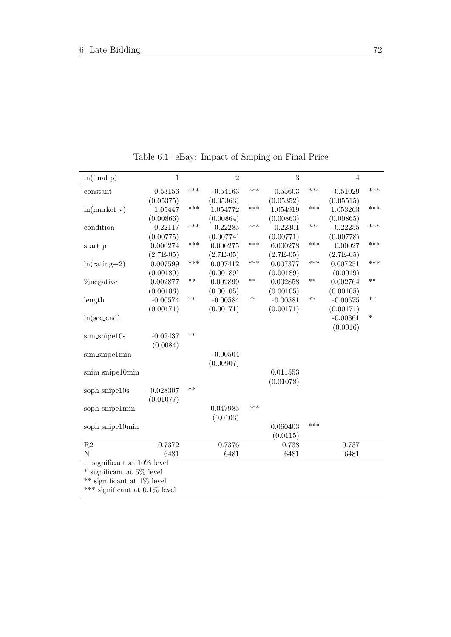| $ln(final_p)$                    | $\,1\,$                 |       | $\overline{2}$ |       | $\sqrt{3}$  |       | $\overline{4}$ |        |
|----------------------------------|-------------------------|-------|----------------|-------|-------------|-------|----------------|--------|
| constant                         | $-0.53156$              | ***   | $-0.54163$     | ***   | $-0.55603$  | ***   | $-0.51029$     | ***    |
|                                  | (0.05375)               |       | (0.05363)      |       | (0.05352)   |       | (0.05515)      |        |
| $ln(maxket_v)$                   | 1.05447                 | ***   | 1.054772       | ***   | 1.054919    | ***   | 1.053263       | ***    |
|                                  | (0.00866)               |       | (0.00864)      |       | (0.00863)   |       | (0.00865)      |        |
| condition                        | $-0.22117$              | ***   | $-0.22285$     | ***   | $-0.22301$  | ***   | $-0.22255$     | ***    |
|                                  | (0.00775)               |       | (0.00774)      |       | (0.00771)   |       | (0.00778)      |        |
| start_p                          | 0.000274                | ***   | 0.000275       | ***   | 0.000278    | ***   | 0.00027        | ***    |
|                                  | $(2.7E-05)$             |       | $(2.7E-05)$    |       | $(2.7E-05)$ |       | $(2.7E-05)$    |        |
| $ln(rating + 2)$                 | 0.007599                | ***   | 0.007412       | ***   | 0.007377    | ***   | 0.007251       | ***    |
|                                  | (0.00189)               |       | (0.00189)      |       | (0.00189)   |       | (0.0019)       |        |
| <b>Z</b> negative                | 0.002877                | $***$ | 0.002899       | $***$ | 0.002858    | $***$ | 0.002764       | $***$  |
|                                  | (0.00106)               |       | (0.00105)      |       | (0.00105)   |       | (0.00105)      |        |
| length                           | $-0.00574$              | $***$ | $-0.00584$     | $***$ | $-0.00581$  | $**$  | $-0.00575$     | $***$  |
|                                  | (0.00171)               |       | (0.00171)      |       | (0.00171)   |       | (0.00171)      |        |
| $ln(sec\_end)$                   |                         |       |                |       |             |       | $-0.00361$     | $\ast$ |
|                                  |                         |       |                |       |             |       | (0.0016)       |        |
| $sim$ snipe $10s$                | $-0.02437$              | $**$  |                |       |             |       |                |        |
|                                  | (0.0084)                |       |                |       |             |       |                |        |
| sim_snipe1min                    |                         |       | $-0.00504$     |       |             |       |                |        |
|                                  |                         |       | (0.00907)      |       |             |       |                |        |
| snim_snipe10min                  |                         |       |                |       | 0.011553    |       |                |        |
|                                  |                         |       |                |       | (0.01078)   |       |                |        |
| soph_snipe10s                    | 0.028307                | $**$  |                |       |             |       |                |        |
|                                  | (0.01077)               |       |                |       |             |       |                |        |
| soph_snipe1min                   |                         |       | 0.047985       | ***   |             |       |                |        |
|                                  |                         |       | (0.0103)       |       |             |       |                |        |
| soph_snipe10min                  |                         |       |                |       | 0.060403    | ***   |                |        |
|                                  |                         |       |                |       | (0.0115)    |       |                |        |
| $\overline{R2}$                  | 0.7372                  |       | 0.7376         |       | 0.738       |       | 0.737          |        |
| N                                | 6481                    |       | 6481           |       | 6481        |       | 6481           |        |
| $+$ significant at 10% level     |                         |       |                |       |             |       |                |        |
| * significant at 5% level        |                         |       |                |       |             |       |                |        |
|                                  | significant at 1% level |       |                |       |             |       |                |        |
| *** significant at $0.1\%$ level |                         |       |                |       |             |       |                |        |

Table 6.1: eBay: Impact of Sniping on Final Price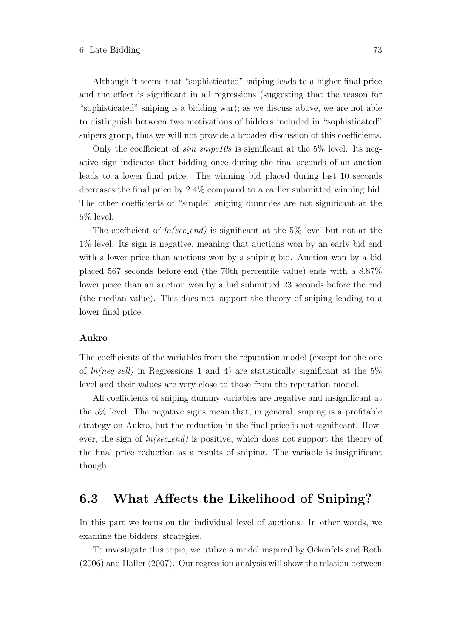Although it seems that "sophisticated" sniping leads to a higher final price and the effect is significant in all regressions (suggesting that the reason for "sophisticated" sniping is a bidding war); as we discuss above, we are not able to distinguish between two motivations of bidders included in "sophisticated" snipers group, thus we will not provide a broader discussion of this coefficients.

Only the coefficient of  $sim\_single10s$  is significant at the 5% level. Its negative sign indicates that bidding once during the final seconds of an auction leads to a lower final price. The winning bid placed during last 10 seconds decreases the final price by 2.4% compared to a earlier submitted winning bid. The other coefficients of "simple" sniping dummies are not significant at the 5% level.

The coefficient of  $ln/sec\_end$  is significant at the 5% level but not at the 1% level. Its sign is negative, meaning that auctions won by an early bid end with a lower price than auctions won by a sniping bid. Auction won by a bid placed 567 seconds before end (the 70th percentile value) ends with a 8.87% lower price than an auction won by a bid submitted 23 seconds before the end (the median value). This does not support the theory of sniping leading to a lower final price.

#### Aukro

The coefficients of the variables from the reputation model (except for the one of  $ln(neg\_sell)$  in Regressions 1 and 4) are statistically significant at the 5% level and their values are very close to those from the reputation model.

All coefficients of sniping dummy variables are negative and insignificant at the 5% level. The negative signs mean that, in general, sniping is a profitable strategy on Aukro, but the reduction in the final price is not significant. However, the sign of  $ln/sec\_end$  is positive, which does not support the theory of the final price reduction as a results of sniping. The variable is insignificant though.

### 6.3 What Affects the Likelihood of Sniping?

In this part we focus on the individual level of auctions. In other words, we examine the bidders' strategies.

To investigate this topic, we utilize a model inspired by [Ockenfels and Roth](#page-106-0) [\(2006\)](#page-106-0) and [Haller](#page-105-2) [\(2007\)](#page-105-2). Our regression analysis will show the relation between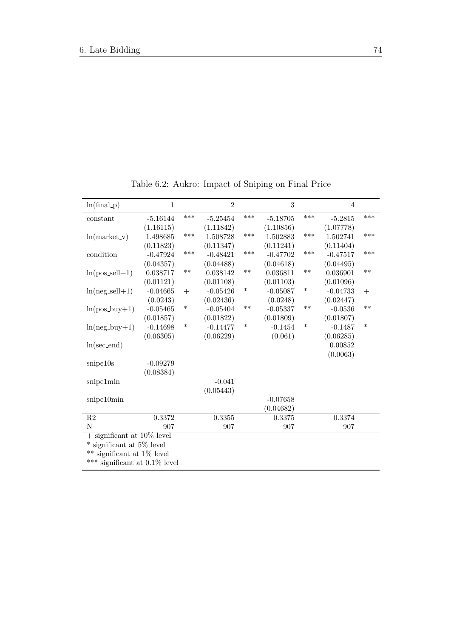| $ln(final_p)$                       | $\mathbf{1}$ |        | $\overline{2}$ |        | 3          |        | $\overline{4}$ |        |
|-------------------------------------|--------------|--------|----------------|--------|------------|--------|----------------|--------|
| constant                            | $-5.16144$   | ***    | $-5.25454$     | ***    | $-5.18705$ | ***    | $-5.2815$      | ***    |
|                                     | (1.16115)    |        | (1.11842)      |        | (1.10856)  |        | (1.07778)      |        |
| $ln(market_v)$                      | 1.498685     | ***    | 1.508728       | ***    | 1.502883   | ***    | 1.502741       | ***    |
|                                     | (0.11823)    |        | (0.11347)      |        | (0.11241)  |        | (0.11404)      |        |
| condition                           | $-0.47924$   | ***    | $-0.48421$     | ***    | $-0.47702$ | ***    | $-0.47517$     | ***    |
|                                     | (0.04357)    |        | (0.04488)      |        | (0.04618)  |        | (0.04495)      |        |
| $ln(pos\_sell+1)$                   | 0.038717     | $***$  | 0.038142       | $***$  | 0.036811   | $***$  | 0.036901       | $***$  |
|                                     | (0.01121)    |        | (0.01108)      |        | (0.01103)  |        | (0.01096)      |        |
| $ln(neg\_sell+1)$                   | $-0.04665$   | $+$    | $-0.05426$     | $\ast$ | $-0.05087$ | ∗      | $-0.04733$     | $+$    |
|                                     | (0.0243)     |        | (0.02436)      |        | (0.0248)   |        | (0.02447)      |        |
| $ln(pos_buy+1)$                     | $-0.05465$   | $\ast$ | $-0.05404$     | $**$   | $-0.05337$ | $***$  | $-0.0536$      | $**$   |
|                                     | (0.01857)    |        | (0.01822)      |        | (0.01809)  |        | (0.01807)      |        |
| $ln(neg_buy+1)$                     | $-0.14698$   | $\ast$ | $-0.14477$     | $\ast$ | $-0.1454$  | $\ast$ | $-0.1487$      | $\ast$ |
|                                     | (0.06305)    |        | (0.06229)      |        | (0.061)    |        | (0.06285)      |        |
| $ln(sec\_end)$                      |              |        |                |        |            |        | 0.00852        |        |
|                                     |              |        |                |        |            |        | (0.0063)       |        |
| snipe10s                            | $-0.09279$   |        |                |        |            |        |                |        |
|                                     | (0.08384)    |        |                |        |            |        |                |        |
| snipe1min                           |              |        | $-0.041$       |        |            |        |                |        |
|                                     |              |        | (0.05443)      |        |            |        |                |        |
| snipe10min                          |              |        |                |        | $-0.07658$ |        |                |        |
|                                     |              |        |                |        | (0.04682)  |        |                |        |
| $\overline{R2}$                     | 0.3372       |        | 0.3355         |        | 0.3375     |        | 0.3374         |        |
| N                                   | 907          |        | 907            |        | 907        |        | 907            |        |
| $+$ significant at 10% level        |              |        |                |        |            |        |                |        |
| significant at 5% level<br>$\ast$   |              |        |                |        |            |        |                |        |
| $***$<br>significant at $1\%$ level |              |        |                |        |            |        |                |        |
| *** significant at $0.1\%$ level    |              |        |                |        |            |        |                |        |
|                                     |              |        |                |        |            |        |                |        |

Table 6.2: Aukro: Impact of Sniping on Final Price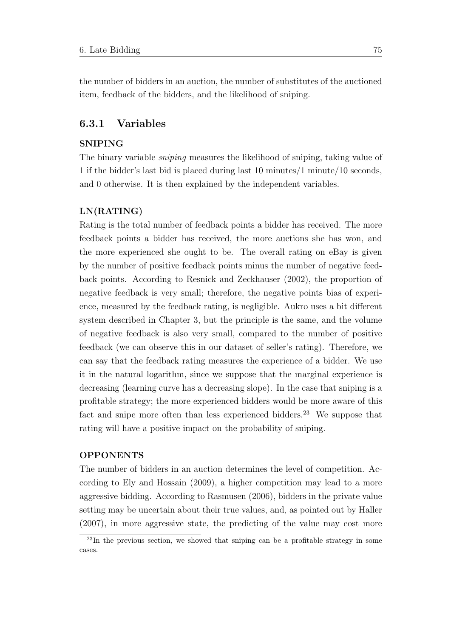the number of bidders in an auction, the number of substitutes of the auctioned item, feedback of the bidders, and the likelihood of sniping.

#### 6.3.1 Variables

#### SNIPING

The binary variable sniping measures the likelihood of sniping, taking value of 1 if the bidder's last bid is placed during last 10 minutes/1 minute/10 seconds, and 0 otherwise. It is then explained by the independent variables.

#### LN(RATING)

Rating is the total number of feedback points a bidder has received. The more feedback points a bidder has received, the more auctions she has won, and the more experienced she ought to be. The overall rating on eBay is given by the number of positive feedback points minus the number of negative feedback points. According to [Resnick and Zeckhauser](#page-107-1) [\(2002\)](#page-107-1), the proportion of negative feedback is very small; therefore, the negative points bias of experience, measured by the feedback rating, is negligible. Aukro uses a bit different system described in Chapter 3, but the principle is the same, and the volume of negative feedback is also very small, compared to the number of positive feedback (we can observe this in our dataset of seller's rating). Therefore, we can say that the feedback rating measures the experience of a bidder. We use it in the natural logarithm, since we suppose that the marginal experience is decreasing (learning curve has a decreasing slope). In the case that sniping is a profitable strategy; the more experienced bidders would be more aware of this fact and snipe more often than less experienced bidders.<sup>[23](#page-89-0)</sup> We suppose that rating will have a positive impact on the probability of sniping.

#### OPPONENTS

The number of bidders in an auction determines the level of competition. According to [Ely and Hossain](#page-105-1) [\(2009\)](#page-105-1), a higher competition may lead to a more aggressive bidding. According to [Rasmusen](#page-107-2) [\(2006\)](#page-107-2), bidders in the private value setting may be uncertain about their true values, and, as pointed out by [Haller](#page-105-2) [\(2007\)](#page-105-2), in more aggressive state, the predicting of the value may cost more

<span id="page-89-0"></span><sup>&</sup>lt;sup>23</sup>In the previous section, we showed that sniping can be a profitable strategy in some cases.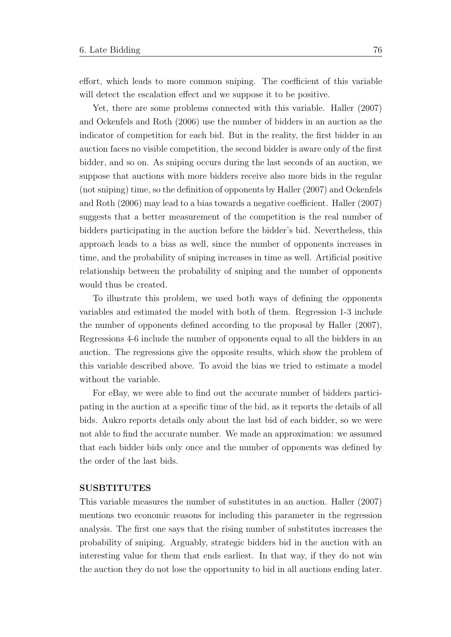effort, which leads to more common sniping. The coefficient of this variable will detect the escalation effect and we suppose it to be positive.

Yet, there are some problems connected with this variable. [Haller](#page-105-2) [\(2007\)](#page-105-2) and [Ockenfels and Roth](#page-106-0) [\(2006\)](#page-106-0) use the number of bidders in an auction as the indicator of competition for each bid. But in the reality, the first bidder in an auction faces no visible competition, the second bidder is aware only of the first bidder, and so on. As sniping occurs during the last seconds of an auction, we suppose that auctions with more bidders receive also more bids in the regular (not sniping) time, so the definition of opponents by [Haller](#page-105-2) [\(2007\)](#page-105-2) and [Ockenfels](#page-106-0) [and Roth](#page-106-0) [\(2006\)](#page-106-0) may lead to a bias towards a negative coefficient. [Haller](#page-105-2) [\(2007\)](#page-105-2) suggests that a better measurement of the competition is the real number of bidders participating in the auction before the bidder's bid. Nevertheless, this approach leads to a bias as well, since the number of opponents increases in time, and the probability of sniping increases in time as well. Artificial positive relationship between the probability of sniping and the number of opponents would thus be created.

To illustrate this problem, we used both ways of defining the opponents variables and estimated the model with both of them. Regression 1-3 include the number of opponents defined according to the proposal by [Haller](#page-105-2) [\(2007\)](#page-105-2), Regressions 4-6 include the number of opponents equal to all the bidders in an auction. The regressions give the opposite results, which show the problem of this variable described above. To avoid the bias we tried to estimate a model without the variable.

For eBay, we were able to find out the accurate number of bidders participating in the auction at a specific time of the bid, as it reports the details of all bids. Aukro reports details only about the last bid of each bidder, so we were not able to find the accurate number. We made an approximation: we assumed that each bidder bids only once and the number of opponents was defined by the order of the last bids.

#### SUSBTITUTES

This variable measures the number of substitutes in an auction. [Haller](#page-105-2) [\(2007\)](#page-105-2) mentions two economic reasons for including this parameter in the regression analysis. The first one says that the rising number of substitutes increases the probability of sniping. Arguably, strategic bidders bid in the auction with an interesting value for them that ends earliest. In that way, if they do not win the auction they do not lose the opportunity to bid in all auctions ending later.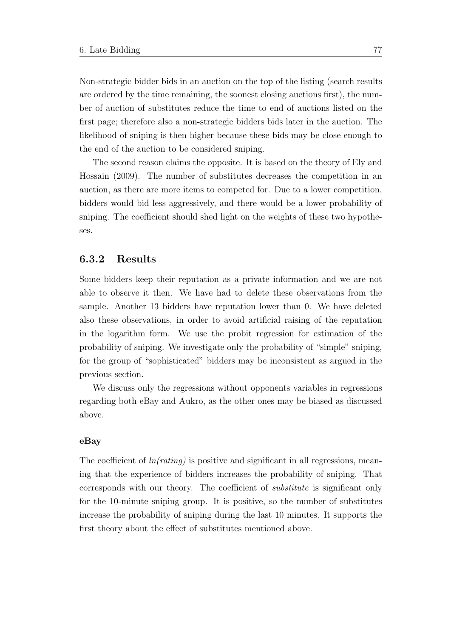Non-strategic bidder bids in an auction on the top of the listing (search results are ordered by the time remaining, the soonest closing auctions first), the number of auction of substitutes reduce the time to end of auctions listed on the first page; therefore also a non-strategic bidders bids later in the auction. The likelihood of sniping is then higher because these bids may be close enough to the end of the auction to be considered sniping.

The second reason claims the opposite. It is based on the theory of [Ely and](#page-105-1) [Hossain](#page-105-1) [\(2009\)](#page-105-1). The number of substitutes decreases the competition in an auction, as there are more items to competed for. Due to a lower competition, bidders would bid less aggressively, and there would be a lower probability of sniping. The coefficient should shed light on the weights of these two hypotheses.

#### 6.3.2 Results

Some bidders keep their reputation as a private information and we are not able to observe it then. We have had to delete these observations from the sample. Another 13 bidders have reputation lower than 0. We have deleted also these observations, in order to avoid artificial raising of the reputation in the logarithm form. We use the probit regression for estimation of the probability of sniping. We investigate only the probability of "simple" sniping, for the group of "sophisticated" bidders may be inconsistent as argued in the previous section.

We discuss only the regressions without opponents variables in regressions regarding both eBay and Aukro, as the other ones may be biased as discussed above.

#### eBay

The coefficient of  $ln(rating)$  is positive and significant in all regressions, meaning that the experience of bidders increases the probability of sniping. That corresponds with our theory. The coefficient of substitute is significant only for the 10-minute sniping group. It is positive, so the number of substitutes increase the probability of sniping during the last 10 minutes. It supports the first theory about the effect of substitutes mentioned above.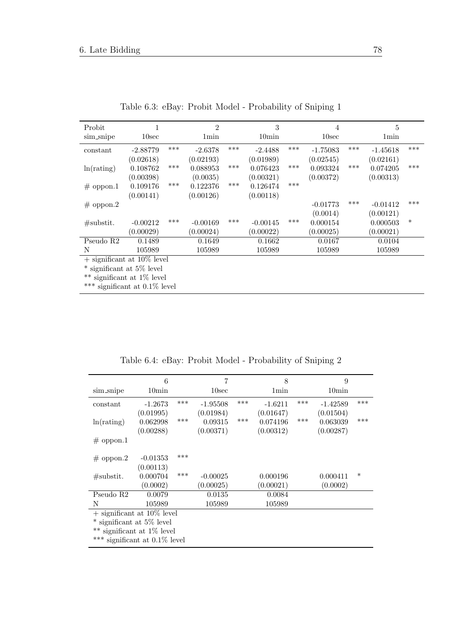| Probit                           |                   |     | $\overline{2}$ |     | 3                 |     | 4          |       | 5                |        |
|----------------------------------|-------------------|-----|----------------|-----|-------------------|-----|------------|-------|------------------|--------|
| sim_snipe                        | 10 <sub>sec</sub> |     | 1min           |     | 10 <sub>min</sub> |     | 10sec      |       | 1 <sub>min</sub> |        |
| constant                         | $-2.88779$        | *** | $-2.6378$      | *** | $-2.4488$         | *** | $-1.75083$ | ***   | $-1.45618$       | ***    |
|                                  | (0.02618)         |     | (0.02193)      |     | (0.01989)         |     | (0.02545)  |       | (0.02161)        |        |
| ln(rating)                       | 0.108762          | *** | 0.088953       | *** | 0.076423          | *** | 0.093324   | $***$ | 0.074205         | ***    |
|                                  | (0.00398)         |     | (0.0035)       |     | (0.00321)         |     | (0.00372)  |       | (0.00313)        |        |
| $#$ oppon.1                      | 0.109176          | *** | 0.122376       | *** | 0.126474          | *** |            |       |                  |        |
|                                  | (0.00141)         |     | (0.00126)      |     | (0.00118)         |     |            |       |                  |        |
| $#$ oppon.2                      |                   |     |                |     |                   |     | $-0.01773$ | ***   | $-0.01412$       | ***    |
|                                  |                   |     |                |     |                   |     | (0.0014)   |       | (0.00121)        |        |
| $\#$ substit.                    | $-0.00212$        | *** | $-0.00169$     | *** | $-0.00145$        | *** | 0.000154   |       | 0.000503         | $\ast$ |
|                                  | (0.00029)         |     | (0.00024)      |     | (0.00022)         |     | (0.00025)  |       | (0.00021)        |        |
| Pseudo R2                        | 0.1489            |     | 0.1649         |     | 0.1662            |     | 0.0167     |       | 0.0104           |        |
| N                                | 105989            |     | 105989         |     | 105989            |     | 105989     |       | 105989           |        |
| $+$ significant at 10% level     |                   |     |                |     |                   |     |            |       |                  |        |
| $*$ significant at 5\% level     |                   |     |                |     |                   |     |            |       |                  |        |
| ** significant at $1\%$ level    |                   |     |                |     |                   |     |            |       |                  |        |
| *** significant at $0.1\%$ level |                   |     |                |     |                   |     |            |       |                  |        |

Table 6.3: eBay: Probit Model - Probability of Sniping 1

Table 6.4: eBay: Probit Model - Probability of Sniping 2

|                                  | 6                 |     | 7                 |     | 8         |     | 9                 |        |
|----------------------------------|-------------------|-----|-------------------|-----|-----------|-----|-------------------|--------|
| sim_snipe                        | 10 <sub>min</sub> |     | 10 <sub>sec</sub> |     | 1min      |     | 10 <sub>min</sub> |        |
| constant                         | $-1.2673$         | *** | $-1.95508$        | *** | $-1.6211$ | *** | $-1.42589$        | ***    |
|                                  | (0.01995)         |     | (0.01984)         |     | (0.01647) |     | (0.01504)         |        |
| ln(rating)                       | 0.062998          | *** | 0.09315           | *** | 0.074196  | *** | 0.063039          | ***    |
|                                  | (0.00288)         |     | (0.00371)         |     | (0.00312) |     | (0.00287)         |        |
| $\#$ oppon.1                     |                   |     |                   |     |           |     |                   |        |
|                                  |                   |     |                   |     |           |     |                   |        |
| $#$ oppon.2                      | $-0.01353$        | *** |                   |     |           |     |                   |        |
|                                  | (0.00113)         |     |                   |     |           |     |                   |        |
| $\#$ substit.                    | 0.000704          | *** | $-0.00025$        |     | 0.000196  |     | 0.000411          | $\ast$ |
|                                  | (0.0002)          |     | (0.00025)         |     | (0.00021) |     | (0.0002)          |        |
| Pseudo R <sub>2</sub>            | 0.0079            |     | 0.0135            |     | 0.0084    |     |                   |        |
| N                                | 105989            |     | 105989            |     | 105989    |     |                   |        |
| $+$ significant at 10\% level    |                   |     |                   |     |           |     |                   |        |
| $*$ significant at 5\% level     |                   |     |                   |     |           |     |                   |        |
| $**$ significant at 1% level     |                   |     |                   |     |           |     |                   |        |
| *** significant at $0.1\%$ level |                   |     |                   |     |           |     |                   |        |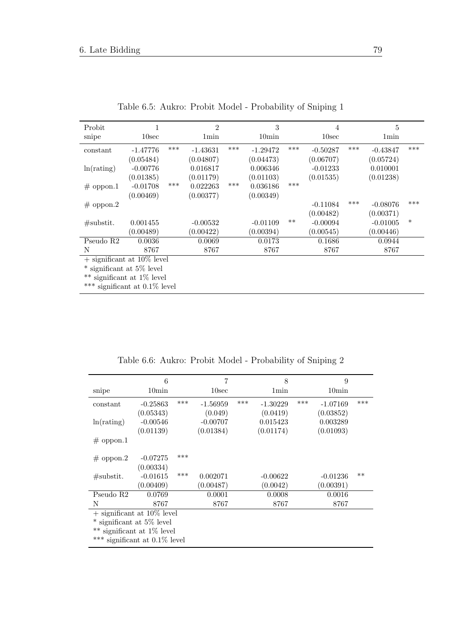| Probit                           |                   |       | $\overline{2}$   |       | 3              |       | $\overline{4}$    |       | 5                |        |
|----------------------------------|-------------------|-------|------------------|-------|----------------|-------|-------------------|-------|------------------|--------|
| snipe                            | 10 <sub>sec</sub> |       | 1 <sub>min</sub> |       | $10\text{min}$ |       | 10 <sub>sec</sub> |       | 1 <sub>min</sub> |        |
| constant                         | $-1.47776$        | $***$ | $-1.43631$       | $***$ | $-1.29472$     | $***$ | $-0.50287$        | $***$ | $-0.43847$       | ***    |
|                                  | (0.05484)         |       | (0.04807)        |       | (0.04473)      |       | (0.06707)         |       | (0.05724)        |        |
| ln(rating)                       | $-0.00776$        |       | 0.016817         |       | 0.006346       |       | $-0.01233$        |       | 0.010001         |        |
|                                  | (0.01385)         |       | (0.01179)        |       | (0.01103)      |       | (0.01535)         |       | (0.01238)        |        |
| $#$ oppon.1                      | $-0.01708$        | ***   | 0.022263         | ***   | 0.036186       | ***   |                   |       |                  |        |
|                                  | (0.00469)         |       | (0.00377)        |       | (0.00349)      |       |                   |       |                  |        |
| $#$ oppon.2                      |                   |       |                  |       |                |       | $-0.11084$        | ***   | $-0.08076$       | ***    |
|                                  |                   |       |                  |       |                |       | (0.00482)         |       | (0.00371)        |        |
| $\#$ substit.                    | 0.001455          |       | $-0.00532$       |       | $-0.01109$     | $**$  | $-0.00094$        |       | $-0.01005$       | $\ast$ |
|                                  | (0.00489)         |       | (0.00422)        |       | (0.00394)      |       | (0.00545)         |       | (0.00446)        |        |
| Pseudo R <sub>2</sub>            | 0.0036            |       | 0.0069           |       | 0.0173         |       | 0.1686            |       | 0.0944           |        |
| N                                | 8767              |       | 8767             |       | 8767           |       | 8767              |       | 8767             |        |
| $+$ significant at 10\% level    |                   |       |                  |       |                |       |                   |       |                  |        |
| $*$ significant at 5\% level     |                   |       |                  |       |                |       |                   |       |                  |        |
| ** significant at $1\%$ level    |                   |       |                  |       |                |       |                   |       |                  |        |
| *** significant at $0.1\%$ level |                   |       |                  |       |                |       |                   |       |                  |        |

Table 6.5: Aukro: Probit Model - Probability of Sniping 1

Table 6.6: Aukro: Probit Model - Probability of Sniping 2

| snipe                            | 6<br>10 <sub>min</sub> |     | 7<br>10 <sub>sec</sub> |     | 8<br>1min  |     | 9<br>10 <sub>min</sub> |      |
|----------------------------------|------------------------|-----|------------------------|-----|------------|-----|------------------------|------|
| constant                         | $-0.25863$             | *** | $-1.56959$             | *** | $-1.30229$ | *** | $-1.07169$             | ***  |
|                                  | (0.05343)              |     | (0.049)                |     | (0.0419)   |     | (0.03852)              |      |
| ln(rating)                       | $-0.00546$             |     | $-0.00707$             |     | 0.015423   |     | 0.003289               |      |
|                                  | (0.01139)              |     | (0.01384)              |     | (0.01174)  |     | (0.01093)              |      |
| $\#$ oppon.1                     |                        |     |                        |     |            |     |                        |      |
| $#$ oppon.2                      | $-0.07275$             | *** |                        |     |            |     |                        |      |
|                                  | (0.00334)              |     |                        |     |            |     |                        |      |
| $\#$ substit.                    | $-0.01615$             | *** | 0.002071               |     | $-0.00622$ |     | $-0.01236$             | $**$ |
|                                  | (0.00409)              |     | (0.00487)              |     | (0.0042)   |     | (0.00391)              |      |
| Pseudo R <sub>2</sub>            | 0.0769                 |     | 0.0001                 |     | 0.0008     |     | 0.0016                 |      |
| N                                | 8767                   |     | 8767                   |     | 8767       |     | 8767                   |      |
| $+$ significant at 10% level     |                        |     |                        |     |            |     |                        |      |
| $*$ significant at 5\% level     |                        |     |                        |     |            |     |                        |      |
| significant at 1% level          |                        |     |                        |     |            |     |                        |      |
| *** significant at $0.1\%$ level |                        |     |                        |     |            |     |                        |      |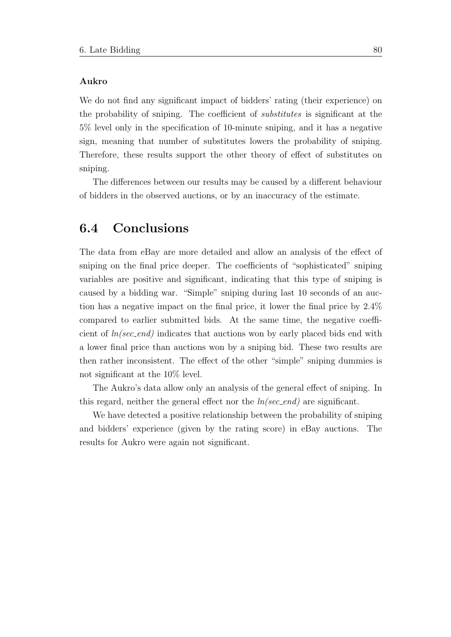#### Aukro

We do not find any significant impact of bidders' rating (their experience) on the probability of sniping. The coefficient of substitutes is significant at the 5% level only in the specification of 10-minute sniping, and it has a negative sign, meaning that number of substitutes lowers the probability of sniping. Therefore, these results support the other theory of effect of substitutes on sniping.

The differences between our results may be caused by a different behaviour of bidders in the observed auctions, or by an inaccuracy of the estimate.

## 6.4 Conclusions

The data from eBay are more detailed and allow an analysis of the effect of sniping on the final price deeper. The coefficients of "sophisticated" sniping variables are positive and significant, indicating that this type of sniping is caused by a bidding war. "Simple" sniping during last 10 seconds of an auction has a negative impact on the final price, it lower the final price by 2.4% compared to earlier submitted bids. At the same time, the negative coefficient of  $ln/sec\text{-}end$  indicates that auctions won by early placed bids end with a lower final price than auctions won by a sniping bid. These two results are then rather inconsistent. The effect of the other "simple" sniping dummies is not significant at the 10% level.

The Aukro's data allow only an analysis of the general effect of sniping. In this regard, neither the general effect nor the  $ln/sec\_end$  are significant.

We have detected a positive relationship between the probability of sniping and bidders' experience (given by the rating score) in eBay auctions. The results for Aukro were again not significant.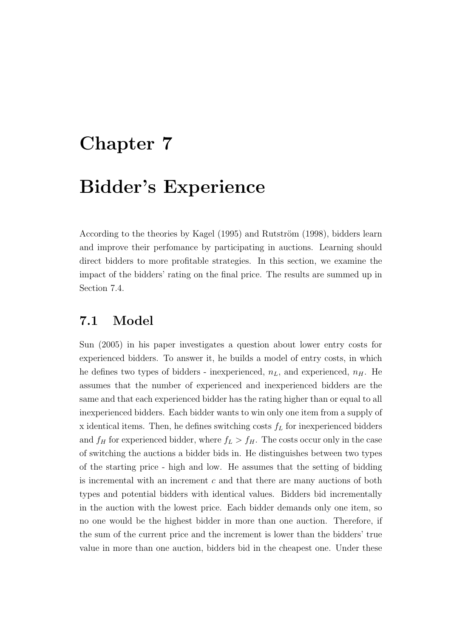# Chapter 7

# Bidder's Experience

According to the theories by [Kagel](#page-105-3) [\(1995\)](#page-105-3) and Rutström [\(1998\)](#page-107-3), bidders learn and improve their perfomance by participating in auctions. Learning should direct bidders to more profitable strategies. In this section, we examine the impact of the bidders' rating on the final price. The results are summed up in Section 7.4.

### 7.1 Model

[Sun](#page-107-4) [\(2005\)](#page-107-4) in his paper investigates a question about lower entry costs for experienced bidders. To answer it, he builds a model of entry costs, in which he defines two types of bidders - inexperienced,  $n<sub>L</sub>$ , and experienced,  $n<sub>H</sub>$ . He assumes that the number of experienced and inexperienced bidders are the same and that each experienced bidder has the rating higher than or equal to all inexperienced bidders. Each bidder wants to win only one item from a supply of x identical items. Then, he defines switching costs  $f<sub>L</sub>$  for inexperienced bidders and  $f_H$  for experienced bidder, where  $f_L > f_H$ . The costs occur only in the case of switching the auctions a bidder bids in. He distinguishes between two types of the starting price - high and low. He assumes that the setting of bidding is incremental with an increment  $c$  and that there are many auctions of both types and potential bidders with identical values. Bidders bid incrementally in the auction with the lowest price. Each bidder demands only one item, so no one would be the highest bidder in more than one auction. Therefore, if the sum of the current price and the increment is lower than the bidders' true value in more than one auction, bidders bid in the cheapest one. Under these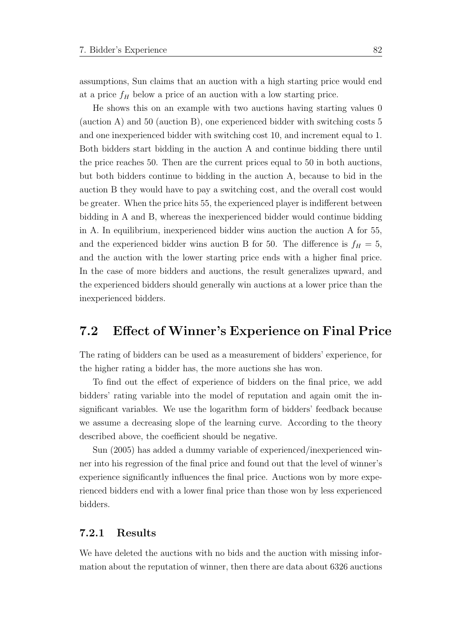assumptions, Sun claims that an auction with a high starting price would end at a price  $f_H$  below a price of an auction with a low starting price.

He shows this on an example with two auctions having starting values 0 (auction A) and 50 (auction B), one experienced bidder with switching costs 5 and one inexperienced bidder with switching cost 10, and increment equal to 1. Both bidders start bidding in the auction A and continue bidding there until the price reaches 50. Then are the current prices equal to 50 in both auctions, but both bidders continue to bidding in the auction A, because to bid in the auction B they would have to pay a switching cost, and the overall cost would be greater. When the price hits 55, the experienced player is indifferent between bidding in A and B, whereas the inexperienced bidder would continue bidding in A. In equilibrium, inexperienced bidder wins auction the auction A for 55, and the experienced bidder wins auction B for 50. The difference is  $f_H = 5$ , and the auction with the lower starting price ends with a higher final price. In the case of more bidders and auctions, the result generalizes upward, and the experienced bidders should generally win auctions at a lower price than the inexperienced bidders.

## 7.2 Effect of Winner's Experience on Final Price

The rating of bidders can be used as a measurement of bidders' experience, for the higher rating a bidder has, the more auctions she has won.

To find out the effect of experience of bidders on the final price, we add bidders' rating variable into the model of reputation and again omit the insignificant variables. We use the logarithm form of bidders' feedback because we assume a decreasing slope of the learning curve. According to the theory described above, the coefficient should be negative.

[Sun](#page-107-4) [\(2005\)](#page-107-4) has added a dummy variable of experienced/inexperienced winner into his regression of the final price and found out that the level of winner's experience significantly influences the final price. Auctions won by more experienced bidders end with a lower final price than those won by less experienced bidders.

#### 7.2.1 Results

We have deleted the auctions with no bids and the auction with missing information about the reputation of winner, then there are data about 6326 auctions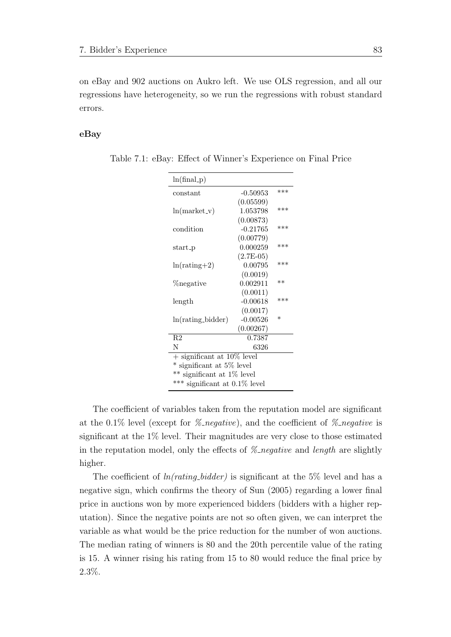on eBay and 902 auctions on Aukro left. We use OLS regression, and all our regressions have heterogeneity, so we run the regressions with robust standard errors.

#### eBay

| $ln(final_p)$                    |             |         |  |  |  |  |
|----------------------------------|-------------|---------|--|--|--|--|
| constant                         | $-0.50953$  | ***     |  |  |  |  |
|                                  | (0.05599)   |         |  |  |  |  |
| $ln(maxket_v)$                   | 1.053798    | ***     |  |  |  |  |
|                                  | (0.00873)   |         |  |  |  |  |
| condition                        | $-0.21765$  | ***     |  |  |  |  |
|                                  | (0.00779)   |         |  |  |  |  |
| $start$ -p                       | 0.000259    | ***     |  |  |  |  |
|                                  | $(2.7E-05)$ |         |  |  |  |  |
| $ln(rating+2)$                   | 0.00795     | ***     |  |  |  |  |
|                                  | (0.0019)    |         |  |  |  |  |
| %negative                        | 0.002911    | **      |  |  |  |  |
|                                  | (0.0011)    |         |  |  |  |  |
| length                           | $-0.00618$  | ***     |  |  |  |  |
|                                  | (0.0017)    |         |  |  |  |  |
| $ln(rating\_bidden)$             | $-0.00526$  | $^\ast$ |  |  |  |  |
|                                  | (0.00267)   |         |  |  |  |  |
| R <sub>2</sub>                   | 0.7387      |         |  |  |  |  |
| N                                | 6326        |         |  |  |  |  |
| $+$ significant at 10% level     |             |         |  |  |  |  |
| * significant at 5% level        |             |         |  |  |  |  |
| ** significant at 1% level       |             |         |  |  |  |  |
| *** significant at $0.1\%$ level |             |         |  |  |  |  |

Table 7.1: eBay: Effect of Winner's Experience on Final Price

The coefficient of variables taken from the reputation model are significant at the 0.1% level (except for *% negative*), and the coefficient of *% negative* is significant at the 1% level. Their magnitudes are very close to those estimated in the reputation model, only the effects of  $\mathcal{Z}_n$  negative and length are slightly higher.

The coefficient of  $ln(rating-bidder)$  is significant at the 5% level and has a negative sign, which confirms the theory of [Sun](#page-107-4) [\(2005\)](#page-107-4) regarding a lower final price in auctions won by more experienced bidders (bidders with a higher reputation). Since the negative points are not so often given, we can interpret the variable as what would be the price reduction for the number of won auctions. The median rating of winners is 80 and the 20th percentile value of the rating is 15. A winner rising his rating from 15 to 80 would reduce the final price by 2.3%.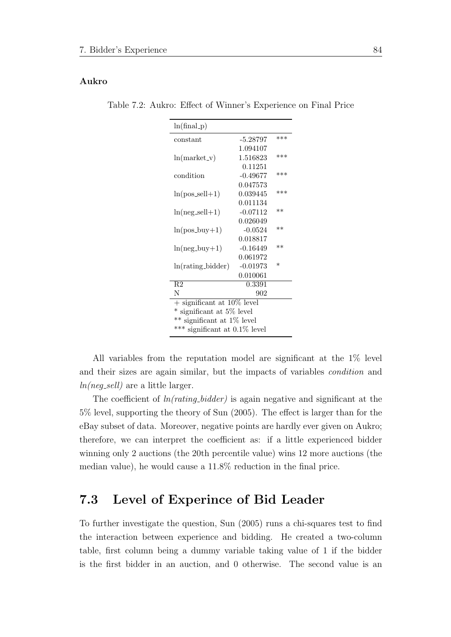#### Aukro

Table 7.2: Aukro: Effect of Winner's Experience on Final Price

| $ln(final_p)$                              |            |         |  |  |  |  |
|--------------------------------------------|------------|---------|--|--|--|--|
| constant                                   | $-5.28797$ | ***     |  |  |  |  |
|                                            | 1.094107   |         |  |  |  |  |
| $ln(maxket_v)$                             | 1.516823   | ***     |  |  |  |  |
|                                            | 0.11251    |         |  |  |  |  |
| condition                                  | $-0.49677$ | ***     |  |  |  |  |
|                                            | 0.047573   |         |  |  |  |  |
| $ln(pos\_sell+1)$                          | 0.039445   | ***     |  |  |  |  |
|                                            | 0.011134   |         |  |  |  |  |
| $ln(neg\_sell+1)$                          | $-0.07112$ | $**$    |  |  |  |  |
|                                            | 0.026049   |         |  |  |  |  |
| $ln(pos_buy+1)$                            | $-0.0524$  | $**$    |  |  |  |  |
|                                            | 0.018817   |         |  |  |  |  |
| $ln(neg_buy+1)$                            | $-0.16449$ | $**$    |  |  |  |  |
|                                            | 0.061972   |         |  |  |  |  |
| $ln(rating\_bidden)$                       | $-0.01973$ | $^\ast$ |  |  |  |  |
|                                            | 0.010061   |         |  |  |  |  |
| R <sub>2</sub>                             | 0.3391     |         |  |  |  |  |
| N                                          | 902        |         |  |  |  |  |
| $+$ significant at $\overline{10\%}$ level |            |         |  |  |  |  |
| * significant at 5% level                  |            |         |  |  |  |  |
| ** significant at 1% level                 |            |         |  |  |  |  |
| *** significant at $0.1\%$ level           |            |         |  |  |  |  |

All variables from the reputation model are significant at the 1% level and their sizes are again similar, but the impacts of variables condition and  $ln(neg\_sell)$  are a little larger.

The coefficient of  $ln(rating\_bidden)$  is again negative and significant at the 5% level, supporting the theory of [Sun](#page-107-4) [\(2005\)](#page-107-4). The effect is larger than for the eBay subset of data. Moreover, negative points are hardly ever given on Aukro; therefore, we can interpret the coefficient as: if a little experienced bidder winning only 2 auctions (the 20th percentile value) wins 12 more auctions (the median value), he would cause a 11.8% reduction in the final price.

### 7.3 Level of Experince of Bid Leader

To further investigate the question, [Sun](#page-107-4) [\(2005\)](#page-107-4) runs a chi-squares test to find the interaction between experience and bidding. He created a two-column table, first column being a dummy variable taking value of 1 if the bidder is the first bidder in an auction, and 0 otherwise. The second value is an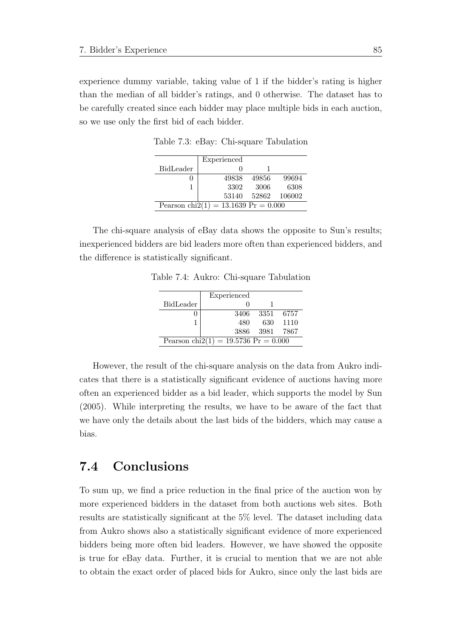experience dummy variable, taking value of 1 if the bidder's rating is higher than the median of all bidder's ratings, and 0 otherwise. The dataset has to be carefully created since each bidder may place multiple bids in each auction, so we use only the first bid of each bidder.

|                                         | Experienced |       |                    |  |  |  |
|-----------------------------------------|-------------|-------|--------------------|--|--|--|
| BidLeader                               |             |       |                    |  |  |  |
|                                         | 49838       | 49856 | 99694              |  |  |  |
|                                         | 3302        | -3006 | 6308               |  |  |  |
|                                         |             |       | 53140 52862 106002 |  |  |  |
| Pearson chi $2(1) = 13.1639$ Pr = 0.000 |             |       |                    |  |  |  |
|                                         |             |       |                    |  |  |  |

Table 7.3: eBay: Chi-square Tabulation

The chi-square analysis of eBay data shows the opposite to Sun's results; inexperienced bidders are bid leaders more often than experienced bidders, and the difference is statistically significant.

Table 7.4: Aukro: Chi-square Tabulation

|                                         | Experienced |       |        |
|-----------------------------------------|-------------|-------|--------|
| BidLeader                               |             |       |        |
|                                         | 3406        | -3351 | -6757  |
|                                         | 480         | 630   | 1110   |
|                                         | 3886 -      | -3981 | - 7867 |
| Pearson chi $2(1) = 19.5736$ Pr = 0.000 |             |       |        |

However, the result of the chi-square analysis on the data from Aukro indicates that there is a statistically significant evidence of auctions having more often an experienced bidder as a bid leader, which supports the model by [Sun](#page-107-4) [\(2005\)](#page-107-4). While interpreting the results, we have to be aware of the fact that we have only the details about the last bids of the bidders, which may cause a bias.

## 7.4 Conclusions

To sum up, we find a price reduction in the final price of the auction won by more experienced bidders in the dataset from both auctions web sites. Both results are statistically significant at the 5% level. The dataset including data from Aukro shows also a statistically significant evidence of more experienced bidders being more often bid leaders. However, we have showed the opposite is true for eBay data. Further, it is crucial to mention that we are not able to obtain the exact order of placed bids for Aukro, since only the last bids are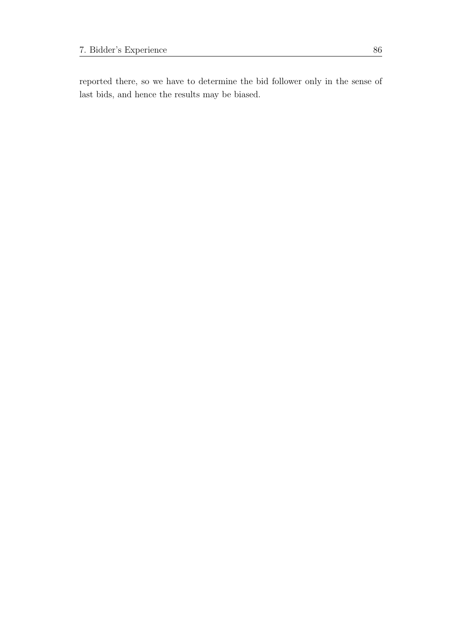reported there, so we have to determine the bid follower only in the sense of last bids, and hence the results may be biased.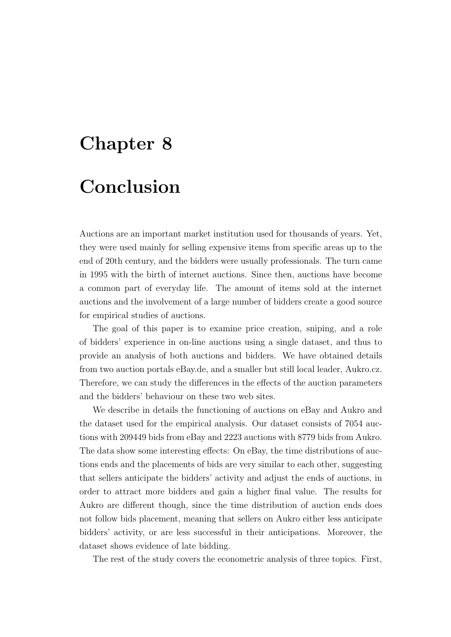# Chapter 8

# Conclusion

Auctions are an important market institution used for thousands of years. Yet, they were used mainly for selling expensive items from specific areas up to the end of 20th century, and the bidders were usually professionals. The turn came in 1995 with the birth of internet auctions. Since then, auctions have become a common part of everyday life. The amount of items sold at the internet auctions and the involvement of a large number of bidders create a good source for empirical studies of auctions.

The goal of this paper is to examine price creation, sniping, and a role of bidders' experience in on-line auctions using a single dataset, and thus to provide an analysis of both auctions and bidders. We have obtained details from two auction portals eBay.de, and a smaller but still local leader, Aukro.cz. Therefore, we can study the differences in the effects of the auction parameters and the bidders' behaviour on these two web sites.

We describe in details the functioning of auctions on eBay and Aukro and the dataset used for the empirical analysis. Our dataset consists of 7054 auctions with 209449 bids from eBay and 2223 auctions with 8779 bids from Aukro. The data show some interesting effects: On eBay, the time distributions of auctions ends and the placements of bids are very similar to each other, suggesting that sellers anticipate the bidders' activity and adjust the ends of auctions, in order to attract more bidders and gain a higher final value. The results for Aukro are different though, since the time distribution of auction ends does not follow bids placement, meaning that sellers on Aukro either less anticipate bidders' activity, or are less successful in their anticipations. Moreover, the dataset shows evidence of late bidding.

The rest of the study covers the econometric analysis of three topics. First,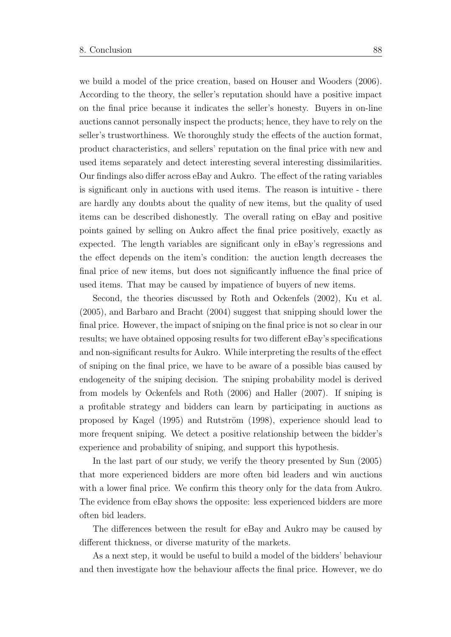we build a model of the price creation, based on [Houser and Wooders](#page-105-4) [\(2006\)](#page-105-4). According to the theory, the seller's reputation should have a positive impact on the final price because it indicates the seller's honesty. Buyers in on-line auctions cannot personally inspect the products; hence, they have to rely on the seller's trustworthiness. We thoroughly study the effects of the auction format, product characteristics, and sellers' reputation on the final price with new and used items separately and detect interesting several interesting dissimilarities. Our findings also differ across eBay and Aukro. The effect of the rating variables is significant only in auctions with used items. The reason is intuitive - there are hardly any doubts about the quality of new items, but the quality of used items can be described dishonestly. The overall rating on eBay and positive points gained by selling on Aukro affect the final price positively, exactly as expected. The length variables are significant only in eBay's regressions and the effect depends on the item's condition: the auction length decreases the final price of new items, but does not significantly influence the final price of used items. That may be caused by impatience of buyers of new items.

Second, the theories discussed by [Roth and Ockenfels](#page-107-0) [\(2002\)](#page-107-0), [Ku et al.](#page-106-1) [\(2005\)](#page-106-1), and [Barbaro and Bracht](#page-104-0) [\(2004\)](#page-104-0) suggest that snipping should lower the final price. However, the impact of sniping on the final price is not so clear in our results; we have obtained opposing results for two different eBay's specifications and non-significant results for Aukro. While interpreting the results of the effect of sniping on the final price, we have to be aware of a possible bias caused by endogeneity of the sniping decision. The sniping probability model is derived from models by [Ockenfels and Roth](#page-106-0) [\(2006\)](#page-106-0) and [Haller](#page-105-2) [\(2007\)](#page-105-2). If sniping is a profitable strategy and bidders can learn by participating in auctions as proposed by [Kagel](#page-105-3)  $(1995)$  and Rutström  $(1998)$ , experience should lead to more frequent sniping. We detect a positive relationship between the bidder's experience and probability of sniping, and support this hypothesis.

In the last part of our study, we verify the theory presented by [Sun](#page-107-4) [\(2005\)](#page-107-4) that more experienced bidders are more often bid leaders and win auctions with a lower final price. We confirm this theory only for the data from Aukro. The evidence from eBay shows the opposite: less experienced bidders are more often bid leaders.

The differences between the result for eBay and Aukro may be caused by different thickness, or diverse maturity of the markets.

As a next step, it would be useful to build a model of the bidders' behaviour and then investigate how the behaviour affects the final price. However, we do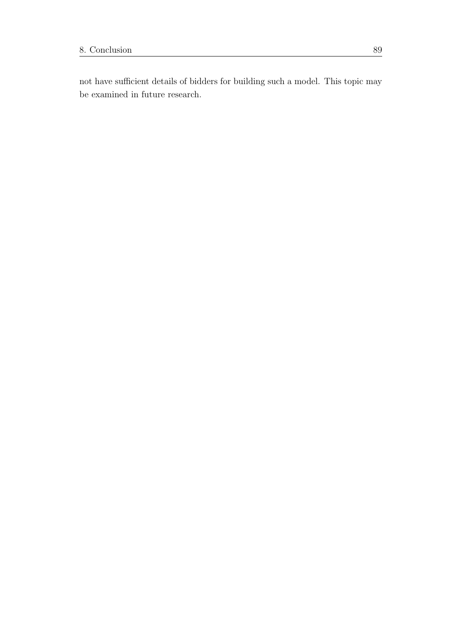not have sufficient details of bidders for building such a model. This topic may be examined in future research.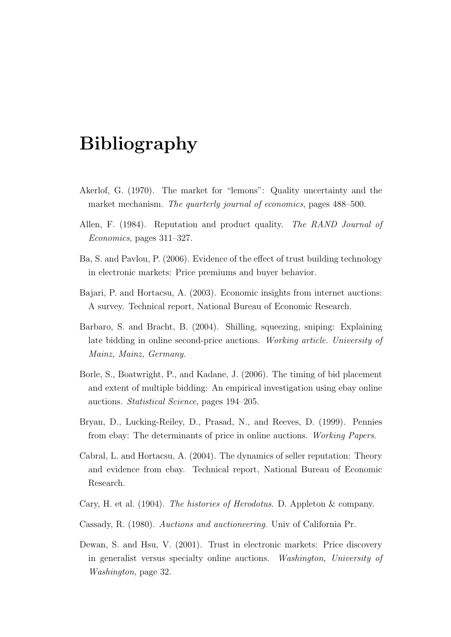# Bibliography

- Akerlof, G. (1970). The market for "lemons": Quality uncertainty and the market mechanism. The quarterly journal of economics, pages 488–500.
- Allen, F. (1984). Reputation and product quality. The RAND Journal of Economics, pages 311–327.
- Ba, S. and Pavlou, P. (2006). Evidence of the effect of trust building technology in electronic markets: Price premiums and buyer behavior.
- Bajari, P. and Hortacsu, A. (2003). Economic insights from internet auctions: A survey. Technical report, National Bureau of Economic Research.
- <span id="page-104-0"></span>Barbaro, S. and Bracht, B. (2004). Shilling, squeezing, sniping: Explaining late bidding in online second-price auctions. Working article. University of Mainz, Mainz, Germany.
- Borle, S., Boatwright, P., and Kadane, J. (2006). The timing of bid placement and extent of multiple bidding: An empirical investigation using ebay online auctions. Statistical Science, pages 194–205.
- Bryan, D., Lucking-Reiley, D., Prasad, N., and Reeves, D. (1999). Pennies from ebay: The determinants of price in online auctions. Working Papers.
- Cabral, L. and Hortacsu, A. (2004). The dynamics of seller reputation: Theory and evidence from ebay. Technical report, National Bureau of Economic Research.
- Cary, H. et al. (1904). The histories of Herodotus. D. Appleton & company.
- Cassady, R. (1980). Auctions and auctioneering. Univ of California Pr.
- Dewan, S. and Hsu, V. (2001). Trust in electronic markets: Price discovery in generalist versus specialty online auctions. Washington, University of Washington, page 32.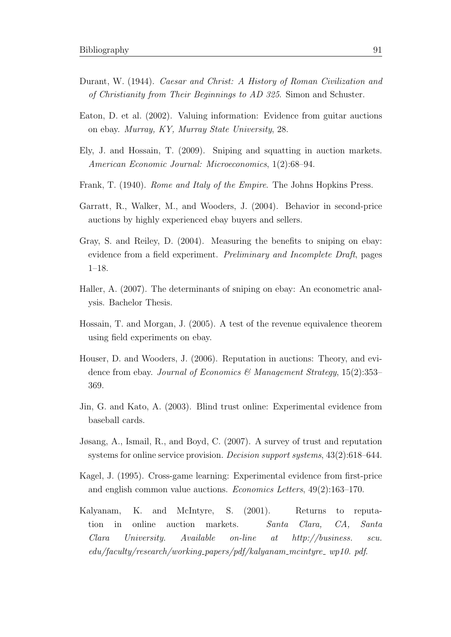- Durant, W. (1944). Caesar and Christ: A History of Roman Civilization and of Christianity from Their Beginnings to AD 325. Simon and Schuster.
- Eaton, D. et al. (2002). Valuing information: Evidence from guitar auctions on ebay. Murray, KY, Murray State University, 28.
- <span id="page-105-1"></span>Ely, J. and Hossain, T. (2009). Sniping and squatting in auction markets. American Economic Journal: Microeconomics, 1(2):68–94.
- Frank, T. (1940). Rome and Italy of the Empire. The Johns Hopkins Press.
- Garratt, R., Walker, M., and Wooders, J. (2004). Behavior in second-price auctions by highly experienced ebay buyers and sellers.
- Gray, S. and Reiley, D. (2004). Measuring the benefits to sniping on ebay: evidence from a field experiment. Preliminary and Incomplete Draft, pages 1–18.
- <span id="page-105-2"></span>Haller, A. (2007). The determinants of sniping on ebay: An econometric analysis. Bachelor Thesis.
- <span id="page-105-0"></span>Hossain, T. and Morgan, J. (2005). A test of the revenue equivalence theorem using field experiments on ebay.
- <span id="page-105-4"></span>Houser, D. and Wooders, J. (2006). Reputation in auctions: Theory, and evidence from ebay. Journal of Economics & Management Strategy, 15(2):353-369.
- Jin, G. and Kato, A. (2003). Blind trust online: Experimental evidence from baseball cards.
- Jøsang, A., Ismail, R., and Boyd, C. (2007). A survey of trust and reputation systems for online service provision. *Decision support systems*,  $43(2):618-644$ .
- <span id="page-105-3"></span>Kagel, J. (1995). Cross-game learning: Experimental evidence from first-price and english common value auctions. Economics Letters, 49(2):163–170.
- Kalyanam, K. and McIntyre, S. (2001). Returns to reputation in online auction markets. Santa Clara, CA, Santa Clara University. Available on-line at http://business. scu.  $edu/facultu/research/workina\_papers/pdf/kaluanam_mcinture_ wp10.$  pdf.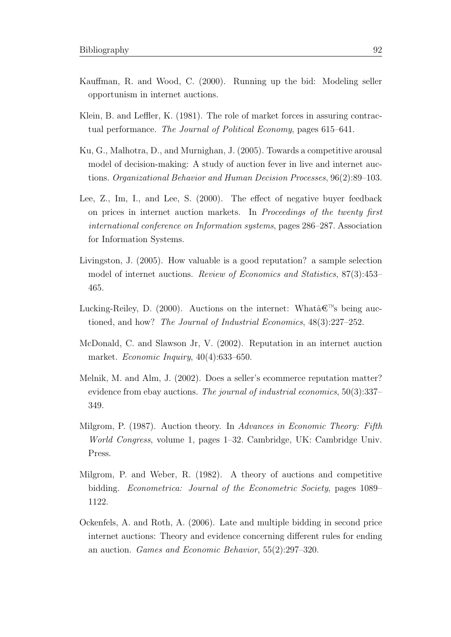- Kauffman, R. and Wood, C. (2000). Running up the bid: Modeling seller opportunism in internet auctions.
- Klein, B. and Leffler, K. (1981). The role of market forces in assuring contractual performance. The Journal of Political Economy, pages 615–641.
- <span id="page-106-1"></span>Ku, G., Malhotra, D., and Murnighan, J. (2005). Towards a competitive arousal model of decision-making: A study of auction fever in live and internet auctions. Organizational Behavior and Human Decision Processes, 96(2):89–103.
- Lee, Z., Im, I., and Lee, S. (2000). The effect of negative buyer feedback on prices in internet auction markets. In Proceedings of the twenty first international conference on Information systems, pages 286–287. Association for Information Systems.
- Livingston, J. (2005). How valuable is a good reputation? a sample selection model of internet auctions. Review of Economics and Statistics, 87(3):453– 465.
- Lucking-Reiley, D. (2000). Auctions on the internet: What $'s$  being auctioned, and how? The Journal of Industrial Economics, 48(3):227–252.
- McDonald, C. and Slawson Jr, V. (2002). Reputation in an internet auction market. Economic Inquiry, 40(4):633–650.
- Melnik, M. and Alm, J. (2002). Does a seller's ecommerce reputation matter? evidence from ebay auctions. The journal of industrial economics, 50(3):337– 349.
- Milgrom, P. (1987). Auction theory. In Advances in Economic Theory: Fifth World Congress, volume 1, pages 1–32. Cambridge, UK: Cambridge Univ. Press.
- Milgrom, P. and Weber, R. (1982). A theory of auctions and competitive bidding. Econometrica: Journal of the Econometric Society, pages 1089– 1122.
- <span id="page-106-0"></span>Ockenfels, A. and Roth, A. (2006). Late and multiple bidding in second price internet auctions: Theory and evidence concerning different rules for ending an auction. Games and Economic Behavior, 55(2):297–320.